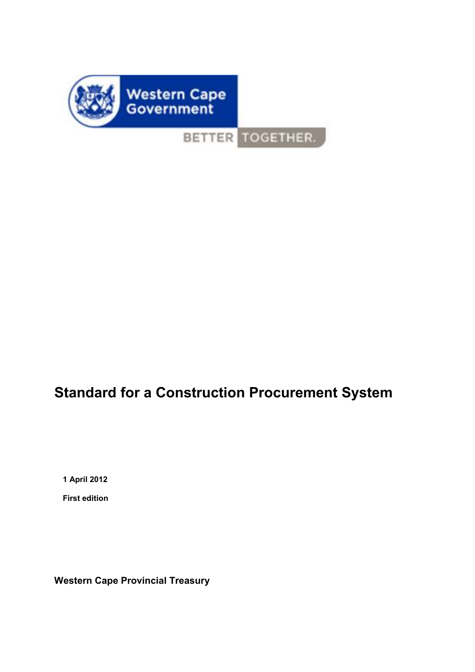

BETTER TOGETHER.

# **Standard for a Construction Procurement System**

**1 April 2012** 

**First edition** 

**Western Cape Provincial Treasury**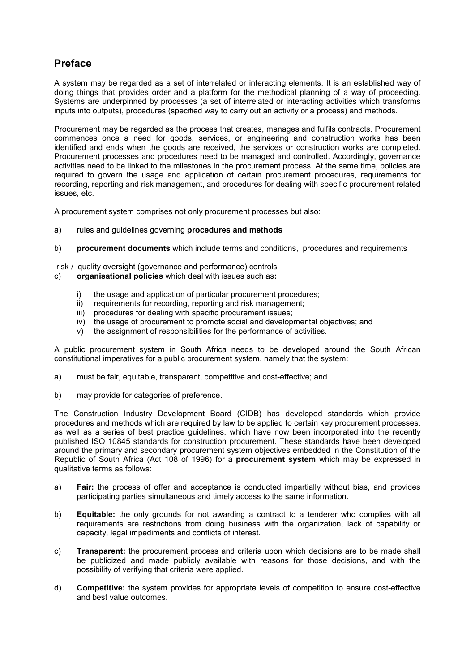## **Preface**

A system may be regarded as a set of interrelated or interacting elements. It is an established way of doing things that provides order and a platform for the methodical planning of a way of proceeding. Systems are underpinned by processes (a set of interrelated or interacting activities which transforms inputs into outputs), procedures (specified way to carry out an activity or a process) and methods.

Procurement may be regarded as the process that creates, manages and fulfils contracts. Procurement commences once a need for goods, services, or engineering and construction works has been identified and ends when the goods are received, the services or construction works are completed. Procurement processes and procedures need to be managed and controlled. Accordingly, governance activities need to be linked to the milestones in the procurement process. At the same time, policies are required to govern the usage and application of certain procurement procedures, requirements for recording, reporting and risk management, and procedures for dealing with specific procurement related issues, etc.

A procurement system comprises not only procurement processes but also:

- a) rules and guidelines governing **procedures and methods**
- b) **procurement documents** which include terms and conditions, procedures and requirements

risk / quality oversight (governance and performance) controls

- c) **organisational policies** which deal with issues such as**:**
	- i) the usage and application of particular procurement procedures:
	- ii) requirements for recording, reporting and risk management;
	- iii) procedures for dealing with specific procurement issues;
	- iv) the usage of procurement to promote social and developmental objectives; and
	- v) the assignment of responsibilities for the performance of activities.

A public procurement system in South Africa needs to be developed around the South African constitutional imperatives for a public procurement system, namely that the system:

- a) must be fair, equitable, transparent, competitive and cost-effective; and
- b) may provide for categories of preference.

The Construction Industry Development Board (CIDB) has developed standards which provide procedures and methods which are required by law to be applied to certain key procurement processes, as well as a series of best practice guidelines, which have now been incorporated into the recently published ISO 10845 standards for construction procurement. These standards have been developed around the primary and secondary procurement system objectives embedded in the Constitution of the Republic of South Africa (Act 108 of 1996) for a **procurement system** which may be expressed in qualitative terms as follows:

- a) **Fair:** the process of offer and acceptance is conducted impartially without bias, and provides participating parties simultaneous and timely access to the same information.
- b) **Equitable:** the only grounds for not awarding a contract to a tenderer who complies with all requirements are restrictions from doing business with the organization, lack of capability or capacity, legal impediments and conflicts of interest.
- c) **Transparent:** the procurement process and criteria upon which decisions are to be made shall be publicized and made publicly available with reasons for those decisions, and with the possibility of verifying that criteria were applied.
- d) **Competitive:** the system provides for appropriate levels of competition to ensure cost-effective and best value outcomes.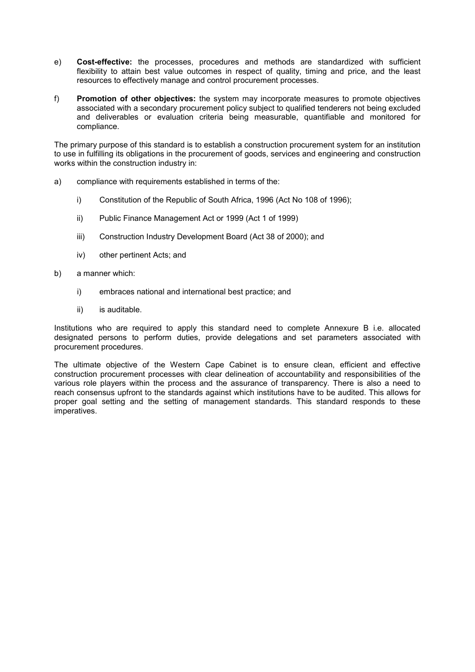- e) **Cost-effective:** the processes, procedures and methods are standardized with sufficient flexibility to attain best value outcomes in respect of quality, timing and price, and the least resources to effectively manage and control procurement processes.
- f) **Promotion of other objectives:** the system may incorporate measures to promote objectives associated with a secondary procurement policy subject to qualified tenderers not being excluded and deliverables or evaluation criteria being measurable, quantifiable and monitored for compliance.

The primary purpose of this standard is to establish a construction procurement system for an institution to use in fulfilling its obligations in the procurement of goods, services and engineering and construction works within the construction industry in:

- a) compliance with requirements established in terms of the:
	- i) Constitution of the Republic of South Africa, 1996 (Act No 108 of 1996);
	- ii) Public Finance Management Act or 1999 (Act 1 of 1999)
	- iii) Construction Industry Development Board (Act 38 of 2000); and
	- iv) other pertinent Acts; and
- b) a manner which:
	- i) embraces national and international best practice; and
	- ii) is auditable.

Institutions who are required to apply this standard need to complete Annexure B i.e. allocated designated persons to perform duties, provide delegations and set parameters associated with procurement procedures.

The ultimate objective of the Western Cape Cabinet is to ensure clean, efficient and effective construction procurement processes with clear delineation of accountability and responsibilities of the various role players within the process and the assurance of transparency. There is also a need to reach consensus upfront to the standards against which institutions have to be audited. This allows for proper goal setting and the setting of management standards. This standard responds to these imperatives.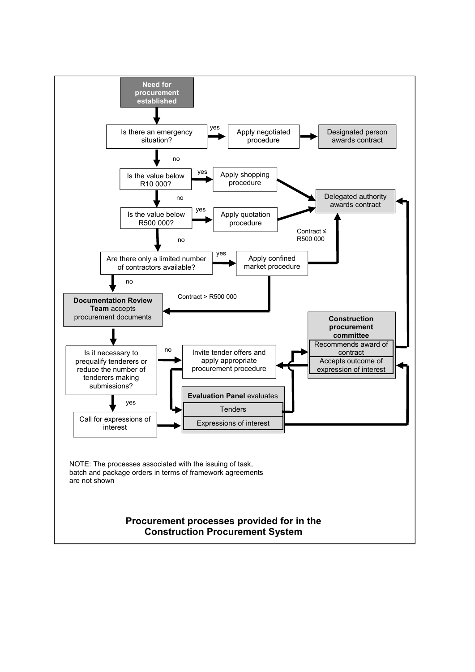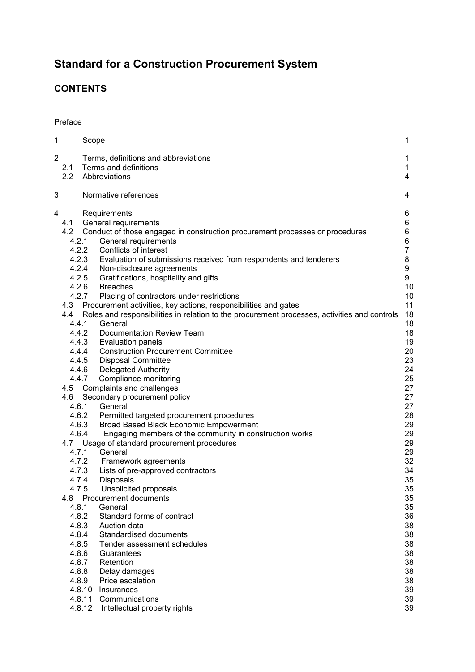## **Standard for a Construction Procurement System**

## **CONTENTS**

## Preface

| 1 |                                                                                                                                                                                                                                                              | Scope                                                                                                                                                                                                                                                                                                                                                                                                                                                                                                                                                                                                                                                                                                                                                                                                                                                                                                                                                                                                                                                                                                                                                                                                                                                                                                                                                                                                                      | 1                                                                                                                                                                                                                                                       |
|---|--------------------------------------------------------------------------------------------------------------------------------------------------------------------------------------------------------------------------------------------------------------|----------------------------------------------------------------------------------------------------------------------------------------------------------------------------------------------------------------------------------------------------------------------------------------------------------------------------------------------------------------------------------------------------------------------------------------------------------------------------------------------------------------------------------------------------------------------------------------------------------------------------------------------------------------------------------------------------------------------------------------------------------------------------------------------------------------------------------------------------------------------------------------------------------------------------------------------------------------------------------------------------------------------------------------------------------------------------------------------------------------------------------------------------------------------------------------------------------------------------------------------------------------------------------------------------------------------------------------------------------------------------------------------------------------------------|---------------------------------------------------------------------------------------------------------------------------------------------------------------------------------------------------------------------------------------------------------|
| 2 | 2.1<br>2.2                                                                                                                                                                                                                                                   | Terms, definitions and abbreviations<br>Terms and definitions<br>Abbreviations                                                                                                                                                                                                                                                                                                                                                                                                                                                                                                                                                                                                                                                                                                                                                                                                                                                                                                                                                                                                                                                                                                                                                                                                                                                                                                                                             | 1<br>1<br>4                                                                                                                                                                                                                                             |
| 3 |                                                                                                                                                                                                                                                              | Normative references                                                                                                                                                                                                                                                                                                                                                                                                                                                                                                                                                                                                                                                                                                                                                                                                                                                                                                                                                                                                                                                                                                                                                                                                                                                                                                                                                                                                       | 4                                                                                                                                                                                                                                                       |
| 4 | 4.1<br>4.2<br>4.2.1<br>4.2.5<br>4.2.6<br>4.2.7<br>4.3<br>4.4<br>4.4.1<br>4.4.2<br>4.4.3<br>4.4.4<br>4.4.5<br>4.4.6<br>4.5<br>4.6<br>4.6.3<br>4.6.4<br>4.7.4<br>4.7.5<br>4.8<br>4.8.1<br>4.8.2<br>4.8.3<br>4.8.4<br>4.8.5<br>4.8.6<br>4.8.7<br>4.8.8<br>4.8.9 | Requirements<br>General requirements<br>Conduct of those engaged in construction procurement processes or procedures<br>General requirements<br>4.2.2 Conflicts of interest<br>4.2.3 Evaluation of submissions received from respondents and tenderers<br>4.2.4<br>Non-disclosure agreements<br>Gratifications, hospitality and gifts<br><b>Breaches</b><br>Placing of contractors under restrictions<br>Procurement activities, key actions, responsibilities and gates<br>Roles and responsibilities in relation to the procurement processes, activities and controls<br>General<br>Documentation Review Team<br>Evaluation panels<br><b>Construction Procurement Committee</b><br><b>Disposal Committee</b><br><b>Delegated Authority</b><br>4.4.7<br>Compliance monitoring<br>Complaints and challenges<br>Secondary procurement policy<br>General<br>4.6.1<br>4.6.2 Permitted targeted procurement procedures<br>Broad Based Black Economic Empowerment<br>Engaging members of the community in construction works<br>4.7 Usage of standard procurement procedures<br>4.7.1 General<br>4.7.2 Framework agreements<br>4.7.3 Lists of pre-approved contractors<br><b>Disposals</b><br>Unsolicited proposals<br>Procurement documents<br>General<br>Standard forms of contract<br>Auction data<br>Standardised documents<br>Tender assessment schedules<br>Guarantees<br>Retention<br>Delay damages<br>Price escalation | 6<br>6<br>6<br>6<br>$\overline{7}$<br>8<br>9<br>9<br>10<br>10<br>11<br>18<br>18<br>18<br>19<br>20<br>23<br>24<br>25<br>27<br>27<br>27<br>28<br>29<br>29<br>29<br>29<br>32<br>34<br>35<br>35<br>35<br>35<br>36<br>38<br>38<br>38<br>38<br>38<br>38<br>38 |
|   |                                                                                                                                                                                                                                                              | 4.8.10 Insurances<br>4.8.11<br>Communications<br>4.8.12<br>Intellectual property rights                                                                                                                                                                                                                                                                                                                                                                                                                                                                                                                                                                                                                                                                                                                                                                                                                                                                                                                                                                                                                                                                                                                                                                                                                                                                                                                                    | 39<br>39<br>39                                                                                                                                                                                                                                          |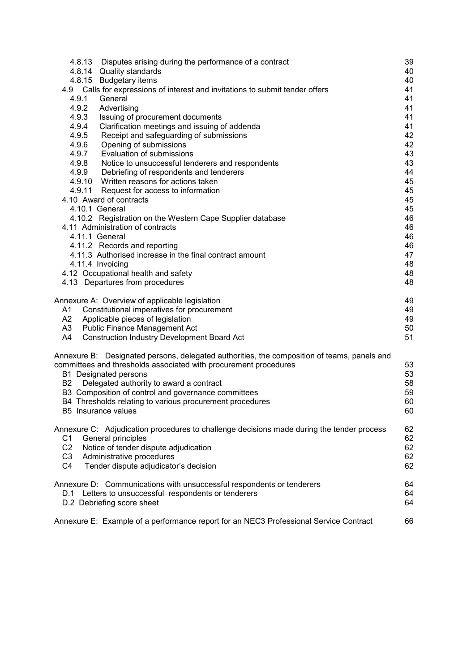| 4.8.13 Disputes arising during the performance of a contract                                               | 39       |
|------------------------------------------------------------------------------------------------------------|----------|
| 4.8.14 Quality standards                                                                                   | 40       |
| 4.8.15 Budgetary items                                                                                     | 40       |
| 4.9 Calls for expressions of interest and invitations to submit tender offers                              | 41       |
| 4.9.1<br>General                                                                                           | 41       |
| 4.9.2<br>Advertising                                                                                       | 41       |
| 4.9.3<br>Issuing of procurement documents                                                                  | 41       |
| Clarification meetings and issuing of addenda<br>4.9.4<br>4.9.5<br>Receipt and safeguarding of submissions | 41<br>42 |
| 4.9.6<br>Opening of submissions                                                                            | 42       |
| 4.9.7<br>Evaluation of submissions                                                                         | 43       |
| 4.9.8<br>Notice to unsuccessful tenderers and respondents                                                  | 43       |
| 4.9.9<br>Debriefing of respondents and tenderers                                                           | 44       |
| 4.9.10 Written reasons for actions taken                                                                   | 45       |
| 4.9.11 Request for access to information                                                                   | 45       |
| 4.10 Award of contracts                                                                                    | 45       |
| 4.10.1 General                                                                                             | 45       |
| 4.10.2 Registration on the Western Cape Supplier database                                                  | 46       |
| 4.11 Administration of contracts                                                                           | 46       |
| 4.11.1 General                                                                                             | 46       |
| 4.11.2 Records and reporting                                                                               | 46       |
| 4.11.3 Authorised increase in the final contract amount                                                    | 47       |
| 4.11.4 Invoicing                                                                                           | 48       |
| 4.12 Occupational health and safety                                                                        | 48       |
| 4.13 Departures from procedures                                                                            | 48       |
| Annexure A: Overview of applicable legislation                                                             | 49       |
| A1<br>Constitutional imperatives for procurement                                                           | 49       |
| Applicable pieces of legislation<br>A2                                                                     | 49       |
| <b>Public Finance Management Act</b><br>A3                                                                 | 50       |
| A4<br><b>Construction Industry Development Board Act</b>                                                   | 51       |
| Annexure B: Designated persons, delegated authorities, the composition of teams, panels and                |          |
| committees and thresholds associated with procurement procedures                                           | 53       |
| B1 Designated persons                                                                                      | 53       |
| B <sub>2</sub><br>Delegated authority to award a contract                                                  | 58       |
| B3 Composition of control and governance committees                                                        | 59       |
| B4 Thresholds relating to various procurement procedures                                                   | 60       |
| B5 Insurance values                                                                                        | 60       |
| Annexure C: Adjudication procedures to challenge decisions made during the tender process                  | 62       |
| General principles<br>C1                                                                                   | 62       |
| C <sub>2</sub><br>Notice of tender dispute adjudication                                                    | 62       |
| Administrative procedures<br>C <sub>3</sub>                                                                | 62       |
| C4<br>Tender dispute adjudicator's decision                                                                | 62       |
| Annexure D: Communications with unsuccessful respondents or tenderers                                      | 64       |
| Letters to unsuccessful respondents or tenderers<br>D.1                                                    | 64       |
| D.2 Debriefing score sheet                                                                                 | 64       |
| Annexure E: Example of a performance report for an NEC3 Professional Service Contract                      | 66       |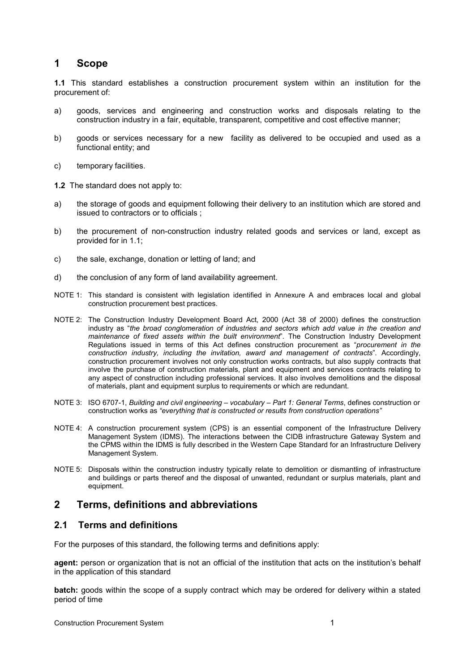## **1 Scope**

**1.1** This standard establishes a construction procurement system within an institution for the procurement of:

- a) goods, services and engineering and construction works and disposals relating to the construction industry in a fair, equitable, transparent, competitive and cost effective manner;
- b) goods or services necessary for a new facility as delivered to be occupied and used as a functional entity; and
- c) temporary facilities.

**1.2** The standard does not apply to:

- a) the storage of goods and equipment following their delivery to an institution which are stored and issued to contractors or to officials ;
- b) the procurement of non-construction industry related goods and services or land, except as provided for in 1.1;
- c) the sale, exchange, donation or letting of land; and
- d) the conclusion of any form of land availability agreement.
- NOTE 1: This standard is consistent with legislation identified in Annexure A and embraces local and global construction procurement best practices.
- NOTE 2: The Construction Industry Development Board Act, 2000 (Act 38 of 2000) defines the construction industry as "*the broad conglomeration of industries and sectors which add value in the creation and maintenance of fixed assets within the built environment*". The Construction Industry Development Regulations issued in terms of this Act defines construction procurement as "*procurement in the construction industry, including the invitation, award and management of contracts*". Accordingly, construction procurement involves not only construction works contracts, but also supply contracts that involve the purchase of construction materials, plant and equipment and services contracts relating to any aspect of construction including professional services. It also involves demolitions and the disposal of materials, plant and equipment surplus to requirements or which are redundant.
- NOTE 3: ISO 6707-1, *Building and civil engineering vocabulary Part 1: General Terms*, defines construction or construction works as *"everything that is constructed or results from construction operations"*
- NOTE 4: A construction procurement system (CPS) is an essential component of the Infrastructure Delivery Management System (IDMS). The interactions between the CIDB infrastructure Gateway System and the CPMS within the IDMS is fully described in the Western Cape Standard for an Infrastructure Delivery Management System.
- NOTE 5: Disposals within the construction industry typically relate to demolition or dismantling of infrastructure and buildings or parts thereof and the disposal of unwanted, redundant or surplus materials, plant and equipment.

## **2 Terms, definitions and abbreviations**

#### **2.1 Terms and definitions**

For the purposes of this standard, the following terms and definitions apply:

**agent:** person or organization that is not an official of the institution that acts on the institution's behalf in the application of this standard

**batch:** goods within the scope of a supply contract which may be ordered for delivery within a stated period of time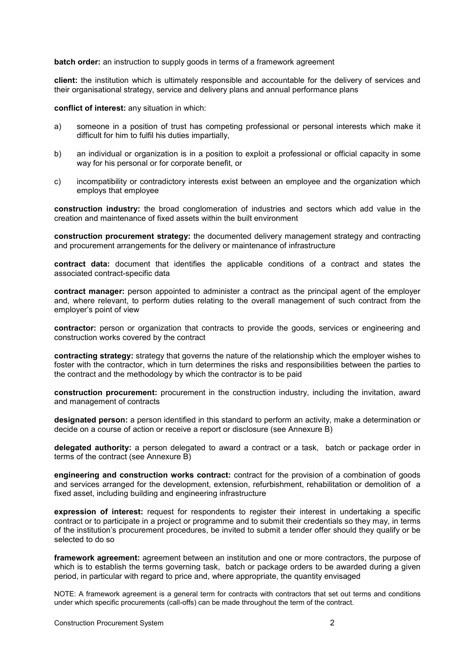#### **batch order:** an instruction to supply goods in terms of a framework agreement

**client:** the institution which is ultimately responsible and accountable for the delivery of services and their organisational strategy, service and delivery plans and annual performance plans

**conflict of interest:** any situation in which:

- a) someone in a position of trust has competing professional or personal interests which make it difficult for him to fulfil his duties impartially,
- b) an individual or organization is in a position to exploit a professional or official capacity in some way for his personal or for corporate benefit, or
- c) incompatibility or contradictory interests exist between an employee and the organization which employs that employee

**construction industry:** the broad conglomeration of industries and sectors which add value in the creation and maintenance of fixed assets within the built environment

**construction procurement strategy:** the documented delivery management strategy and contracting and procurement arrangements for the delivery or maintenance of infrastructure

**contract data:** document that identifies the applicable conditions of a contract and states the associated contract-specific data

**contract manager:** person appointed to administer a contract as the principal agent of the employer and, where relevant, to perform duties relating to the overall management of such contract from the employer's point of view

**contractor:** person or organization that contracts to provide the goods, services or engineering and construction works covered by the contract

**contracting strategy:** strategy that governs the nature of the relationship which the employer wishes to foster with the contractor, which in turn determines the risks and responsibilities between the parties to the contract and the methodology by which the contractor is to be paid

**construction procurement:** procurement in the construction industry, including the invitation, award and management of contracts

**designated person:** a person identified in this standard to perform an activity, make a determination or decide on a course of action or receive a report or disclosure (see Annexure B)

**delegated authority:** a person delegated to award a contract or a task, batch or package order in terms of the contract (see Annexure B)

**engineering and construction works contract:** contract for the provision of a combination of goods and services arranged for the development, extension, refurbishment, rehabilitation or demolition of a fixed asset, including building and engineering infrastructure

**expression of interest:** request for respondents to register their interest in undertaking a specific contract or to participate in a project or programme and to submit their credentials so they may, in terms of the institution's procurement procedures, be invited to submit a tender offer should they qualify or be selected to do so

**framework agreement:** agreement between an institution and one or more contractors, the purpose of which is to establish the terms governing task, batch or package orders to be awarded during a given period, in particular with regard to price and, where appropriate, the quantity envisaged

NOTE: A framework agreement is a general term for contracts with contractors that set out terms and conditions under which specific procurements (call-offs) can be made throughout the term of the contract.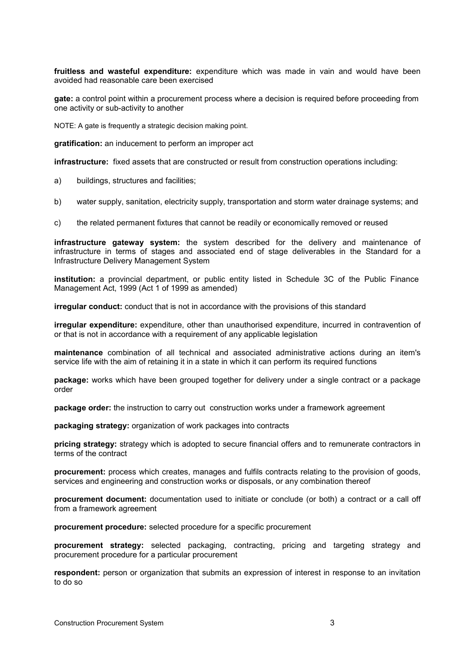**fruitless and wasteful expenditure:** expenditure which was made in vain and would have been avoided had reasonable care been exercised

**gate:** a control point within a procurement process where a decision is required before proceeding from one activity or sub-activity to another

NOTE: A gate is frequently a strategic decision making point.

**gratification:** an inducement to perform an improper act

**infrastructure:** fixed assets that are constructed or result from construction operations including:

- a) buildings, structures and facilities;
- b) water supply, sanitation, electricity supply, transportation and storm water drainage systems; and
- c) the related permanent fixtures that cannot be readily or economically removed or reused

**infrastructure gateway system:** the system described for the delivery and maintenance of infrastructure in terms of stages and associated end of stage deliverables in the Standard for a Infrastructure Delivery Management System

**institution:** a provincial department, or public entity listed in Schedule 3C of the Public Finance Management Act, 1999 (Act 1 of 1999 as amended)

**irregular conduct:** conduct that is not in accordance with the provisions of this standard

**irregular expenditure:** expenditure, other than unauthorised expenditure, incurred in contravention of or that is not in accordance with a requirement of any applicable legislation

**maintenance** combination of all technical and associated administrative actions during an item's service life with the aim of retaining it in a state in which it can perform its required functions

**package:** works which have been grouped together for delivery under a single contract or a package order

**package order:** the instruction to carry out construction works under a framework agreement

**packaging strategy:** organization of work packages into contracts

**pricing strategy:** strategy which is adopted to secure financial offers and to remunerate contractors in terms of the contract

**procurement:** process which creates, manages and fulfils contracts relating to the provision of goods, services and engineering and construction works or disposals, or any combination thereof

**procurement document:** documentation used to initiate or conclude (or both) a contract or a call off from a framework agreement

**procurement procedure:** selected procedure for a specific procurement

**procurement strategy:** selected packaging, contracting, pricing and targeting strategy and procurement procedure for a particular procurement

**respondent:** person or organization that submits an expression of interest in response to an invitation to do so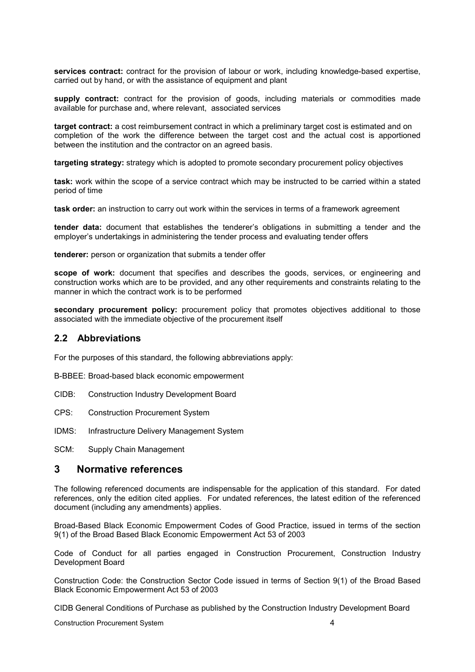**services contract:** contract for the provision of labour or work, including knowledge-based expertise, carried out by hand, or with the assistance of equipment and plant

**supply contract:** contract for the provision of goods, including materials or commodities made available for purchase and, where relevant, associated services

**target contract:** a cost reimbursement contract in which a preliminary target cost is estimated and on completion of the work the difference between the target cost and the actual cost is apportioned between the institution and the contractor on an agreed basis.

**targeting strategy:** strategy which is adopted to promote secondary procurement policy objectives

**task:** work within the scope of a service contract which may be instructed to be carried within a stated period of time

**task order:** an instruction to carry out work within the services in terms of a framework agreement

**tender data:** document that establishes the tenderer's obligations in submitting a tender and the employer's undertakings in administering the tender process and evaluating tender offers

**tenderer:** person or organization that submits a tender offer

**scope of work:** document that specifies and describes the goods, services, or engineering and construction works which are to be provided, and any other requirements and constraints relating to the manner in which the contract work is to be performed

secondary procurement policy: procurement policy that promotes objectives additional to those associated with the immediate objective of the procurement itself

#### **2.2 Abbreviations**

For the purposes of this standard, the following abbreviations apply:

B-BBEE: Broad-based black economic empowerment

- CIDB: Construction Industry Development Board
- CPS: Construction Procurement System
- IDMS: Infrastructure Delivery Management System

SCM: Supply Chain Management

#### **3 Normative references**

The following referenced documents are indispensable for the application of this standard. For dated references, only the edition cited applies. For undated references, the latest edition of the referenced document (including any amendments) applies.

Broad-Based Black Economic Empowerment Codes of Good Practice, issued in terms of the section 9(1) of the Broad Based Black Economic Empowerment Act 53 of 2003

Code of Conduct for all parties engaged in Construction Procurement, Construction Industry Development Board

Construction Code: the Construction Sector Code issued in terms of Section 9(1) of the Broad Based Black Economic Empowerment Act 53 of 2003

CIDB General Conditions of Purchase as published by the Construction Industry Development Board

Construction Procurement System 4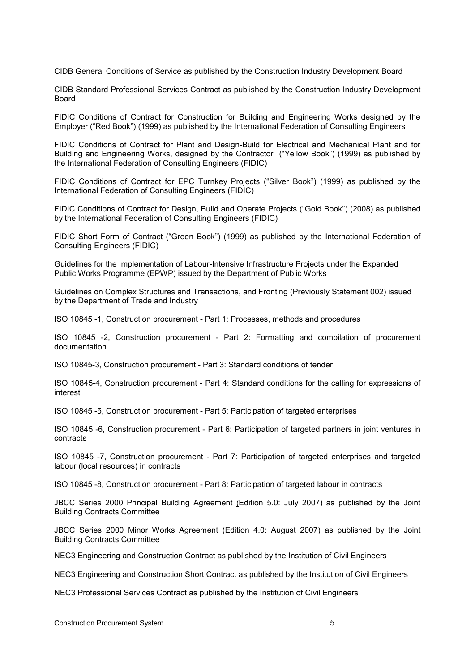CIDB General Conditions of Service as published by the Construction Industry Development Board

CIDB Standard Professional Services Contract as published by the Construction Industry Development Board

FIDIC Conditions of Contract for Construction for Building and Engineering Works designed by the Employer ("Red Book") (1999) as published by the International Federation of Consulting Engineers

FIDIC Conditions of Contract for Plant and Design-Build for Electrical and Mechanical Plant and for Building and Engineering Works, designed by the Contractor ("Yellow Book") (1999) as published by the International Federation of Consulting Engineers (FIDIC)

FIDIC Conditions of Contract for EPC Turnkey Projects ("Silver Book") (1999) as published by the International Federation of Consulting Engineers (FIDIC)

FIDIC Conditions of Contract for Design, Build and Operate Projects ("Gold Book") (2008) as published by the International Federation of Consulting Engineers (FIDIC)

FIDIC Short Form of Contract ("Green Book") (1999) as published by the International Federation of Consulting Engineers (FIDIC)

Guidelines for the Implementation of Labour-Intensive Infrastructure Projects under the Expanded Public Works Programme (EPWP) issued by the Department of Public Works

Guidelines on Complex Structures and Transactions, and Fronting (Previously Statement 002) issued by the Department of Trade and Industry

ISO 10845 -1, Construction procurement - Part 1: Processes, methods and procedures

ISO 10845 -2, Construction procurement - Part 2: Formatting and compilation of procurement documentation

ISO 10845-3, Construction procurement - Part 3: Standard conditions of tender

ISO 10845-4, Construction procurement - Part 4: Standard conditions for the calling for expressions of interest

ISO 10845 -5, Construction procurement - Part 5: Participation of targeted enterprises

ISO 10845 -6, Construction procurement - Part 6: Participation of targeted partners in joint ventures in contracts

ISO 10845 -7, Construction procurement - Part 7: Participation of targeted enterprises and targeted labour (local resources) in contracts

ISO 10845 -8, Construction procurement - Part 8: Participation of targeted labour in contracts

JBCC Series 2000 Principal Building Agreement (Edition 5.0: July 2007) as published by the Joint Building Contracts Committee

JBCC Series 2000 Minor Works Agreement (Edition 4.0: August 2007) as published by the Joint Building Contracts Committee

NEC3 Engineering and Construction Contract as published by the Institution of Civil Engineers

NEC3 Engineering and Construction Short Contract as published by the Institution of Civil Engineers

NEC3 Professional Services Contract as published by the Institution of Civil Engineers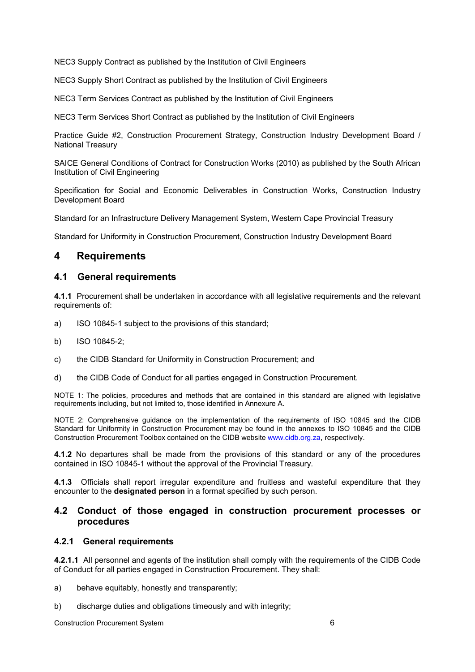NEC3 Supply Contract as published by the Institution of Civil Engineers

NEC3 Supply Short Contract as published by the Institution of Civil Engineers

NEC3 Term Services Contract as published by the Institution of Civil Engineers

NEC3 Term Services Short Contract as published by the Institution of Civil Engineers

Practice Guide #2, Construction Procurement Strategy, Construction Industry Development Board / National Treasury

SAICE General Conditions of Contract for Construction Works (2010) as published by the South African Institution of Civil Engineering

Specification for Social and Economic Deliverables in Construction Works, Construction Industry Development Board

Standard for an Infrastructure Delivery Management System, Western Cape Provincial Treasury

Standard for Uniformity in Construction Procurement, Construction Industry Development Board

## **4 Requirements**

#### **4.1 General requirements**

**4.1.1** Procurement shall be undertaken in accordance with all legislative requirements and the relevant requirements of:

- a) ISO 10845-1 subject to the provisions of this standard;
- b) ISO 10845-2;
- c) the CIDB Standard for Uniformity in Construction Procurement; and
- d) the CIDB Code of Conduct for all parties engaged in Construction Procurement.

NOTE 1: The policies, procedures and methods that are contained in this standard are aligned with legislative requirements including, but not limited to, those identified in Annexure A.

NOTE 2: Comprehensive guidance on the implementation of the requirements of ISO 10845 and the CIDB Standard for Uniformity in Construction Procurement may be found in the annexes to ISO 10845 and the CIDB Construction Procurement Toolbox contained on the CIDB website www.cidb.org.za, respectively.

**4.1.2** No departures shall be made from the provisions of this standard or any of the procedures contained in ISO 10845-1 without the approval of the Provincial Treasury.

**4.1.3** Officials shall report irregular expenditure and fruitless and wasteful expenditure that they encounter to the **designated person** in a format specified by such person.

#### **4.2 Conduct of those engaged in construction procurement processes or procedures**

#### **4.2.1 General requirements**

**4.2.1.1** All personnel and agents of the institution shall comply with the requirements of the CIDB Code of Conduct for all parties engaged in Construction Procurement. They shall:

- a) behave equitably, honestly and transparently;
- b) discharge duties and obligations timeously and with integrity;

Construction Procurement System 6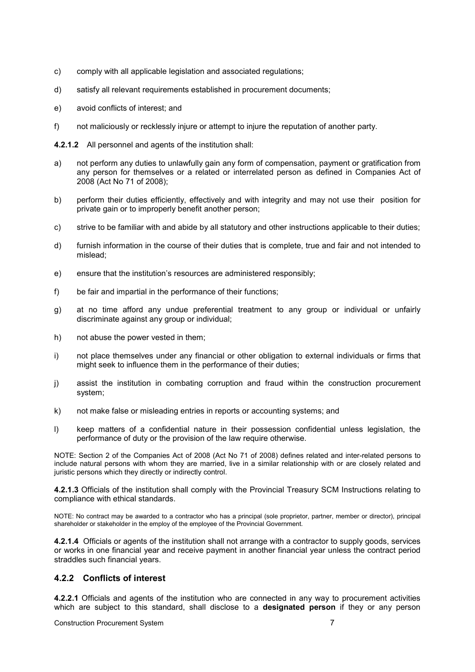- c) comply with all applicable legislation and associated regulations;
- d) satisfy all relevant requirements established in procurement documents;
- e) avoid conflicts of interest; and
- f) not maliciously or recklessly injure or attempt to injure the reputation of another party.

**4.2.1.2** All personnel and agents of the institution shall:

- a) not perform any duties to unlawfully gain any form of compensation, payment or gratification from any person for themselves or a related or interrelated person as defined in Companies Act of 2008 (Act No 71 of 2008);
- b) perform their duties efficiently, effectively and with integrity and may not use their position for private gain or to improperly benefit another person;
- c) strive to be familiar with and abide by all statutory and other instructions applicable to their duties;
- d) furnish information in the course of their duties that is complete, true and fair and not intended to mislead;
- e) ensure that the institution's resources are administered responsibly;
- f) be fair and impartial in the performance of their functions;
- g) at no time afford any undue preferential treatment to any group or individual or unfairly discriminate against any group or individual;
- h) not abuse the power vested in them;
- i) not place themselves under any financial or other obligation to external individuals or firms that might seek to influence them in the performance of their duties;
- j) assist the institution in combating corruption and fraud within the construction procurement system;
- k) not make false or misleading entries in reports or accounting systems; and
- l) keep matters of a confidential nature in their possession confidential unless legislation, the performance of duty or the provision of the law require otherwise.

NOTE: Section 2 of the Companies Act of 2008 (Act No 71 of 2008) defines related and inter-related persons to include natural persons with whom they are married, live in a similar relationship with or are closely related and juristic persons which they directly or indirectly control.

**4.2.1.3** Officials of the institution shall comply with the Provincial Treasury SCM Instructions relating to compliance with ethical standards.

NOTE: No contract may be awarded to a contractor who has a principal (sole proprietor, partner, member or director), principal shareholder or stakeholder in the employ of the employee of the Provincial Government.

**4.2.1.4** Officials or agents of the institution shall not arrange with a contractor to supply goods, services or works in one financial year and receive payment in another financial year unless the contract period straddles such financial years.

#### **4.2.2 Conflicts of interest**

**4.2.2.1** Officials and agents of the institution who are connected in any way to procurement activities which are subject to this standard, shall disclose to a **designated person** if they or any person

Construction Procurement System 7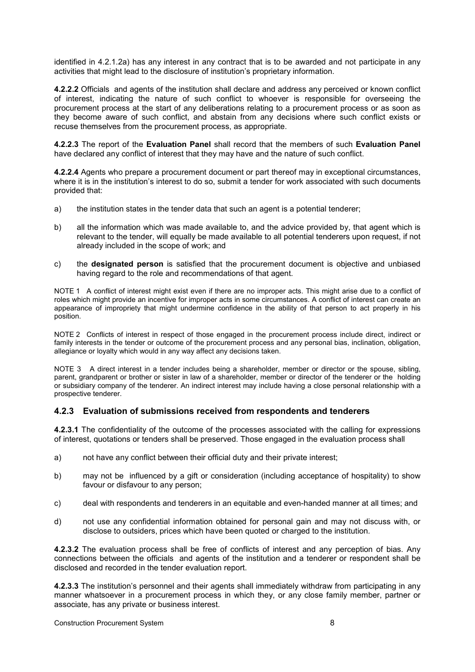identified in 4.2.1.2a) has any interest in any contract that is to be awarded and not participate in any activities that might lead to the disclosure of institution's proprietary information.

**4.2.2.2** Officials and agents of the institution shall declare and address any perceived or known conflict of interest, indicating the nature of such conflict to whoever is responsible for overseeing the procurement process at the start of any deliberations relating to a procurement process or as soon as they become aware of such conflict, and abstain from any decisions where such conflict exists or recuse themselves from the procurement process, as appropriate.

**4.2.2.3** The report of the **Evaluation Panel** shall record that the members of such **Evaluation Panel** have declared any conflict of interest that they may have and the nature of such conflict.

**4.2.2.4** Agents who prepare a procurement document or part thereof may in exceptional circumstances, where it is in the institution's interest to do so, submit a tender for work associated with such documents provided that:

- a) the institution states in the tender data that such an agent is a potential tenderer;
- b) all the information which was made available to, and the advice provided by, that agent which is relevant to the tender, will equally be made available to all potential tenderers upon request, if not already included in the scope of work; and
- c) the **designated person** is satisfied that the procurement document is objective and unbiased having regard to the role and recommendations of that agent.

NOTE 1 A conflict of interest might exist even if there are no improper acts. This might arise due to a conflict of roles which might provide an incentive for improper acts in some circumstances. A conflict of interest can create an appearance of impropriety that might undermine confidence in the ability of that person to act properly in his position.

NOTE 2 Conflicts of interest in respect of those engaged in the procurement process include direct, indirect or family interests in the tender or outcome of the procurement process and any personal bias, inclination, obligation, allegiance or loyalty which would in any way affect any decisions taken.

NOTE 3 A direct interest in a tender includes being a shareholder, member or director or the spouse, sibling, parent, grandparent or brother or sister in law of a shareholder, member or director of the tenderer or the holding or subsidiary company of the tenderer. An indirect interest may include having a close personal relationship with a prospective tenderer.

#### **4.2.3 Evaluation of submissions received from respondents and tenderers**

**4.2.3.1** The confidentiality of the outcome of the processes associated with the calling for expressions of interest, quotations or tenders shall be preserved. Those engaged in the evaluation process shall

- a) not have any conflict between their official duty and their private interest;
- b) may not be influenced by a gift or consideration (including acceptance of hospitality) to show favour or disfavour to any person:
- c) deal with respondents and tenderers in an equitable and even-handed manner at all times; and
- d) not use any confidential information obtained for personal gain and may not discuss with, or disclose to outsiders, prices which have been quoted or charged to the institution*.*

**4.2.3.2** The evaluation process shall be free of conflicts of interest and any perception of bias. Any connections between the officials and agents of the institution and a tenderer or respondent shall be disclosed and recorded in the tender evaluation report.

**4.2.3.3** The institution's personnel and their agents shall immediately withdraw from participating in any manner whatsoever in a procurement process in which they, or any close family member, partner or associate, has any private or business interest.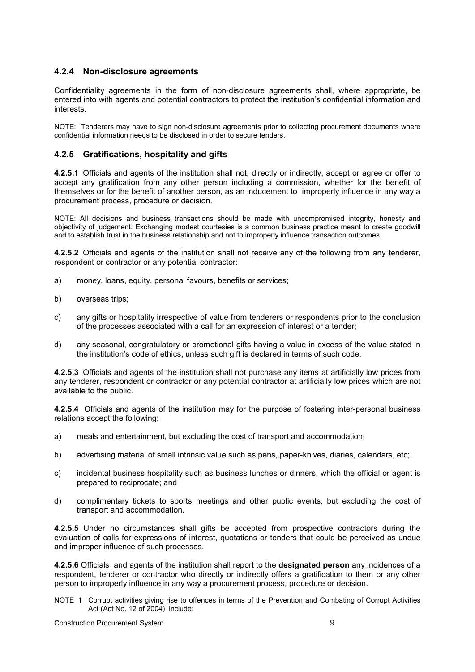#### **4.2.4 Non-disclosure agreements**

Confidentiality agreements in the form of non-disclosure agreements shall, where appropriate, be entered into with agents and potential contractors to protect the institution's confidential information and interests.

NOTE: Tenderers may have to sign non-disclosure agreements prior to collecting procurement documents where confidential information needs to be disclosed in order to secure tenders.

#### **4.2.5 Gratifications, hospitality and gifts**

**4.2.5.1** Officials and agents of the institution shall not, directly or indirectly, accept or agree or offer to accept any gratification from any other person including a commission, whether for the benefit of themselves or for the benefit of another person, as an inducement to improperly influence in any way a procurement process, procedure or decision.

NOTE: All decisions and business transactions should be made with uncompromised integrity, honesty and objectivity of judgement. Exchanging modest courtesies is a common business practice meant to create goodwill and to establish trust in the business relationship and not to improperly influence transaction outcomes.

**4.2.5.2** Officials and agents of the institution shall not receive any of the following from any tenderer, respondent or contractor or any potential contractor:

- a) money, loans, equity, personal favours, benefits or services;
- b) overseas trips;
- c) any gifts or hospitality irrespective of value from tenderers or respondents prior to the conclusion of the processes associated with a call for an expression of interest or a tender;
- d) any seasonal, congratulatory or promotional gifts having a value in excess of the value stated in the institution's code of ethics, unless such gift is declared in terms of such code.

**4.2.5.3** Officials and agents of the institution shall not purchase any items at artificially low prices from any tenderer, respondent or contractor or any potential contractor at artificially low prices which are not available to the public.

**4.2.5.4** Officials and agents of the institution may for the purpose of fostering inter-personal business relations accept the following:

- a) meals and entertainment, but excluding the cost of transport and accommodation;
- b) advertising material of small intrinsic value such as pens, paper-knives, diaries, calendars, etc;
- c) incidental business hospitality such as business lunches or dinners, which the official or agent is prepared to reciprocate; and
- d) complimentary tickets to sports meetings and other public events, but excluding the cost of transport and accommodation.

**4.2.5.5** Under no circumstances shall gifts be accepted from prospective contractors during the evaluation of calls for expressions of interest, quotations or tenders that could be perceived as undue and improper influence of such processes.

**4.2.5.6** Officials and agents of the institution shall report to the **designated person** any incidences of a respondent, tenderer or contractor who directly or indirectly offers a gratification to them or any other person to improperly influence in any way a procurement process, procedure or decision.

NOTE 1Corrupt activities giving rise to offences in terms of the Prevention and Combating of Corrupt Activities Act (Act No. 12 of 2004) include:

Construction Procurement System 9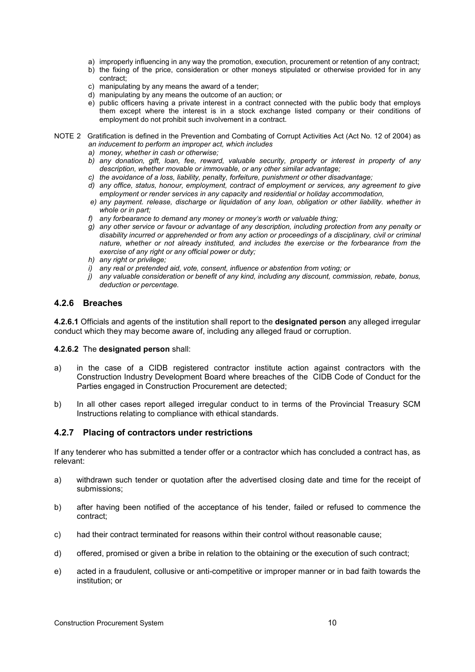- a) improperly influencing in any way the promotion, execution, procurement or retention of any contract;
- b) the fixing of the price, consideration or other moneys stipulated or otherwise provided for in any contract;
- c) manipulating by any means the award of a tender;
- d) manipulating by any means the outcome of an auction; or
- e) public officers having a private interest in a contract connected with the public body that employs them except where the interest is in a stock exchange listed company or their conditions of employment do not prohibit such involvement in a contract.
- NOTE 2 Gratification is defined in the Prevention and Combating of Corrupt Activities Act (Act No. 12 of 2004) as *an inducement to perform an improper act, which includes* 
	- *a) money, whether in cash or otherwise;*
	- *b) any donation, gift, loan, fee, reward, valuable security, property or interest in property of any description, whether movable or immovable, or any other similar advantage;*
	- *c) the avoidance of a loss, liability, penalty, forfeiture, punishment or other disadvantage;*
	- *d) any office, status, honour, employment, contract of employment or services, any agreement to give employment or render services in any capacity and residential or holiday accommodation,*
	- *e) any payment. release, discharge or liquidation of any loan, obligation or other liability. whether in whole or in part;*
	- *f) any forbearance to demand any money or money's worth or valuable thing;*
	- *g) any other service or favour or advantage of any description, including protection from any penalty or disability incurred or apprehended or from any action or proceedings of a disciplinary, civil or criminal nature, whether or not already instituted, and includes the exercise or the forbearance from the exercise of any right or any official power or duty;*
	- *h) any right or privilege;*
	- *i) any real or pretended aid, vote, consent, influence or abstention from voting; or*
	- *j) any valuable consideration or benefit of any kind, including any discount, commission, rebate, bonus, deduction or percentage.*

#### **4.2.6 Breaches**

**4.2.6.1** Officials and agents of the institution shall report to the **designated person** any alleged irregular conduct which they may become aware of, including any alleged fraud or corruption.

#### **4.2.6.2** The **designated person** shall:

- a) in the case of a CIDB registered contractor institute action against contractors with the Construction Industry Development Board where breaches of the CIDB Code of Conduct for the Parties engaged in Construction Procurement are detected;
- b) In all other cases report alleged irregular conduct to in terms of the Provincial Treasury SCM Instructions relating to compliance with ethical standards.

#### **4.2.7 Placing of contractors under restrictions**

If any tenderer who has submitted a tender offer or a contractor which has concluded a contract has, as relevant:

- a) withdrawn such tender or quotation after the advertised closing date and time for the receipt of submissions;
- b) after having been notified of the acceptance of his tender, failed or refused to commence the contract;
- c) had their contract terminated for reasons within their control without reasonable cause;
- d) offered, promised or given a bribe in relation to the obtaining or the execution of such contract;
- e) acted in a fraudulent, collusive or anti-competitive or improper manner or in bad faith towards the institution; or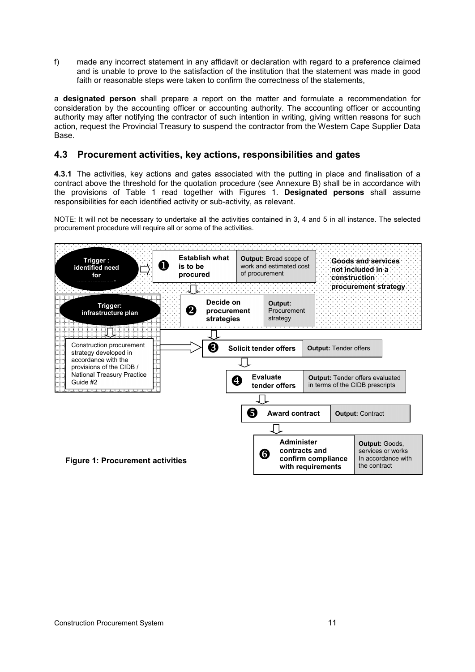f) made any incorrect statement in any affidavit or declaration with regard to a preference claimed and is unable to prove to the satisfaction of the institution that the statement was made in good faith or reasonable steps were taken to confirm the correctness of the statements,

a **designated person** shall prepare a report on the matter and formulate a recommendation for consideration by the accounting officer or accounting authority. The accounting officer or accounting authority may after notifying the contractor of such intention in writing, giving written reasons for such action, request the Provincial Treasury to suspend the contractor from the Western Cape Supplier Data Base.

## **4.3 Procurement activities, key actions, responsibilities and gates**

**4.3.1** The activities, key actions and gates associated with the putting in place and finalisation of a contract above the threshold for the quotation procedure (see Annexure B) shall be in accordance with the provisions of Table 1 read together with Figures 1. **Designated persons** shall assume responsibilities for each identified activity or sub-activity, as relevant.

NOTE: It will not be necessary to undertake all the activities contained in 3, 4 and 5 in all instance. The selected procurement procedure will require all or some of the activities.

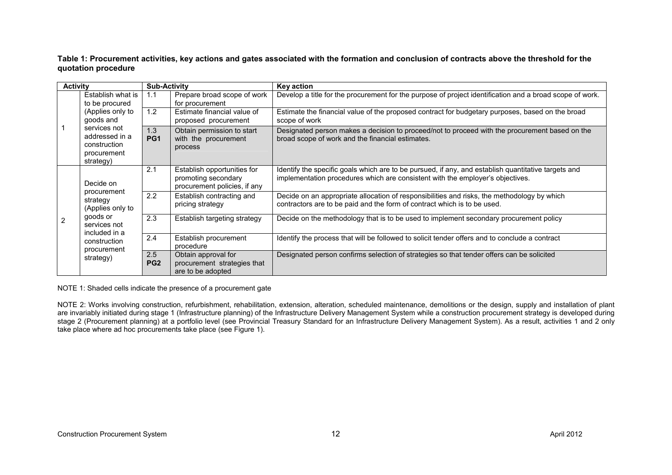**Table 1: Procurement activities, key actions and gates associated with the formation and conclusion of contracts above the threshold for the quotation procedure** 

| <b>Activity</b> |                                                                                                                                      | <b>Sub-Activity</b>                                   |                                                                                    | <b>Key action</b>                                                                                                                                                                     |  |  |
|-----------------|--------------------------------------------------------------------------------------------------------------------------------------|-------------------------------------------------------|------------------------------------------------------------------------------------|---------------------------------------------------------------------------------------------------------------------------------------------------------------------------------------|--|--|
|                 | Establish what is<br>to be procured                                                                                                  | Prepare broad scope of work<br>1.1<br>for procurement |                                                                                    | Develop a title for the procurement for the purpose of project identification and a broad scope of work.                                                                              |  |  |
|                 | (Applies only to<br>goods and                                                                                                        | 1.2                                                   | Estimate financial value of<br>proposed procurement                                | Estimate the financial value of the proposed contract for budgetary purposes, based on the broad<br>scope of work                                                                     |  |  |
|                 | services not<br>addressed in a<br>construction<br>procurement<br>strategy)                                                           | 1.3<br>PG <sub>1</sub>                                | Obtain permission to start<br>with the procurement<br>process                      | Designated person makes a decision to proceed/not to proceed with the procurement based on the<br>broad scope of work and the financial estimates.                                    |  |  |
|                 | Decide on<br>procurement<br>strategy<br>(Applies only to<br>goods or<br>services not<br>included in a<br>construction<br>procurement | 2.1                                                   | Establish opportunities for<br>promoting secondary<br>procurement policies, if any | Identify the specific goals which are to be pursued, if any, and establish quantitative targets and<br>implementation procedures which are consistent with the employer's objectives. |  |  |
|                 |                                                                                                                                      | 2.2                                                   | Establish contracting and<br>pricing strategy                                      | Decide on an appropriate allocation of responsibilities and risks, the methodology by which<br>contractors are to be paid and the form of contract which is to be used.               |  |  |
| $\overline{2}$  |                                                                                                                                      | 2.3                                                   | Establish targeting strategy                                                       | Decide on the methodology that is to be used to implement secondary procurement policy                                                                                                |  |  |
|                 |                                                                                                                                      | 2.4                                                   | Establish procurement<br>procedure                                                 | Identify the process that will be followed to solicit tender offers and to conclude a contract                                                                                        |  |  |
|                 | strategy)                                                                                                                            | 2.5<br>PG <sub>2</sub>                                | Obtain approval for<br>procurement strategies that<br>are to be adopted            | Designated person confirms selection of strategies so that tender offers can be solicited                                                                                             |  |  |

NOTE 1: Shaded cells indicate the presence of a procurement gate

NOTE 2: Works involving construction, refurbishment, rehabilitation, extension, alteration, scheduled maintenance, demolitions or the design, supply and installation of plant are invariably initiated during stage 1 (Infrastructure planning) of the Infrastructure Delivery Management System while a construction procurement strategy is developed during stage 2 (Procurement planning) at a portfolio level (see Provincial Treasury Standard for an Infrastructure Delivery Management System). As a result, activities 1 and 2 only take place where ad hoc procurements take place (see Figure 1).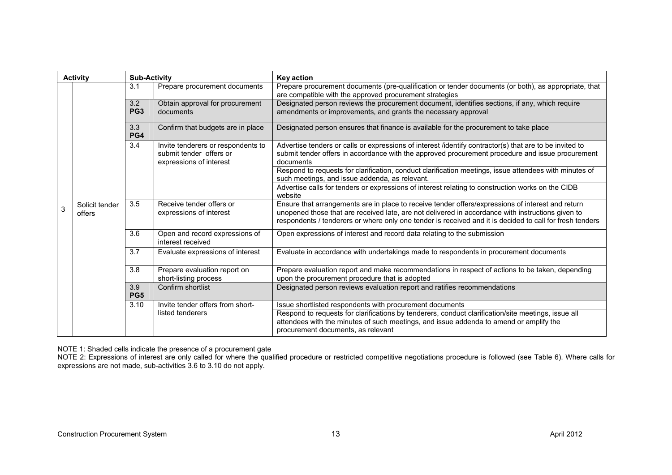|   | <b>Activity</b>          | <b>Sub-Activity</b>    |                                                                                          | Key action                                                                                                                                                                                                                                                                                                         |
|---|--------------------------|------------------------|------------------------------------------------------------------------------------------|--------------------------------------------------------------------------------------------------------------------------------------------------------------------------------------------------------------------------------------------------------------------------------------------------------------------|
|   |                          | 3.1                    | Prepare procurement documents                                                            | Prepare procurement documents (pre-qualification or tender documents (or both), as appropriate, that<br>are compatible with the approved procurement strategies                                                                                                                                                    |
|   |                          | 3.2<br>PG <sub>3</sub> | Obtain approval for procurement<br>documents                                             | Designated person reviews the procurement document, identifies sections, if any, which require<br>amendments or improvements, and grants the necessary approval                                                                                                                                                    |
|   |                          | 3.3<br>PG4             | Confirm that budgets are in place                                                        | Designated person ensures that finance is available for the procurement to take place                                                                                                                                                                                                                              |
|   |                          | 3.4                    | Invite tenderers or respondents to<br>submit tender offers or<br>expressions of interest | Advertise tenders or calls or expressions of interest /identify contractor(s) that are to be invited to<br>submit tender offers in accordance with the approved procurement procedure and issue procurement<br>documents                                                                                           |
|   |                          |                        |                                                                                          | Respond to requests for clarification, conduct clarification meetings, issue attendees with minutes of<br>such meetings, and issue addenda, as relevant.                                                                                                                                                           |
|   | Solicit tender<br>offers |                        |                                                                                          | Advertise calls for tenders or expressions of interest relating to construction works on the CIDB<br>website                                                                                                                                                                                                       |
| 3 |                          | 3.5                    | Receive tender offers or<br>expressions of interest                                      | Ensure that arrangements are in place to receive tender offers/expressions of interest and return<br>unopened those that are received late, are not delivered in accordance with instructions given to<br>respondents / tenderers or where only one tender is received and it is decided to call for fresh tenders |
|   |                          | 3.6                    | Open and record expressions of<br>interest received                                      | Open expressions of interest and record data relating to the submission                                                                                                                                                                                                                                            |
|   |                          | 3.7                    | Evaluate expressions of interest                                                         | Evaluate in accordance with undertakings made to respondents in procurement documents                                                                                                                                                                                                                              |
|   |                          | 3.8                    | Prepare evaluation report on<br>short-listing process                                    | Prepare evaluation report and make recommendations in respect of actions to be taken, depending<br>upon the procurement procedure that is adopted                                                                                                                                                                  |
|   |                          | 3.9<br>PG <sub>5</sub> | Confirm shortlist                                                                        | Designated person reviews evaluation report and ratifies recommendations                                                                                                                                                                                                                                           |
|   |                          | 3.10                   | Invite tender offers from short-                                                         | Issue shortlisted respondents with procurement documents                                                                                                                                                                                                                                                           |
|   |                          |                        | listed tenderers                                                                         | Respond to requests for clarifications by tenderers, conduct clarification/site meetings, issue all<br>attendees with the minutes of such meetings, and issue addenda to amend or amplify the<br>procurement documents, as relevant                                                                                |

NOTE 1: Shaded cells indicate the presence of a procurement gate<br>NOTE 2: Expressions of interest are only called for where the qualified procedure or restricted competitive negotiations procedure is followed (see Table 6).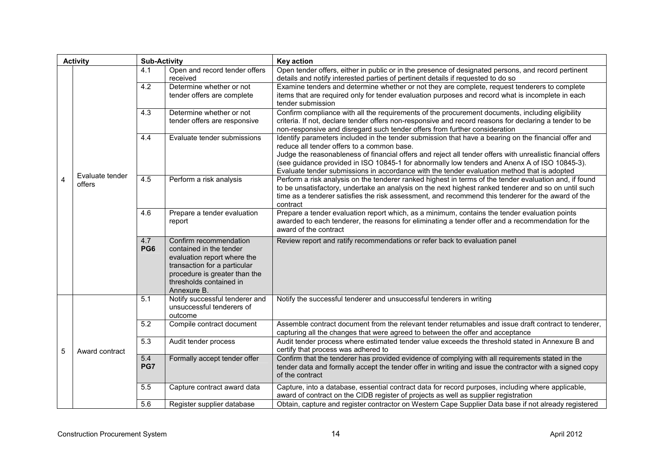| <b>Activity</b> |                           | <b>Sub-Activity</b> |                                                                                                                                                                                             | <b>Key action</b>                                                                                                                                                                                                                                                                                                                                                                                                                                                 |
|-----------------|---------------------------|---------------------|---------------------------------------------------------------------------------------------------------------------------------------------------------------------------------------------|-------------------------------------------------------------------------------------------------------------------------------------------------------------------------------------------------------------------------------------------------------------------------------------------------------------------------------------------------------------------------------------------------------------------------------------------------------------------|
|                 |                           | 4.1                 | Open and record tender offers<br>received                                                                                                                                                   | Open tender offers, either in public or in the presence of designated persons, and record pertinent<br>details and notify interested parties of pertinent details if requested to do so                                                                                                                                                                                                                                                                           |
|                 |                           | 4.2                 | Determine whether or not<br>tender offers are complete                                                                                                                                      | Examine tenders and determine whether or not they are complete, request tenderers to complete<br>items that are required only for tender evaluation purposes and record what is incomplete in each<br>tender submission                                                                                                                                                                                                                                           |
|                 |                           | 4.3                 | Determine whether or not<br>tender offers are responsive                                                                                                                                    | Confirm compliance with all the requirements of the procurement documents, including eligibility<br>criteria. If not, declare tender offers non-responsive and record reasons for declaring a tender to be<br>non-responsive and disregard such tender offers from further consideration                                                                                                                                                                          |
|                 |                           | 4.4                 | Evaluate tender submissions                                                                                                                                                                 | Identify parameters included in the tender submission that have a bearing on the financial offer and<br>reduce all tender offers to a common base.<br>Judge the reasonableness of financial offers and reject all tender offers with unrealistic financial offers<br>(see guidance provided in ISO 10845-1 for abnormally low tenders and Anenx A of ISO 10845-3).<br>Evaluate tender submissions in accordance with the tender evaluation method that is adopted |
| $\overline{4}$  | Evaluate tender<br>offers | 4.5                 | Perform a risk analysis                                                                                                                                                                     | Perform a risk analysis on the tenderer ranked highest in terms of the tender evaluation and, if found<br>to be unsatisfactory, undertake an analysis on the next highest ranked tenderer and so on until such<br>time as a tenderer satisfies the risk assessment, and recommend this tenderer for the award of the<br>contract                                                                                                                                  |
|                 |                           | 4.6                 | Prepare a tender evaluation<br>report                                                                                                                                                       | Prepare a tender evaluation report which, as a minimum, contains the tender evaluation points<br>awarded to each tenderer, the reasons for eliminating a tender offer and a recommendation for the<br>award of the contract                                                                                                                                                                                                                                       |
|                 |                           | 4.7<br>PG6          | Confirm recommendation<br>contained in the tender<br>evaluation report where the<br>transaction for a particular<br>procedure is greater than the<br>thresholds contained in<br>Annexure B. | Review report and ratify recommendations or refer back to evaluation panel                                                                                                                                                                                                                                                                                                                                                                                        |
|                 |                           | 5.1                 | Notify successful tenderer and<br>unsuccessful tenderers of<br>outcome                                                                                                                      | Notify the successful tenderer and unsuccessful tenderers in writing                                                                                                                                                                                                                                                                                                                                                                                              |
|                 |                           | 5.2                 | Compile contract document                                                                                                                                                                   | Assemble contract document from the relevant tender returnables and issue draft contract to tenderer,<br>capturing all the changes that were agreed to between the offer and acceptance                                                                                                                                                                                                                                                                           |
| 5               | Award contract            | 5.3                 | Audit tender process                                                                                                                                                                        | Audit tender process where estimated tender value exceeds the threshold stated in Annexure B and<br>certify that process was adhered to                                                                                                                                                                                                                                                                                                                           |
|                 |                           | 5.4<br>PG7          | Formally accept tender offer                                                                                                                                                                | Confirm that the tenderer has provided evidence of complying with all requirements stated in the<br>tender data and formally accept the tender offer in writing and issue the contractor with a signed copy<br>of the contract                                                                                                                                                                                                                                    |
|                 |                           | 5.5                 | Capture contract award data                                                                                                                                                                 | Capture, into a database, essential contract data for record purposes, including where applicable,<br>award of contract on the CIDB register of projects as well as supplier registration                                                                                                                                                                                                                                                                         |
|                 |                           | 5.6                 | Register supplier database                                                                                                                                                                  | Obtain, capture and register contractor on Western Cape Supplier Data base if not already registered                                                                                                                                                                                                                                                                                                                                                              |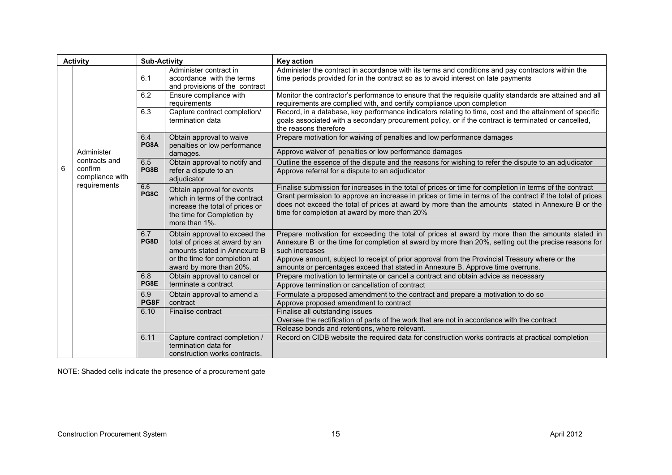| <b>Activity</b> |                                                             | <b>Sub-Activity</b> |                                                                                                                                                | <b>Key action</b>                                                                                                                                                                                                                                                                                                                                                           |
|-----------------|-------------------------------------------------------------|---------------------|------------------------------------------------------------------------------------------------------------------------------------------------|-----------------------------------------------------------------------------------------------------------------------------------------------------------------------------------------------------------------------------------------------------------------------------------------------------------------------------------------------------------------------------|
|                 |                                                             | 6.1                 | Administer contract in<br>accordance with the terms<br>and provisions of the contract                                                          | Administer the contract in accordance with its terms and conditions and pay contractors within the<br>time periods provided for in the contract so as to avoid interest on late payments                                                                                                                                                                                    |
|                 |                                                             | 6.2                 | Ensure compliance with<br>requirements                                                                                                         | Monitor the contractor's performance to ensure that the requisite quality standards are attained and all<br>requirements are complied with, and certify compliance upon completion                                                                                                                                                                                          |
|                 |                                                             | 6.3                 | Capture contract completion/<br>termination data                                                                                               | Record, in a database, key performance indicators relating to time, cost and the attainment of specific<br>goals associated with a secondary procurement policy, or if the contract is terminated or cancelled,<br>the reasons therefore                                                                                                                                    |
|                 |                                                             | 6.4<br>PG8A         | Obtain approval to waive<br>penalties or low performance                                                                                       | Prepare motivation for waiving of penalties and low performance damages                                                                                                                                                                                                                                                                                                     |
|                 | Administer                                                  |                     | damages.                                                                                                                                       | Approve waiver of penalties or low performance damages                                                                                                                                                                                                                                                                                                                      |
| 6               | contracts and<br>confirm<br>compliance with<br>requirements | 6.5<br>PG8B         | Obtain approval to notify and<br>refer a dispute to an<br>adjudicator                                                                          | Outline the essence of the dispute and the reasons for wishing to refer the dispute to an adjudicator<br>Approve referral for a dispute to an adjudicator                                                                                                                                                                                                                   |
|                 |                                                             | 6.6<br>PG8C         | Obtain approval for events<br>which in terms of the contract<br>increase the total of prices or<br>the time for Completion by<br>more than 1%. | Finalise submission for increases in the total of prices or time for completion in terms of the contract<br>Grant permission to approve an increase in prices or time in terms of the contract if the total of prices<br>does not exceed the total of prices at award by more than the amounts stated in Annexure B or the<br>time for completion at award by more than 20% |
|                 |                                                             | 6.7<br>PG8D         | Obtain approval to exceed the<br>total of prices at award by an<br>amounts stated in Annexure B                                                | Prepare motivation for exceeding the total of prices at award by more than the amounts stated in<br>Annexure B or the time for completion at award by more than 20%, setting out the precise reasons for<br>such increases                                                                                                                                                  |
|                 |                                                             |                     | or the time for completion at<br>award by more than 20%.                                                                                       | Approve amount, subject to receipt of prior approval from the Provincial Treasury where or the<br>amounts or percentages exceed that stated in Annexure B. Approve time overruns.                                                                                                                                                                                           |
|                 |                                                             | 6.8                 | Obtain approval to cancel or                                                                                                                   | Prepare motivation to terminate or cancel a contract and obtain advice as necessary                                                                                                                                                                                                                                                                                         |
|                 |                                                             | PG8E                | terminate a contract                                                                                                                           | Approve termination or cancellation of contract                                                                                                                                                                                                                                                                                                                             |
|                 |                                                             | 6.9                 | Obtain approval to amend a                                                                                                                     | Formulate a proposed amendment to the contract and prepare a motivation to do so                                                                                                                                                                                                                                                                                            |
|                 |                                                             | PG8F                | contract                                                                                                                                       | Approve proposed amendment to contract                                                                                                                                                                                                                                                                                                                                      |
|                 |                                                             | 6.10                | Finalise contract                                                                                                                              | Finalise all outstanding issues<br>Oversee the rectification of parts of the work that are not in accordance with the contract                                                                                                                                                                                                                                              |
|                 |                                                             |                     |                                                                                                                                                | Release bonds and retentions, where relevant.                                                                                                                                                                                                                                                                                                                               |
|                 |                                                             | 6.11                | Capture contract completion /<br>termination data for<br>construction works contracts.                                                         | Record on CIDB website the required data for construction works contracts at practical completion                                                                                                                                                                                                                                                                           |

NOTE: Shaded cells indicate the presence of a procurement gate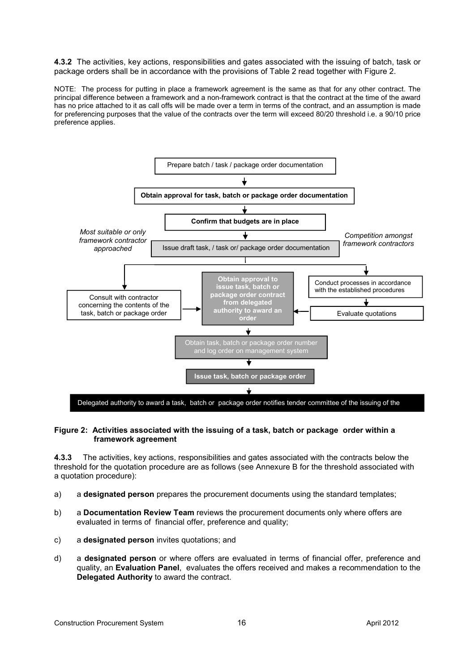**4.3.2** The activities, key actions, responsibilities and gates associated with the issuing of batch, task or package orders shall be in accordance with the provisions of Table 2 read together with Figure 2.

NOTE: The process for putting in place a framework agreement is the same as that for any other contract. The principal difference between a framework and a non-framework contract is that the contract at the time of the award has no price attached to it as call offs will be made over a term in terms of the contract, and an assumption is made for preferencing purposes that the value of the contracts over the term will exceed 80/20 threshold i.e. a 90/10 price preference applies.



#### **Figure 2: Activities associated with the issuing of a task, batch or package order within a framework agreement**

**4.3.3** The activities, key actions, responsibilities and gates associated with the contracts below the threshold for the quotation procedure are as follows (see Annexure B for the threshold associated with a quotation procedure):

- a) a **designated person** prepares the procurement documents using the standard templates;
- b) a **Documentation Review Team** reviews the procurement documents only where offers are evaluated in terms of financial offer, preference and quality;
- c) a **designated person** invites quotations; and
- d) a **designated person** or where offers are evaluated in terms of financial offer, preference and quality, an **Evaluation Panel**, evaluates the offers received and makes a recommendation to the **Delegated Authority** to award the contract.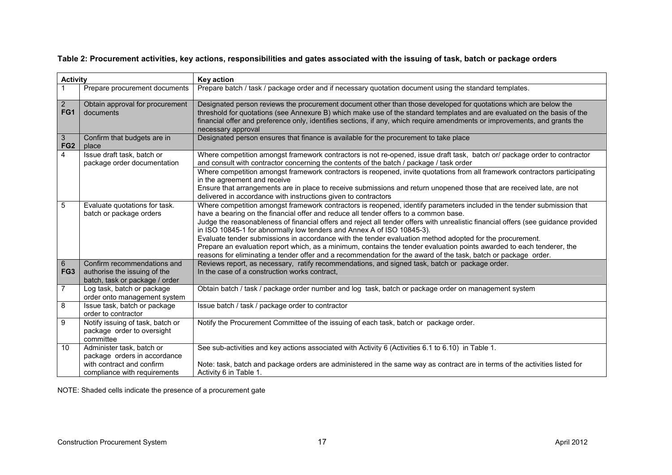**Table 2: Procurement activities, key actions, responsibilities and gates associated with the issuing of task, batch or package orders** 

| <b>Activity</b>                    |                                                                                                                        | <b>Key action</b>                                                                                                                                                                                                                                                                                                                                                                                                                                                                                                                                                                                                                                                                                                                                                                      |
|------------------------------------|------------------------------------------------------------------------------------------------------------------------|----------------------------------------------------------------------------------------------------------------------------------------------------------------------------------------------------------------------------------------------------------------------------------------------------------------------------------------------------------------------------------------------------------------------------------------------------------------------------------------------------------------------------------------------------------------------------------------------------------------------------------------------------------------------------------------------------------------------------------------------------------------------------------------|
|                                    | Prepare procurement documents                                                                                          | Prepare batch / task / package order and if necessary quotation document using the standard templates.                                                                                                                                                                                                                                                                                                                                                                                                                                                                                                                                                                                                                                                                                 |
| $\overline{2}$<br>FG1              | Obtain approval for procurement<br>documents                                                                           | Designated person reviews the procurement document other than those developed for quotations which are below the<br>threshold for quotations (see Annexure B) which make use of the standard templates and are evaluated on the basis of the<br>financial offer and preference only, identifies sections, if any, which require amendments or improvements, and grants the<br>necessary approval                                                                                                                                                                                                                                                                                                                                                                                       |
| $\mathbf{3}$<br>FG <sub>2</sub>    | Confirm that budgets are in<br>place                                                                                   | Designated person ensures that finance is available for the procurement to take place                                                                                                                                                                                                                                                                                                                                                                                                                                                                                                                                                                                                                                                                                                  |
| 4                                  | Issue draft task, batch or<br>package order documentation                                                              | Where competition amongst framework contractors is not re-opened, issue draft task, batch or/package order to contractor<br>and consult with contractor concerning the contents of the batch / package / task order<br>Where competition amongst framework contractors is reopened, invite quotations from all framework contractors participating<br>in the agreement and receive<br>Ensure that arrangements are in place to receive submissions and return unopened those that are received late, are not<br>delivered in accordance with instructions given to contractors                                                                                                                                                                                                         |
| 5                                  | Evaluate quotations for task.<br>batch or package orders                                                               | Where competition amongst framework contractors is reopened, identify parameters included in the tender submission that<br>have a bearing on the financial offer and reduce all tender offers to a common base.<br>Judge the reasonableness of financial offers and reject all tender offers with unrealistic financial offers (see guidance provided<br>in ISO 10845-1 for abnormally low tenders and Annex A of ISO 10845-3).<br>Evaluate tender submissions in accordance with the tender evaluation method adopted for the procurement.<br>Prepare an evaluation report which, as a minimum, contains the tender evaluation points awarded to each tenderer, the<br>reasons for eliminating a tender offer and a recommendation for the award of the task, batch or package order. |
| $6\overline{6}$<br>FG <sub>3</sub> | Confirm recommendations and<br>authorise the issuing of the<br>batch, task or package / order                          | Reviews report, as necessary, ratify recommendations, and signed task, batch or package order.<br>In the case of a construction works contract,                                                                                                                                                                                                                                                                                                                                                                                                                                                                                                                                                                                                                                        |
| $\overline{7}$                     | Log task, batch or package<br>order onto management system                                                             | Obtain batch / task / package order number and log task, batch or package order on management system                                                                                                                                                                                                                                                                                                                                                                                                                                                                                                                                                                                                                                                                                   |
| 8                                  | Issue task, batch or package<br>order to contractor                                                                    | Issue batch / task / package order to contractor                                                                                                                                                                                                                                                                                                                                                                                                                                                                                                                                                                                                                                                                                                                                       |
| 9                                  | Notify issuing of task, batch or<br>package order to oversight<br>committee                                            | Notify the Procurement Committee of the issuing of each task, batch or package order.                                                                                                                                                                                                                                                                                                                                                                                                                                                                                                                                                                                                                                                                                                  |
| 10                                 | Administer task, batch or<br>package orders in accordance<br>with contract and confirm<br>compliance with requirements | See sub-activities and key actions associated with Activity 6 (Activities 6.1 to 6.10) in Table 1.<br>Note: task, batch and package orders are administered in the same way as contract are in terms of the activities listed for<br>Activity 6 in Table 1.                                                                                                                                                                                                                                                                                                                                                                                                                                                                                                                            |

NOTE: Shaded cells indicate the presence of a procurement gate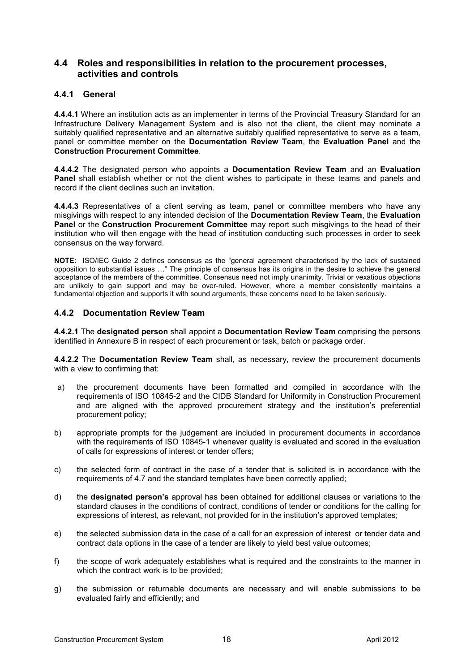#### **4.4 Roles and responsibilities in relation to the procurement processes, activities and controls**

#### **4.4.1 General**

**4.4.4.1** Where an institution acts as an implementer in terms of the Provincial Treasury Standard for an Infrastructure Delivery Management System and is also not the client, the client may nominate a suitably qualified representative and an alternative suitably qualified representative to serve as a team, panel or committee member on the **Documentation Review Team**, the **Evaluation Panel** and the **Construction Procurement Committee**.

**4.4.4.2** The designated person who appoints a **Documentation Review Team** and an **Evaluation Panel** shall establish whether or not the client wishes to participate in these teams and panels and record if the client declines such an invitation.

**4.4.4.3** Representatives of a client serving as team, panel or committee members who have any misgivings with respect to any intended decision of the **Documentation Review Team**, the **Evaluation Panel** or the **Construction Procurement Committee** may report such misgivings to the head of their institution who will then engage with the head of institution conducting such processes in order to seek consensus on the way forward.

**NOTE:** ISO/IEC Guide 2 defines consensus as the "general agreement characterised by the lack of sustained opposition to substantial issues ..." The principle of consensus has its origins in the desire to achieve the general acceptance of the members of the committee. Consensus need not imply unanimity. Trivial or vexatious objections are unlikely to gain support and may be over-ruled. However, where a member consistently maintains a fundamental objection and supports it with sound arguments, these concerns need to be taken seriously.

#### **4.4.2 Documentation Review Team**

**4.4.2.1** The **designated person** shall appoint a **Documentation Review Team** comprising the persons identified in Annexure B in respect of each procurement or task, batch or package order.

**4.4.2.2** The **Documentation Review Team** shall, as necessary, review the procurement documents with a view to confirming that:

- a) the procurement documents have been formatted and compiled in accordance with the requirements of ISO 10845-2 and the CIDB Standard for Uniformity in Construction Procurement and are aligned with the approved procurement strategy and the institution's preferential procurement policy;
- b) appropriate prompts for the judgement are included in procurement documents in accordance with the requirements of ISO 10845-1 whenever quality is evaluated and scored in the evaluation of calls for expressions of interest or tender offers;
- c) the selected form of contract in the case of a tender that is solicited is in accordance with the requirements of 4.7 and the standard templates have been correctly applied;
- d) the **designated person's** approval has been obtained for additional clauses or variations to the standard clauses in the conditions of contract, conditions of tender or conditions for the calling for expressions of interest, as relevant, not provided for in the institution's approved templates;
- e) the selected submission data in the case of a call for an expression of interest or tender data and contract data options in the case of a tender are likely to yield best value outcomes;
- f) the scope of work adequately establishes what is required and the constraints to the manner in which the contract work is to be provided;
- g) the submission or returnable documents are necessary and will enable submissions to be evaluated fairly and efficiently; and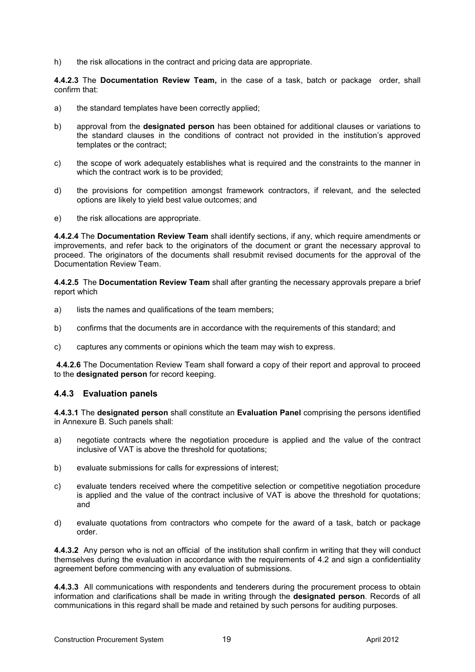h) the risk allocations in the contract and pricing data are appropriate.

**4.4.2.3** The **Documentation Review Team,** in the case of a task, batch or package order, shall confirm that:

- a) the standard templates have been correctly applied;
- b) approval from the **designated person** has been obtained for additional clauses or variations to the standard clauses in the conditions of contract not provided in the institution's approved templates or the contract;
- c) the scope of work adequately establishes what is required and the constraints to the manner in which the contract work is to be provided;
- d) the provisions for competition amongst framework contractors, if relevant, and the selected options are likely to yield best value outcomes; and
- e) the risk allocations are appropriate.

**4.4.2.4** The **Documentation Review Team** shall identify sections, if any, which require amendments or improvements, and refer back to the originators of the document or grant the necessary approval to proceed. The originators of the documents shall resubmit revised documents for the approval of the Documentation Review Team.

**4.4.2.5** The **Documentation Review Team** shall after granting the necessary approvals prepare a brief report which

- a) lists the names and qualifications of the team members;
- b) confirms that the documents are in accordance with the requirements of this standard; and
- c) captures any comments or opinions which the team may wish to express.

 **4.4.2.6** The Documentation Review Team shall forward a copy of their report and approval to proceed to the **designated person** for record keeping.

#### **4.4.3 Evaluation panels**

**4.4.3.1** The **designated person** shall constitute an **Evaluation Panel** comprising the persons identified in Annexure B. Such panels shall:

- a) negotiate contracts where the negotiation procedure is applied and the value of the contract inclusive of VAT is above the threshold for quotations;
- b) evaluate submissions for calls for expressions of interest;
- c) evaluate tenders received where the competitive selection or competitive negotiation procedure is applied and the value of the contract inclusive of VAT is above the threshold for quotations; and
- d) evaluate quotations from contractors who compete for the award of a task, batch or package order.

**4.4.3.2** Any person who is not an official of the institution shall confirm in writing that they will conduct themselves during the evaluation in accordance with the requirements of 4.2 and sign a confidentiality agreement before commencing with any evaluation of submissions.

**4.4.3.3** All communications with respondents and tenderers during the procurement process to obtain information and clarifications shall be made in writing through the **designated person**. Records of all communications in this regard shall be made and retained by such persons for auditing purposes.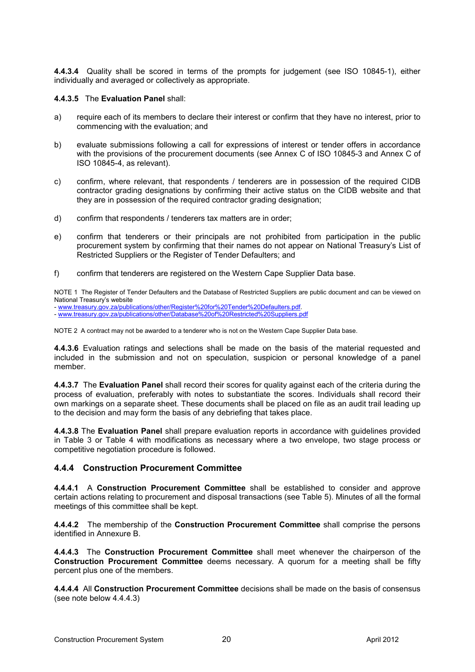**4.4.3.4** Quality shall be scored in terms of the prompts for judgement (see ISO 10845-1), either individually and averaged or collectively as appropriate.

**4.4.3.5** The **Evaluation Panel** shall:

- a) require each of its members to declare their interest or confirm that they have no interest, prior to commencing with the evaluation; and
- b) evaluate submissions following a call for expressions of interest or tender offers in accordance with the provisions of the procurement documents (see Annex C of ISO 10845-3 and Annex C of ISO 10845-4, as relevant).
- c) confirm, where relevant, that respondents / tenderers are in possession of the required CIDB contractor grading designations by confirming their active status on the CIDB website and that they are in possession of the required contractor grading designation;
- d) confirm that respondents / tenderers tax matters are in order;
- e) confirm that tenderers or their principals are not prohibited from participation in the public procurement system by confirming that their names do not appear on National Treasury's List of Restricted Suppliers or the Register of Tender Defaulters; and
- f) confirm that tenderers are registered on the Western Cape Supplier Data base.

NOTE 1 The Register of Tender Defaulters and the Database of Restricted Suppliers are public document and can be viewed on National Treasury's website

- www.treasury.gov.za/publications/other/Register%20for%20Tender%20Defaulters.pdf. - www.treasury.gov.za/publications/other/Database%20of%20Restricted%20Suppliers.pdf

NOTE 2 A contract may not be awarded to a tenderer who is not on the Western Cape Supplier Data base.

**4.4.3.6** Evaluation ratings and selections shall be made on the basis of the material requested and included in the submission and not on speculation, suspicion or personal knowledge of a panel member.

**4.4.3.7** The **Evaluation Panel** shall record their scores for quality against each of the criteria during the process of evaluation, preferably with notes to substantiate the scores. Individuals shall record their own markings on a separate sheet. These documents shall be placed on file as an audit trail leading up to the decision and may form the basis of any debriefing that takes place.

**4.4.3.8** The **Evaluation Panel** shall prepare evaluation reports in accordance with guidelines provided in Table 3 or Table 4 with modifications as necessary where a two envelope, two stage process or competitive negotiation procedure is followed.

#### **4.4.4 Construction Procurement Committee**

**4.4.4.1** A **Construction Procurement Committee** shall be established to consider and approve certain actions relating to procurement and disposal transactions (see Table 5). Minutes of all the formal meetings of this committee shall be kept.

**4.4.4.2** The membership of the **Construction Procurement Committee** shall comprise the persons identified in Annexure B.

**4.4.4.3** The **Construction Procurement Committee** shall meet whenever the chairperson of the **Construction Procurement Committee** deems necessary. A quorum for a meeting shall be fifty percent plus one of the members.

**4.4.4.4** All **Construction Procurement Committee** decisions shall be made on the basis of consensus (see note below 4.4.4.3)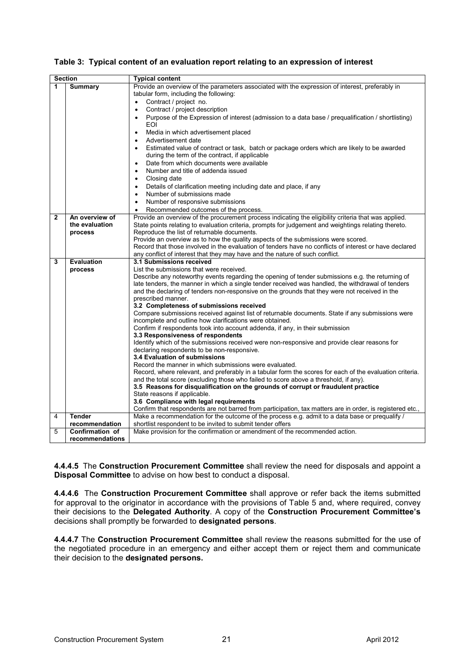| Table 3: Typical content of an evaluation report relating to an expression of interest |  |  |  |
|----------------------------------------------------------------------------------------|--|--|--|
|                                                                                        |  |  |  |

| <b>Section</b> |                   | <b>Typical content</b>                                                                                                                                    |
|----------------|-------------------|-----------------------------------------------------------------------------------------------------------------------------------------------------------|
| 1              | <b>Summary</b>    | Provide an overview of the parameters associated with the expression of interest, preferably in                                                           |
|                |                   | tabular form, including the following:                                                                                                                    |
|                |                   | Contract / project no.<br>$\bullet$                                                                                                                       |
|                |                   | Contract / project description<br>$\bullet$                                                                                                               |
|                |                   | Purpose of the Expression of interest (admission to a data base / prequalification / shortlisting)                                                        |
|                |                   | EOI                                                                                                                                                       |
|                |                   | Media in which advertisement placed<br>$\bullet$                                                                                                          |
|                |                   | Advertisement date<br>$\bullet$                                                                                                                           |
|                |                   | Estimated value of contract or task, batch or package orders which are likely to be awarded<br>$\bullet$                                                  |
|                |                   | during the term of the contract, if applicable                                                                                                            |
|                |                   | Date from which documents were available<br>$\bullet$                                                                                                     |
|                |                   | Number and title of addenda issued<br>$\bullet$                                                                                                           |
|                |                   | Closing date<br>$\bullet$                                                                                                                                 |
|                |                   |                                                                                                                                                           |
|                |                   | Details of clarification meeting including date and place, if any<br>$\bullet$<br>Number of submissions made<br>$\bullet$                                 |
|                |                   | Number of responsive submissions                                                                                                                          |
|                |                   | $\bullet$                                                                                                                                                 |
| $\mathbf{2}$   | An overview of    | Recommended outcomes of the process.<br>$\bullet$<br>Provide an overview of the procurement process indicating the eligibility criteria that was applied. |
|                | the evaluation    | State points relating to evaluation criteria, prompts for judgement and weightings relating thereto.                                                      |
|                | process           | Reproduce the list of returnable documents.                                                                                                               |
|                |                   | Provide an overview as to how the quality aspects of the submissions were scored.                                                                         |
|                |                   | Record that those involved in the evaluation of tenders have no conflicts of interest or have declared                                                    |
|                |                   | any conflict of interest that they may have and the nature of such conflict.                                                                              |
| 3              | <b>Evaluation</b> | 3.1 Submissions received                                                                                                                                  |
|                | process           | List the submissions that were received.                                                                                                                  |
|                |                   | Describe any noteworthy events regarding the opening of tender submissions e.g. the returning of                                                          |
|                |                   | late tenders, the manner in which a single tender received was handled, the withdrawal of tenders                                                         |
|                |                   | and the declaring of tenders non-responsive on the grounds that they were not received in the                                                             |
|                |                   | prescribed manner.                                                                                                                                        |
|                |                   | 3.2 Completeness of submissions received                                                                                                                  |
|                |                   | Compare submissions received against list of returnable documents. State if any submissions were                                                          |
|                |                   | incomplete and outline how clarifications were obtained.                                                                                                  |
|                |                   | Confirm if respondents took into account addenda, if any, in their submission                                                                             |
|                |                   | 3.3 Responsiveness of respondents                                                                                                                         |
|                |                   | Identify which of the submissions received were non-responsive and provide clear reasons for                                                              |
|                |                   | declaring respondents to be non-responsive.                                                                                                               |
|                |                   | 3.4 Evaluation of submissions                                                                                                                             |
|                |                   | Record the manner in which submissions were evaluated.                                                                                                    |
|                |                   | Record, where relevant, and preferably in a tabular form the scores for each of the evaluation criteria.                                                  |
|                |                   | and the total score (excluding those who failed to score above a threshold, if any).                                                                      |
|                |                   | 3.5 Reasons for disqualification on the grounds of corrupt or fraudulent practice<br>State reasons if applicable.                                         |
|                |                   | 3.6 Compliance with legal requirements                                                                                                                    |
|                |                   | Confirm that respondents are not barred from participation, tax matters are in order, is registered etc.,                                                 |
| 4              | <b>Tender</b>     | Make a recommendation for the outcome of the process e.g. admit to a data base or prequalify /                                                            |
|                | recommendation    | shortlist respondent to be invited to submit tender offers                                                                                                |
| 5              | Confirmation of   | Make provision for the confirmation or amendment of the recommended action.                                                                               |
|                | recommendations   |                                                                                                                                                           |
|                |                   |                                                                                                                                                           |

**4.4.4.5** The **Construction Procurement Committee** shall review the need for disposals and appoint a **Disposal Committee** to advise on how best to conduct a disposal.

**4.4.4.6** The **Construction Procurement Committee** shall approve or refer back the items submitted for approval to the originator in accordance with the provisions of Table 5 and, where required, convey their decisions to the **Delegated Authority**. A copy of the **Construction Procurement Committee's** decisions shall promptly be forwarded to **designated persons**.

**4.4.4.7** The **Construction Procurement Committee** shall review the reasons submitted for the use of the negotiated procedure in an emergency and either accept them or reject them and communicate their decision to the **designated persons.**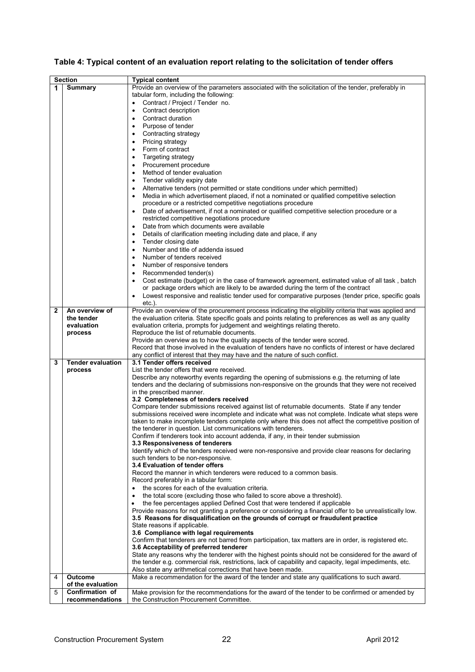|  | Table 4: Typical content of an evaluation report relating to the solicitation of tender offers |  |  |  |
|--|------------------------------------------------------------------------------------------------|--|--|--|
|--|------------------------------------------------------------------------------------------------|--|--|--|

|   | <b>Section</b>           | <b>Typical content</b>                                                                                          |
|---|--------------------------|-----------------------------------------------------------------------------------------------------------------|
| 1 | <b>Summary</b>           | Provide an overview of the parameters associated with the solicitation of the tender, preferably in             |
|   |                          | tabular form, including the following:                                                                          |
|   |                          | Contract / Project / Tender no.<br>$\bullet$                                                                    |
|   |                          |                                                                                                                 |
|   |                          | Contract description<br>$\bullet$                                                                               |
|   |                          | Contract duration<br>$\bullet$                                                                                  |
|   |                          | Purpose of tender<br>$\bullet$                                                                                  |
|   |                          | Contracting strategy                                                                                            |
|   |                          | Pricing strategy<br>$\bullet$                                                                                   |
|   |                          | Form of contract<br>$\bullet$                                                                                   |
|   |                          |                                                                                                                 |
|   |                          | Targeting strategy<br>$\bullet$                                                                                 |
|   |                          | Procurement procedure<br>$\bullet$                                                                              |
|   |                          | Method of tender evaluation                                                                                     |
|   |                          | Tender validity expiry date<br>$\bullet$                                                                        |
|   |                          | Alternative tenders (not permitted or state conditions under which permitted)<br>$\bullet$                      |
|   |                          |                                                                                                                 |
|   |                          | Media in which advertisement placed, if not a nominated or qualified competitive selection                      |
|   |                          | procedure or a restricted competitive negotiations procedure                                                    |
|   |                          | Date of advertisement, if not a nominated or qualified competitive selection procedure or a<br>$\bullet$        |
|   |                          | restricted competitive negotiations procedure                                                                   |
|   |                          | Date from which documents were available<br>$\bullet$                                                           |
|   |                          | Details of clarification meeting including date and place, if any                                               |
|   |                          | Tender closing date                                                                                             |
|   |                          | $\bullet$                                                                                                       |
|   |                          | Number and title of addenda issued                                                                              |
|   |                          | Number of tenders received<br>$\bullet$                                                                         |
|   |                          | Number of responsive tenders<br>$\bullet$                                                                       |
|   |                          | Recommended tender(s)                                                                                           |
|   |                          | Cost estimate (budget) or in the case of framework agreement, estimated value of all task, batch<br>$\bullet$   |
|   |                          |                                                                                                                 |
|   |                          | or package orders which are likely to be awarded during the term of the contract                                |
|   |                          | Lowest responsive and realistic tender used for comparative purposes (tender price, specific goals<br>$\bullet$ |
|   |                          | $etc.$ ).                                                                                                       |
| 2 | An overview of           | Provide an overview of the procurement process indicating the eligibility criteria that was applied and         |
|   | the tender               | the evaluation criteria. State specific goals and points relating to preferences as well as any quality         |
|   | evaluation               | evaluation criteria, prompts for judgement and weightings relating thereto.                                     |
|   | process                  | Reproduce the list of returnable documents.                                                                     |
|   |                          | Provide an overview as to how the quality aspects of the tender were scored.                                    |
|   |                          |                                                                                                                 |
|   |                          | Record that those involved in the evaluation of tenders have no conflicts of interest or have declared          |
|   |                          | any conflict of interest that they may have and the nature of such conflict.                                    |
| 3 | <b>Tender evaluation</b> | 3.1 Tender offers received                                                                                      |
|   | process                  | List the tender offers that were received.                                                                      |
|   |                          | Describe any noteworthy events regarding the opening of submissions e.g. the returning of late                  |
|   |                          | tenders and the declaring of submissions non-responsive on the grounds that they were not received              |
|   |                          | in the prescribed manner.                                                                                       |
|   |                          | 3.2 Completeness of tenders received                                                                            |
|   |                          | Compare tender submissions received against list of returnable documents. State if any tender                   |
|   |                          | submissions received were incomplete and indicate what was not complete. Indicate what steps were               |
|   |                          |                                                                                                                 |
|   |                          | taken to make incomplete tenders complete only where this does not affect the competitive position of           |
|   |                          | the tenderer in question. List communications with tenderers.                                                   |
|   |                          | Confirm if tenderers took into account addenda, if any, in their tender submission                              |
|   |                          | 3.3 Responsiveness of tenderers                                                                                 |
|   |                          | Identify which of the tenders received were non-responsive and provide clear reasons for declaring              |
|   |                          | such tenders to be non-responsive.                                                                              |
|   |                          | 3.4 Evaluation of tender offers                                                                                 |
|   |                          | Record the manner in which tenderers were reduced to a common basis.                                            |
|   |                          |                                                                                                                 |
|   |                          | Record preferably in a tabular form:                                                                            |
|   |                          | the scores for each of the evaluation criteria.                                                                 |
|   |                          | the total score (excluding those who failed to score above a threshold).<br>$\bullet$                           |
|   |                          | the fee percentages applied Defined Cost that were tendered if applicable                                       |
|   |                          | Provide reasons for not granting a preference or considering a financial offer to be unrealistically low.       |
|   |                          | 3.5 Reasons for disqualification on the grounds of corrupt or fraudulent practice                               |
|   |                          | State reasons if applicable.                                                                                    |
|   |                          |                                                                                                                 |
|   |                          | 3.6 Compliance with legal requirements                                                                          |
|   |                          | Confirm that tenderers are not barred from participation, tax matters are in order, is registered etc.          |
|   |                          | 3.6 Acceptability of preferred tenderer                                                                         |
|   |                          | State any reasons why the tenderer with the highest points should not be considered for the award of            |
|   |                          | the tender e.g. commercial risk, restrictions, lack of capability and capacity, legal impediments, etc.         |
|   |                          | Also state any arithmetical corrections that have been made.                                                    |
| 4 | <b>Outcome</b>           | Make a recommendation for the award of the tender and state any qualifications to such award.                   |
|   | of the evaluation        |                                                                                                                 |
| 5 | Confirmation of          | Make provision for the recommendations for the award of the tender to be confirmed or amended by                |
|   | recommendations          | the Construction Procurement Committee.                                                                         |
|   |                          |                                                                                                                 |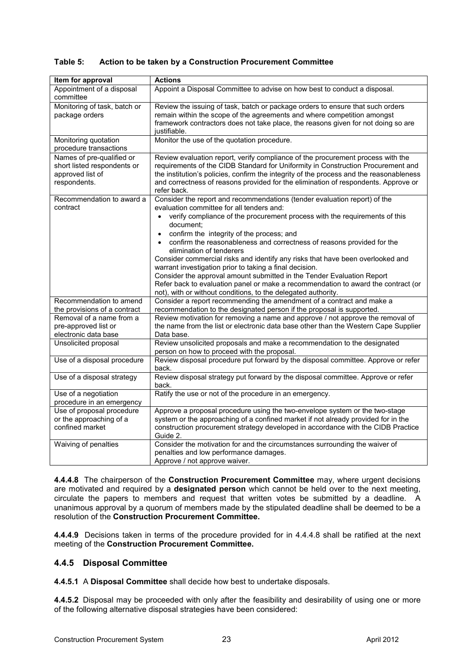| Table 5: | Action to be taken by a Construction Procurement Committee |
|----------|------------------------------------------------------------|
|          |                                                            |

| Item for approval                                                                            | <b>Actions</b>                                                                                                                                                                                                                                                                                                                                                                                                                                                                                                                            |  |  |
|----------------------------------------------------------------------------------------------|-------------------------------------------------------------------------------------------------------------------------------------------------------------------------------------------------------------------------------------------------------------------------------------------------------------------------------------------------------------------------------------------------------------------------------------------------------------------------------------------------------------------------------------------|--|--|
| Appointment of a disposal<br>committee                                                       | Appoint a Disposal Committee to advise on how best to conduct a disposal.                                                                                                                                                                                                                                                                                                                                                                                                                                                                 |  |  |
| Monitoring of task, batch or<br>package orders                                               | Review the issuing of task, batch or package orders to ensure that such orders<br>remain within the scope of the agreements and where competition amongst<br>framework contractors does not take place, the reasons given for not doing so are<br>justifiable.                                                                                                                                                                                                                                                                            |  |  |
| Monitoring quotation<br>procedure transactions                                               | Monitor the use of the quotation procedure.                                                                                                                                                                                                                                                                                                                                                                                                                                                                                               |  |  |
| Names of pre-qualified or<br>short listed respondents or<br>approved list of<br>respondents. | Review evaluation report, verify compliance of the procurement process with the<br>requirements of the CIDB Standard for Uniformity in Construction Procurement and<br>the institution's policies, confirm the integrity of the process and the reasonableness<br>and correctness of reasons provided for the elimination of respondents. Approve or<br>refer back.                                                                                                                                                                       |  |  |
| Recommendation to award a<br>contract                                                        | Consider the report and recommendations (tender evaluation report) of the<br>evaluation committee for all tenders and:<br>verify compliance of the procurement process with the requirements of this                                                                                                                                                                                                                                                                                                                                      |  |  |
|                                                                                              | document;<br>confirm the integrity of the process; and<br>confirm the reasonableness and correctness of reasons provided for the<br>elimination of tenderers<br>Consider commercial risks and identify any risks that have been overlooked and<br>warrant investigation prior to taking a final decision.<br>Consider the approval amount submitted in the Tender Evaluation Report<br>Refer back to evaluation panel or make a recommendation to award the contract (or<br>not), with or without conditions, to the delegated authority. |  |  |
| Recommendation to amend<br>the provisions of a contract                                      | Consider a report recommending the amendment of a contract and make a<br>recommendation to the designated person if the proposal is supported.                                                                                                                                                                                                                                                                                                                                                                                            |  |  |
| Removal of a name from a<br>pre-approved list or<br>electronic data base                     | Review motivation for removing a name and approve / not approve the removal of<br>the name from the list or electronic data base other than the Western Cape Supplier<br>Data base.                                                                                                                                                                                                                                                                                                                                                       |  |  |
| Unsolicited proposal                                                                         | Review unsolicited proposals and make a recommendation to the designated<br>person on how to proceed with the proposal.                                                                                                                                                                                                                                                                                                                                                                                                                   |  |  |
| Use of a disposal procedure                                                                  | Review disposal procedure put forward by the disposal committee. Approve or refer<br>back.                                                                                                                                                                                                                                                                                                                                                                                                                                                |  |  |
| Use of a disposal strategy                                                                   | Review disposal strategy put forward by the disposal committee. Approve or refer<br>back.                                                                                                                                                                                                                                                                                                                                                                                                                                                 |  |  |
| Use of a negotiation<br>procedure in an emergency                                            | Ratify the use or not of the procedure in an emergency.                                                                                                                                                                                                                                                                                                                                                                                                                                                                                   |  |  |
| Use of proposal procedure<br>or the approaching of a<br>confined market                      | Approve a proposal procedure using the two-envelope system or the two-stage<br>system or the approaching of a confined market if not already provided for in the<br>construction procurement strategy developed in accordance with the CIDB Practice<br>Guide 2.                                                                                                                                                                                                                                                                          |  |  |
| Waiving of penalties                                                                         | Consider the motivation for and the circumstances surrounding the waiver of<br>penalties and low performance damages.<br>Approve / not approve waiver.                                                                                                                                                                                                                                                                                                                                                                                    |  |  |

**4.4.4.8** The chairperson of the **Construction Procurement Committee** may, where urgent decisions are motivated and required by a **designated person** which cannot be held over to the next meeting, circulate the papers to members and request that written votes be submitted by a deadline. A unanimous approval by a quorum of members made by the stipulated deadline shall be deemed to be a resolution of the **Construction Procurement Committee.**

**4.4.4.9** Decisions taken in terms of the procedure provided for in 4.4.4.8 shall be ratified at the next meeting of the **Construction Procurement Committee.**

## **4.4.5 Disposal Committee**

**4.4.5.1** A **Disposal Committee** shall decide how best to undertake disposals.

**4.4.5.2** Disposal may be proceeded with only after the feasibility and desirability of using one or more of the following alternative disposal strategies have been considered: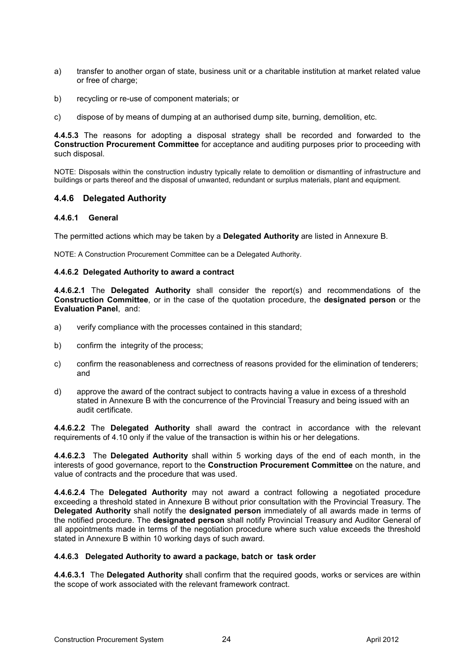- a) transfer to another organ of state, business unit or a charitable institution at market related value or free of charge;
- b) recycling or re-use of component materials; or
- c) dispose of by means of dumping at an authorised dump site, burning, demolition, etc.

**4.4.5.3** The reasons for adopting a disposal strategy shall be recorded and forwarded to the **Construction Procurement Committee** for acceptance and auditing purposes prior to proceeding with such disposal.

NOTE: Disposals within the construction industry typically relate to demolition or dismantling of infrastructure and buildings or parts thereof and the disposal of unwanted, redundant or surplus materials, plant and equipment.

#### **4.4.6 Delegated Authority**

#### **4.4.6.1 General**

The permitted actions which may be taken by a **Delegated Authority** are listed in Annexure B.

NOTE: A Construction Procurement Committee can be a Delegated Authority.

#### **4.4.6.2 Delegated Authority to award a contract**

**4.4.6.2.1** The **Delegated Authority** shall consider the report(s) and recommendations of the **Construction Committee**, or in the case of the quotation procedure, the **designated person** or the **Evaluation Panel**, and:

- a) verify compliance with the processes contained in this standard;
- b) confirm the integrity of the process;
- c) confirm the reasonableness and correctness of reasons provided for the elimination of tenderers; and
- d) approve the award of the contract subject to contracts having a value in excess of a threshold stated in Annexure B with the concurrence of the Provincial Treasury and being issued with an audit certificate.

**4.4.6.2.2** The **Delegated Authority** shall award the contract in accordance with the relevant requirements of 4.10 only if the value of the transaction is within his or her delegations.

**4.4.6.2.3** The **Delegated Authority** shall within 5 working days of the end of each month, in the interests of good governance, report to the **Construction Procurement Committee** on the nature, and value of contracts and the procedure that was used.

**4.4.6.2.4** The **Delegated Authority** may not award a contract following a negotiated procedure exceeding a threshold stated in Annexure B without prior consultation with the Provincial Treasury. The **Delegated Authority** shall notify the **designated person** immediately of all awards made in terms of the notified procedure. The **designated person** shall notify Provincial Treasury and Auditor General of all appointments made in terms of the negotiation procedure where such value exceeds the threshold stated in Annexure B within 10 working days of such award.

#### **4.4.6.3 Delegated Authority to award a package, batch or task order**

**4.4.6.3.1** The **Delegated Authority** shall confirm that the required goods, works or services are within the scope of work associated with the relevant framework contract.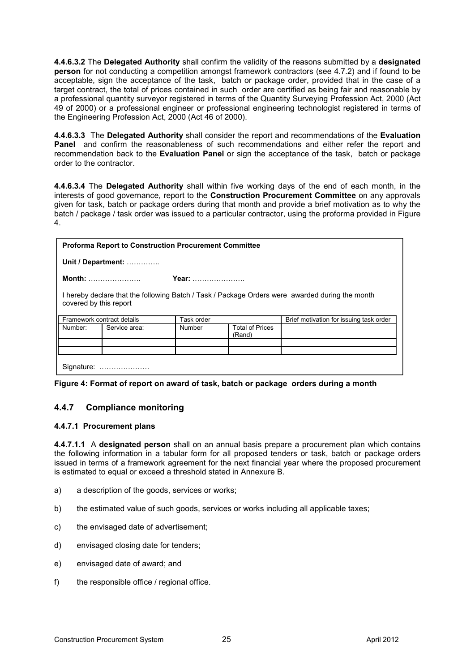**4.4.6.3.2** The **Delegated Authority** shall confirm the validity of the reasons submitted by a **designated person** for not conducting a competition amongst framework contractors (see 4.7.2) and if found to be acceptable, sign the acceptance of the task, batch or package order, provided that in the case of a target contract, the total of prices contained in such order are certified as being fair and reasonable by a professional quantity surveyor registered in terms of the Quantity Surveying Profession Act, 2000 (Act 49 of 2000) or a professional engineer or professional engineering technologist registered in terms of the Engineering Profession Act, 2000 (Act 46 of 2000).

**4.4.6.3.3** The **Delegated Authority** shall consider the report and recommendations of the **Evaluation Panel** and confirm the reasonableness of such recommendations and either refer the report and recommendation back to the **Evaluation Panel** or sign the acceptance of the task, batch or package order to the contractor.

**4.4.6.3.4** The **Delegated Authority** shall within five working days of the end of each month, in the interests of good governance, report to the **Construction Procurement Committee** on any approvals given for task, batch or package orders during that month and provide a brief motivation as to why the batch / package / task order was issued to a particular contractor, using the proforma provided in Figure 4.

| <b>Proforma Report to Construction Procurement Committee</b>                                                              |               |            |                                  |                                         |  |  |  |  |
|---------------------------------------------------------------------------------------------------------------------------|---------------|------------|----------------------------------|-----------------------------------------|--|--|--|--|
| Unit / Department:                                                                                                        |               |            |                                  |                                         |  |  |  |  |
| <b>Month:</b>                                                                                                             |               | Year:      |                                  |                                         |  |  |  |  |
| I hereby declare that the following Batch / Task / Package Orders were awarded during the month<br>covered by this report |               |            |                                  |                                         |  |  |  |  |
| Framework contract details                                                                                                |               | Task order |                                  | Brief motivation for issuing task order |  |  |  |  |
| Number:                                                                                                                   | Service area: | Number     | <b>Total of Prices</b><br>(Rand) |                                         |  |  |  |  |
|                                                                                                                           |               |            |                                  |                                         |  |  |  |  |
|                                                                                                                           | Signature:    |            |                                  |                                         |  |  |  |  |

|  | Figure 4: Format of report on award of task, batch or package orders during a month |
|--|-------------------------------------------------------------------------------------|
|  |                                                                                     |

#### **4.4.7 Compliance monitoring**

#### **4.4.7.1 Procurement plans**

**4.4.7.1.1** A **designated person** shall on an annual basis prepare a procurement plan which contains the following information in a tabular form for all proposed tenders or task, batch or package orders issued in terms of a framework agreement for the next financial year where the proposed procurement is estimated to equal or exceed a threshold stated in Annexure B.

- a) a description of the goods, services or works;
- b) the estimated value of such goods, services or works including all applicable taxes;
- c) the envisaged date of advertisement;
- d) envisaged closing date for tenders;
- e) envisaged date of award; and
- f) the responsible office / regional office.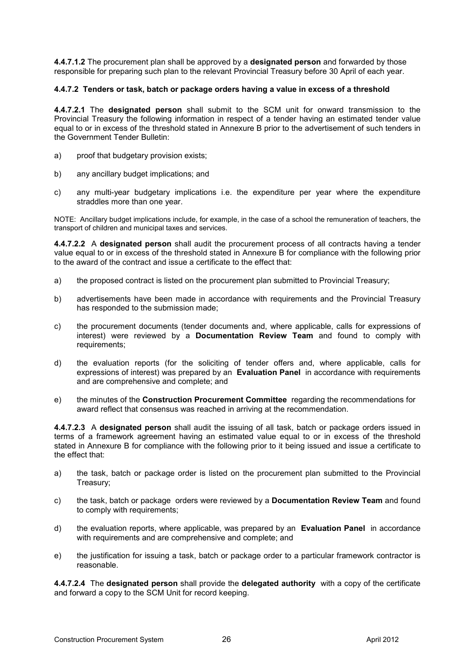**4.4.7.1.2** The procurement plan shall be approved by a **designated person** and forwarded by those responsible for preparing such plan to the relevant Provincial Treasury before 30 April of each year.

#### **4.4.7.2 Tenders or task, batch or package orders having a value in excess of a threshold**

**4.4.7.2.1** The **designated person** shall submit to the SCM unit for onward transmission to the Provincial Treasury the following information in respect of a tender having an estimated tender value equal to or in excess of the threshold stated in Annexure B prior to the advertisement of such tenders in the Government Tender Bulletin:

- a) proof that budgetary provision exists;
- b) any ancillary budget implications; and
- c) any multi-year budgetary implications i.e. the expenditure per year where the expenditure straddles more than one year.

NOTE: Ancillary budget implications include, for example, in the case of a school the remuneration of teachers, the transport of children and municipal taxes and services.

**4.4.7.2.2** A **designated person** shall audit the procurement process of all contracts having a tender value equal to or in excess of the threshold stated in Annexure B for compliance with the following prior to the award of the contract and issue a certificate to the effect that:

- a) the proposed contract is listed on the procurement plan submitted to Provincial Treasury;
- b) advertisements have been made in accordance with requirements and the Provincial Treasury has responded to the submission made;
- c) the procurement documents (tender documents and, where applicable, calls for expressions of interest) were reviewed by a **Documentation Review Team** and found to comply with requirements;
- d) the evaluation reports (for the soliciting of tender offers and, where applicable, calls for expressions of interest) was prepared by an **Evaluation Panel** in accordance with requirements and are comprehensive and complete; and
- e) the minutes of the **Construction Procurement Committee** regarding the recommendations for award reflect that consensus was reached in arriving at the recommendation.

**4.4.7.2.3** A **designated person** shall audit the issuing of all task, batch or package orders issued in terms of a framework agreement having an estimated value equal to or in excess of the threshold stated in Annexure B for compliance with the following prior to it being issued and issue a certificate to the effect that:

- a) the task, batch or package order is listed on the procurement plan submitted to the Provincial Treasury;
- c) the task, batch or package orders were reviewed by a **Documentation Review Team** and found to comply with requirements;
- d) the evaluation reports, where applicable, was prepared by an **Evaluation Panel** in accordance with requirements and are comprehensive and complete; and
- e) the justification for issuing a task, batch or package order to a particular framework contractor is reasonable.

**4.4.7.2.4** The **designated person** shall provide the **delegated authority** with a copy of the certificate and forward a copy to the SCM Unit for record keeping.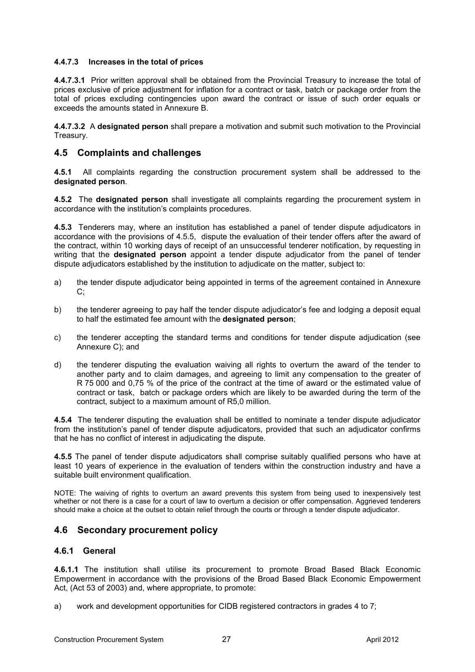#### **4.4.7.3 Increases in the total of prices**

**4.4.7.3.1** Prior written approval shall be obtained from the Provincial Treasury to increase the total of prices exclusive of price adjustment for inflation for a contract or task, batch or package order from the total of prices excluding contingencies upon award the contract or issue of such order equals or exceeds the amounts stated in Annexure B.

**4.4.7.3.2** A **designated person** shall prepare a motivation and submit such motivation to the Provincial Treasury.

## **4.5 Complaints and challenges**

**4.5.1** All complaints regarding the construction procurement system shall be addressed to the **designated person**.

**4.5.2** The **designated person** shall investigate all complaints regarding the procurement system in accordance with the institution's complaints procedures.

**4.5.3** Tenderers may, where an institution has established a panel of tender dispute adjudicators in accordance with the provisions of 4.5.5, dispute the evaluation of their tender offers after the award of the contract, within 10 working days of receipt of an unsuccessful tenderer notification, by requesting in writing that the **designated person** appoint a tender dispute adjudicator from the panel of tender dispute adjudicators established by the institution to adjudicate on the matter, subject to:

- a) the tender dispute adjudicator being appointed in terms of the agreement contained in Annexure C;
- b) the tenderer agreeing to pay half the tender dispute adjudicator's fee and lodging a deposit equal to half the estimated fee amount with the **designated person**;
- c) the tenderer accepting the standard terms and conditions for tender dispute adjudication (see Annexure C); and
- d) the tenderer disputing the evaluation waiving all rights to overturn the award of the tender to another party and to claim damages, and agreeing to limit any compensation to the greater of R 75 000 and 0,75 % of the price of the contract at the time of award or the estimated value of contract or task, batch or package orders which are likely to be awarded during the term of the contract, subject to a maximum amount of R5,0 million.

**4.5.4** The tenderer disputing the evaluation shall be entitled to nominate a tender dispute adjudicator from the institution's panel of tender dispute adjudicators, provided that such an adjudicator confirms that he has no conflict of interest in adjudicating the dispute.

**4.5.5** The panel of tender dispute adjudicators shall comprise suitably qualified persons who have at least 10 years of experience in the evaluation of tenders within the construction industry and have a suitable built environment qualification.

NOTE: The waiving of rights to overturn an award prevents this system from being used to inexpensively test whether or not there is a case for a court of law to overturn a decision or offer compensation. Aggrieved tenderers should make a choice at the outset to obtain relief through the courts or through a tender dispute adjudicator.

## **4.6 Secondary procurement policy**

#### **4.6.1 General**

**4.6.1.1** The institution shall utilise its procurement to promote Broad Based Black Economic Empowerment in accordance with the provisions of the Broad Based Black Economic Empowerment Act, (Act 53 of 2003) and, where appropriate, to promote:

a) work and development opportunities for CIDB registered contractors in grades 4 to 7;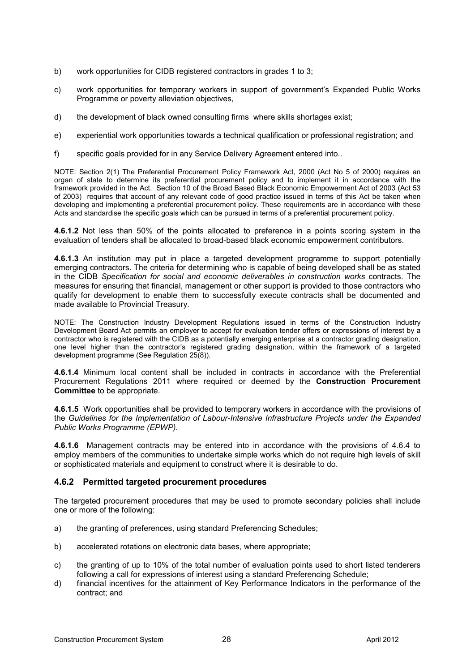- b) work opportunities for CIDB registered contractors in grades 1 to 3;
- c) work opportunities for temporary workers in support of government's Expanded Public Works Programme or poverty alleviation objectives,
- d) the development of black owned consulting firms where skills shortages exist;
- e) experiential work opportunities towards a technical qualification or professional registration; and
- f) specific goals provided for in any Service Delivery Agreement entered into..

NOTE: Section 2(1) The Preferential Procurement Policy Framework Act, 2000 (Act No 5 of 2000) requires an organ of state to determine its preferential procurement policy and to implement it in accordance with the framework provided in the Act. Section 10 of the Broad Based Black Economic Empowerment Act of 2003 (Act 53 of 2003) requires that account of any relevant code of good practice issued in terms of this Act be taken when developing and implementing a preferential procurement policy. These requirements are in accordance with these Acts and standardise the specific goals which can be pursued in terms of a preferential procurement policy.

**4.6.1.2** Not less than 50% of the points allocated to preference in a points scoring system in the evaluation of tenders shall be allocated to broad-based black economic empowerment contributors.

**4.6.1.3** An institution may put in place a targeted development programme to support potentially emerging contractors. The criteria for determining who is capable of being developed shall be as stated in the CIDB *Specification for social and economic deliverables in construction works* contracts. The measures for ensuring that financial, management or other support is provided to those contractors who qualify for development to enable them to successfully execute contracts shall be documented and made available to Provincial Treasury.

NOTE: The Construction Industry Development Regulations issued in terms of the Construction Industry Development Board Act permits an employer to accept for evaluation tender offers or expressions of interest by a contractor who is registered with the CIDB as a potentially emerging enterprise at a contractor grading designation, one level higher than the contractor's registered grading designation, within the framework of a targeted development programme (See Regulation 25(8)).

**4.6.1.4** Minimum local content shall be included in contracts in accordance with the Preferential Procurement Regulations 2011 where required or deemed by the **Construction Procurement Committee** to be appropriate.

**4.6.1.5** Work opportunities shall be provided to temporary workers in accordance with the provisions of the *Guidelines for the Implementation of Labour-Intensive Infrastructure Projects under the Expanded Public Works Programme (EPWP).*

**4.6.1.6** Management contracts may be entered into in accordance with the provisions of 4.6.4 to employ members of the communities to undertake simple works which do not require high levels of skill or sophisticated materials and equipment to construct where it is desirable to do.

#### **4.6.2 Permitted targeted procurement procedures**

The targeted procurement procedures that may be used to promote secondary policies shall include one or more of the following:

- a) the granting of preferences, using standard Preferencing Schedules;
- b) accelerated rotations on electronic data bases, where appropriate;
- c) the granting of up to 10% of the total number of evaluation points used to short listed tenderers following a call for expressions of interest using a standard Preferencing Schedule;
- d) financial incentives for the attainment of Key Performance Indicators in the performance of the contract; and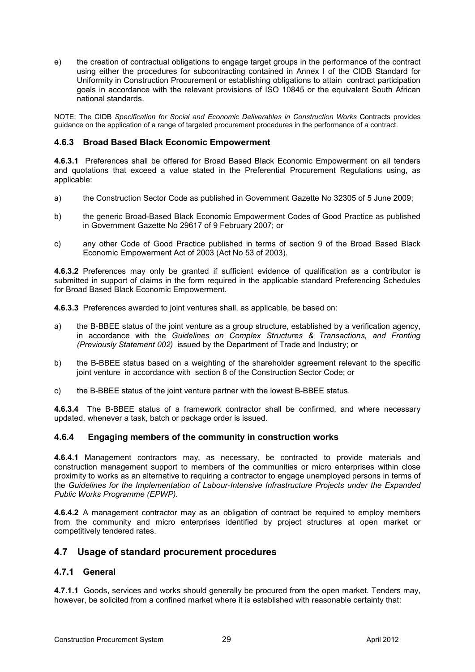e) the creation of contractual obligations to engage target groups in the performance of the contract using either the procedures for subcontracting contained in Annex I of the CIDB Standard for Uniformity in Construction Procurement or establishing obligations to attain contract participation goals in accordance with the relevant provisions of ISO 10845 or the equivalent South African national standards.

NOTE: The CIDB *Specification for Social and Economic Deliverables in Construction Works* Contracts provides guidance on the application of a range of targeted procurement procedures in the performance of a contract.

#### **4.6.3 Broad Based Black Economic Empowerment**

**4.6.3.1** Preferences shall be offered for Broad Based Black Economic Empowerment on all tenders and quotations that exceed a value stated in the Preferential Procurement Regulations using, as applicable:

- a) the Construction Sector Code as published in Government Gazette No 32305 of 5 June 2009;
- b) the generic Broad-Based Black Economic Empowerment Codes of Good Practice as published in Government Gazette No 29617 of 9 February 2007; or
- c) any other Code of Good Practice published in terms of section 9 of the Broad Based Black Economic Empowerment Act of 2003 (Act No 53 of 2003).

**4.6.3.2** Preferences may only be granted if sufficient evidence of qualification as a contributor is submitted in support of claims in the form required in the applicable standard Preferencing Schedules for Broad Based Black Economic Empowerment.

**4.6.3.3** Preferences awarded to joint ventures shall, as applicable, be based on:

- a) the B-BBEE status of the joint venture as a group structure, established by a verification agency, in accordance with the *Guidelines on Complex Structures & Transactions, and Fronting (Previously Statement 002)* issued by the Department of Trade and Industry; or
- b) the B-BBEE status based on a weighting of the shareholder agreement relevant to the specific joint venture in accordance with section 8 of the Construction Sector Code; or
- c) the B-BBEE status of the joint venture partner with the lowest B-BBEE status.

**4.6.3.4** The B-BBEE status of a framework contractor shall be confirmed, and where necessary updated, whenever a task, batch or package order is issued.

#### **4.6.4 Engaging members of the community in construction works**

**4.6.4.1** Management contractors may, as necessary, be contracted to provide materials and construction management support to members of the communities or micro enterprises within close proximity to works as an alternative to requiring a contractor to engage unemployed persons in terms of the *Guidelines for the Implementation of Labour-Intensive Infrastructure Projects under the Expanded Public Works Programme (EPWP).* 

**4.6.4.2** A management contractor may as an obligation of contract be required to employ members from the community and micro enterprises identified by project structures at open market or competitively tendered rates.

#### **4.7 Usage of standard procurement procedures**

#### **4.7.1 General**

**4.7.1.1** Goods, services and works should generally be procured from the open market. Tenders may, however, be solicited from a confined market where it is established with reasonable certainty that: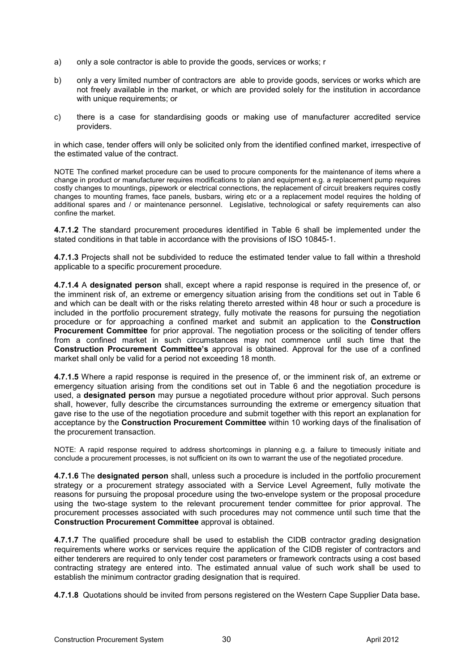- a) only a sole contractor is able to provide the goods, services or works; r
- b) only a very limited number of contractors are able to provide goods, services or works which are not freely available in the market, or which are provided solely for the institution in accordance with unique requirements; or
- c) there is a case for standardising goods or making use of manufacturer accredited service providers.

in which case, tender offers will only be solicited only from the identified confined market, irrespective of the estimated value of the contract.

NOTE The confined market procedure can be used to procure components for the maintenance of items where a change in product or manufacturer requires modifications to plan and equipment e.g. a replacement pump requires costly changes to mountings, pipework or electrical connections, the replacement of circuit breakers requires costly changes to mounting frames, face panels, busbars, wiring etc or a a replacement model requires the holding of additional spares and / or maintenance personnel. Legislative, technological or safety requirements can also confine the market.

**4.7.1.2** The standard procurement procedures identified in Table 6 shall be implemented under the stated conditions in that table in accordance with the provisions of ISO 10845-1.

**4.7.1.3** Projects shall not be subdivided to reduce the estimated tender value to fall within a threshold applicable to a specific procurement procedure.

**4.7.1.4** A **designated person** shall, except where a rapid response is required in the presence of, or the imminent risk of, an extreme or emergency situation arising from the conditions set out in Table 6 and which can be dealt with or the risks relating thereto arrested within 48 hour or such a procedure is included in the portfolio procurement strategy, fully motivate the reasons for pursuing the negotiation procedure or for approaching a confined market and submit an application to the **Construction Procurement Committee** for prior approval. The negotiation process or the soliciting of tender offers from a confined market in such circumstances may not commence until such time that the **Construction Procurement Committee's** approval is obtained. Approval for the use of a confined market shall only be valid for a period not exceeding 18 month.

**4.7.1.5** Where a rapid response is required in the presence of, or the imminent risk of, an extreme or emergency situation arising from the conditions set out in Table 6 and the negotiation procedure is used, a **designated person** may pursue a negotiated procedure without prior approval. Such persons shall, however, fully describe the circumstances surrounding the extreme or emergency situation that gave rise to the use of the negotiation procedure and submit together with this report an explanation for acceptance by the **Construction Procurement Committee** within 10 working days of the finalisation of the procurement transaction.

NOTE: A rapid response required to address shortcomings in planning e.g. a failure to timeously initiate and conclude a procurement processes, is not sufficient on its own to warrant the use of the negotiated procedure.

**4.7.1.6** The **designated person** shall, unless such a procedure is included in the portfolio procurement strategy or a procurement strategy associated with a Service Level Agreement, fully motivate the reasons for pursuing the proposal procedure using the two-envelope system or the proposal procedure using the two-stage system to the relevant procurement tender committee for prior approval. The procurement processes associated with such procedures may not commence until such time that the **Construction Procurement Committee** approval is obtained.

**4.7.1.7** The qualified procedure shall be used to establish the CIDB contractor grading designation requirements where works or services require the application of the CIDB register of contractors and either tenderers are required to only tender cost parameters or framework contracts using a cost based contracting strategy are entered into. The estimated annual value of such work shall be used to establish the minimum contractor grading designation that is required.

**4.7.1.8** Quotations should be invited from persons registered on the Western Cape Supplier Data base**.**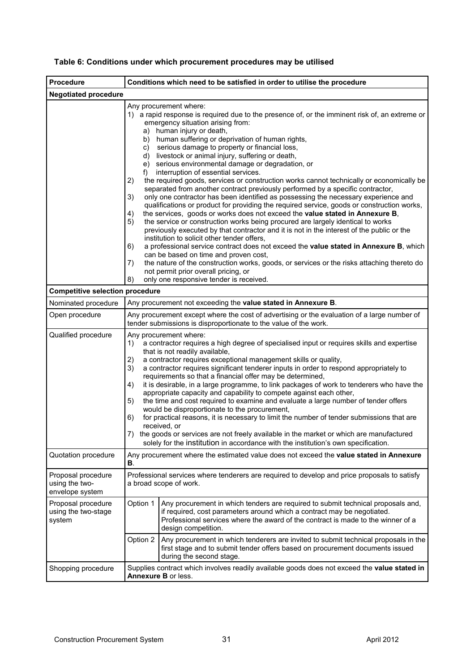| <b>Procedure</b>                                        | Conditions which need to be satisfied in order to utilise the procedure                                                                                                                                                                                                                                                                                                                                                                                                                                                                                                                                                                                                                                                                                                                                                                                                                                                                                                                                                                                                                                                                                                                                                                                                                                                                                                                                                                                                                                        |                                                               |  |  |
|---------------------------------------------------------|----------------------------------------------------------------------------------------------------------------------------------------------------------------------------------------------------------------------------------------------------------------------------------------------------------------------------------------------------------------------------------------------------------------------------------------------------------------------------------------------------------------------------------------------------------------------------------------------------------------------------------------------------------------------------------------------------------------------------------------------------------------------------------------------------------------------------------------------------------------------------------------------------------------------------------------------------------------------------------------------------------------------------------------------------------------------------------------------------------------------------------------------------------------------------------------------------------------------------------------------------------------------------------------------------------------------------------------------------------------------------------------------------------------------------------------------------------------------------------------------------------------|---------------------------------------------------------------|--|--|
| <b>Negotiated procedure</b>                             |                                                                                                                                                                                                                                                                                                                                                                                                                                                                                                                                                                                                                                                                                                                                                                                                                                                                                                                                                                                                                                                                                                                                                                                                                                                                                                                                                                                                                                                                                                                |                                                               |  |  |
|                                                         | Any procurement where:<br>1) a rapid response is required due to the presence of, or the imminent risk of, an extreme or<br>emergency situation arising from:<br>a) human injury or death,<br>b) human suffering or deprivation of human rights,<br>c) serious damage to property or financial loss,<br>d) livestock or animal injury, suffering or death,<br>e) serious environmental damage or degradation, or<br>interruption of essential services.<br>$f$ )<br>the required goods, services or construction works cannot technically or economically be<br>2)<br>separated from another contract previously performed by a specific contractor,<br>only one contractor has been identified as possessing the necessary experience and<br>3)<br>qualifications or product for providing the required service, goods or construction works,<br>the services, goods or works does not exceed the value stated in Annexure B,<br>4)<br>the service or construction works being procured are largely identical to works<br>5)<br>previously executed by that contractor and it is not in the interest of the public or the<br>institution to solicit other tender offers,<br>a professional service contract does not exceed the value stated in Annexure B, which<br>6)<br>can be based on time and proven cost,<br>the nature of the construction works, goods, or services or the risks attaching thereto do<br>7)<br>not permit prior overall pricing, or<br>only one responsive tender is received.<br>8) |                                                               |  |  |
| <b>Competitive selection procedure</b>                  |                                                                                                                                                                                                                                                                                                                                                                                                                                                                                                                                                                                                                                                                                                                                                                                                                                                                                                                                                                                                                                                                                                                                                                                                                                                                                                                                                                                                                                                                                                                |                                                               |  |  |
| Nominated procedure                                     |                                                                                                                                                                                                                                                                                                                                                                                                                                                                                                                                                                                                                                                                                                                                                                                                                                                                                                                                                                                                                                                                                                                                                                                                                                                                                                                                                                                                                                                                                                                | Any procurement not exceeding the value stated in Annexure B. |  |  |
| Open procedure                                          | Any procurement except where the cost of advertising or the evaluation of a large number of<br>tender submissions is disproportionate to the value of the work.                                                                                                                                                                                                                                                                                                                                                                                                                                                                                                                                                                                                                                                                                                                                                                                                                                                                                                                                                                                                                                                                                                                                                                                                                                                                                                                                                |                                                               |  |  |
| Qualified procedure                                     | Any procurement where:<br>a contractor requires a high degree of specialised input or requires skills and expertise<br>1)<br>that is not readily available,<br>a contractor requires exceptional management skills or quality,<br>2)<br>a contractor requires significant tenderer inputs in order to respond appropriately to<br>3)<br>requirements so that a financial offer may be determined,<br>it is desirable, in a large programme, to link packages of work to tenderers who have the<br>4)<br>appropriate capacity and capability to compete against each other,<br>the time and cost required to examine and evaluate a large number of tender offers<br>5)<br>would be disproportionate to the procurement,<br>for practical reasons, it is necessary to limit the number of tender submissions that are<br>6)<br>received, or<br>7) the goods or services are not freely available in the market or which are manufactured<br>solely for the institution in accordance with the institution's own specification.                                                                                                                                                                                                                                                                                                                                                                                                                                                                                  |                                                               |  |  |
| Quotation procedure                                     | Any procurement where the estimated value does not exceed the value stated in Annexure<br>В.                                                                                                                                                                                                                                                                                                                                                                                                                                                                                                                                                                                                                                                                                                                                                                                                                                                                                                                                                                                                                                                                                                                                                                                                                                                                                                                                                                                                                   |                                                               |  |  |
| Proposal procedure<br>using the two-<br>envelope system | Professional services where tenderers are required to develop and price proposals to satisfy<br>a broad scope of work.                                                                                                                                                                                                                                                                                                                                                                                                                                                                                                                                                                                                                                                                                                                                                                                                                                                                                                                                                                                                                                                                                                                                                                                                                                                                                                                                                                                         |                                                               |  |  |
| Proposal procedure<br>using the two-stage<br>system     | Option 1<br>Any procurement in which tenders are required to submit technical proposals and,<br>if required, cost parameters around which a contract may be negotiated.<br>Professional services where the award of the contract is made to the winner of a<br>design competition.<br>Option 2<br>Any procurement in which tenderers are invited to submit technical proposals in the<br>first stage and to submit tender offers based on procurement documents issued                                                                                                                                                                                                                                                                                                                                                                                                                                                                                                                                                                                                                                                                                                                                                                                                                                                                                                                                                                                                                                         |                                                               |  |  |
| Shopping procedure                                      | during the second stage.<br>Supplies contract which involves readily available goods does not exceed the value stated in<br>Annexure B or less.                                                                                                                                                                                                                                                                                                                                                                                                                                                                                                                                                                                                                                                                                                                                                                                                                                                                                                                                                                                                                                                                                                                                                                                                                                                                                                                                                                |                                                               |  |  |

## **Table 6: Conditions under which procurement procedures may be utilised**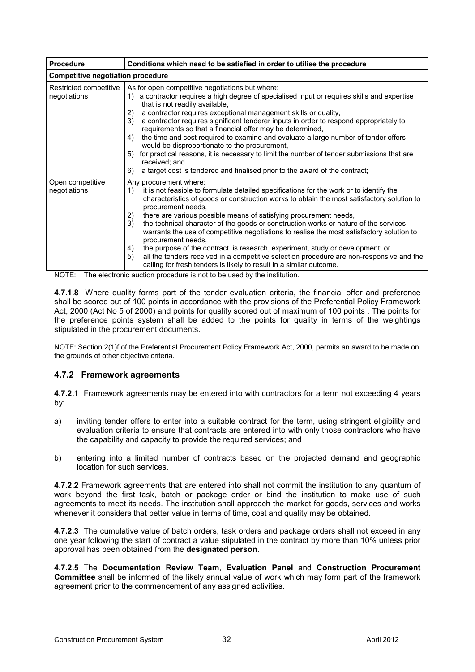| <b>Procedure</b>                         | Conditions which need to be satisfied in order to utilise the procedure                                                                                                                                                                                                                                                                                                                                                                                                                                                                                                                                                                                                                     |  |  |
|------------------------------------------|---------------------------------------------------------------------------------------------------------------------------------------------------------------------------------------------------------------------------------------------------------------------------------------------------------------------------------------------------------------------------------------------------------------------------------------------------------------------------------------------------------------------------------------------------------------------------------------------------------------------------------------------------------------------------------------------|--|--|
| <b>Competitive negotiation procedure</b> |                                                                                                                                                                                                                                                                                                                                                                                                                                                                                                                                                                                                                                                                                             |  |  |
| Restricted competitive<br>negotiations   | As for open competitive negotiations but where:<br>a contractor requires a high degree of specialised input or requires skills and expertise<br>1)<br>that is not readily available,<br>a contractor requires exceptional management skills or quality,<br>2)<br>3)<br>a contractor requires significant tenderer inputs in order to respond appropriately to<br>requirements so that a financial offer may be determined,<br>the time and cost required to examine and evaluate a large number of tender offers<br>4)<br>would be disproportionate to the procurement,<br>for practical reasons, it is necessary to limit the number of tender submissions that are<br>5)<br>received; and |  |  |
|                                          | a target cost is tendered and finalised prior to the award of the contract;<br>6)                                                                                                                                                                                                                                                                                                                                                                                                                                                                                                                                                                                                           |  |  |
| Open competitive<br>negotiations         | Any procurement where:<br>it is not feasible to formulate detailed specifications for the work or to identify the<br>1)<br>characteristics of goods or construction works to obtain the most satisfactory solution to<br>procurement needs.<br>there are various possible means of satisfying procurement needs,<br>2)<br>3)<br>the technical character of the goods or construction works or nature of the services<br>warrants the use of competitive negotiations to realise the most satisfactory solution to<br>procurement needs.<br>the purpose of the contract is research, experiment, study or development; or<br>4)                                                              |  |  |
|                                          | all the tenders received in a competitive selection procedure are non-responsive and the<br>5)<br>calling for fresh tenders is likely to result in a similar outcome.                                                                                                                                                                                                                                                                                                                                                                                                                                                                                                                       |  |  |

NOTE: The electronic auction procedure is not to be used by the institution.

**4.7.1.8** Where quality forms part of the tender evaluation criteria, the financial offer and preference shall be scored out of 100 points in accordance with the provisions of the Preferential Policy Framework Act, 2000 (Act No 5 of 2000) and points for quality scored out of maximum of 100 points . The points for the preference points system shall be added to the points for quality in terms of the weightings stipulated in the procurement documents.

NOTE: Section 2(1)f of the Preferential Procurement Policy Framework Act, 2000, permits an award to be made on the grounds of other objective criteria.

## **4.7.2 Framework agreements**

**4.7.2.1** Framework agreements may be entered into with contractors for a term not exceeding 4 years by:

- a) inviting tender offers to enter into a suitable contract for the term, using stringent eligibility and evaluation criteria to ensure that contracts are entered into with only those contractors who have the capability and capacity to provide the required services; and
- b) entering into a limited number of contracts based on the projected demand and geographic location for such services.

**4.7.2.2** Framework agreements that are entered into shall not commit the institution to any quantum of work beyond the first task, batch or package order or bind the institution to make use of such agreements to meet its needs. The institution shall approach the market for goods, services and works whenever it considers that better value in terms of time, cost and quality may be obtained.

**4.7.2.3** The cumulative value of batch orders, task orders and package orders shall not exceed in any one year following the start of contract a value stipulated in the contract by more than 10% unless prior approval has been obtained from the **designated person**.

**4.7.2.5** The **Documentation Review Team**, **Evaluation Panel** and **Construction Procurement Committee** shall be informed of the likely annual value of work which may form part of the framework agreement prior to the commencement of any assigned activities.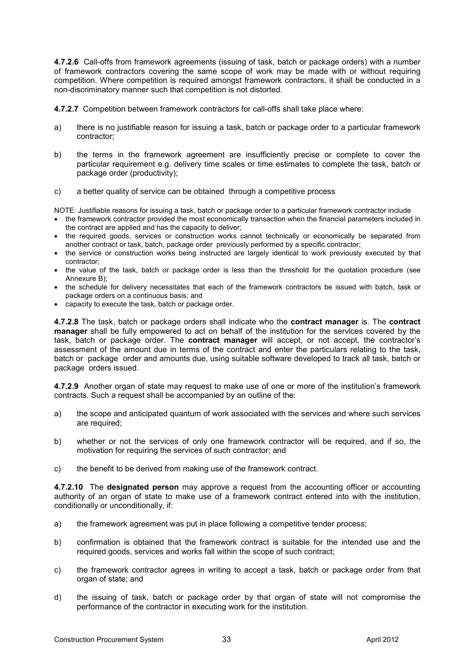**4.7.2.6** Call-offs from framework agreements (issuing of task, batch or package orders) with a number of framework contractors covering the same scope of work may be made with or without requiring competition. Where competition is required amongst framework contractors, it shall be conducted in a non-discriminatory manner such that competition is not distorted.

**4.7.2.7** Competition between framework contractors for call-offs shall take place where:

- a) there is no justifiable reason for issuing a task, batch or package order to a particular framework contractor;
- b) the terms in the framework agreement are insufficiently precise or complete to cover the particular requirement e.g. delivery time scales or time estimates to complete the task, batch or package order (productivity);
- c) a better quality of service can be obtained through a competitive process

NOTE: Justifiable reasons for issuing a task, batch or package order to a particular framework contractor include

- the framework contractor provided the most economically transaction when the financial parameters included in the contract are applied and has the capacity to deliver;
- the required goods, services or construction works cannot technically or economically be separated from another contract or task, batch, package order previously performed by a specific contractor;
- the service or construction works being instructed are largely identical to work previously executed by that contractor;
- the value of the task, batch or package order is less than the threshold for the quotation procedure (see Annexure B);
- the schedule for delivery necessitates that each of the framework contractors be issued with batch, task or package orders on a continuous basis; and
- capacity to execute the task, batch or package order.

**4.7.2.8** The task, batch or package orders shall indicate who the **contract manager** is. The **contract manager** shall be fully empowered to act on behalf of the institution for the services covered by the task, batch or package order. The **contract manager** will accept, or not accept, the contractor's assessment of the amount due in terms of the contract and enter the particulars relating to the task, batch or package order and amounts due, using suitable software developed to track all task, batch or package orders issued.

**4.7.2.9** Another organ of state may request to make use of one or more of the institution's framework contracts. Such a request shall be accompanied by an outline of the:

- a) the scope and anticipated quantum of work associated with the services and where such services are required;
- b) whether or not the services of only one framework contractor will be required, and if so, the motivation for requiring the services of such contractor; and
- c) the benefit to be derived from making use of the framework contract.

**4.7.2.10** The **designated person** may approve a request from the accounting officer or accounting authority of an organ of state to make use of a framework contract entered into with the institution, conditionally or unconditionally, if:

- a) the framework agreement was put in place following a competitive tender process;
- b) confirmation is obtained that the framework contract is suitable for the intended use and the required goods, services and works fall within the scope of such contract;
- c) the framework contractor agrees in writing to accept a task, batch or package order from that organ of state; and
- d) the issuing of task, batch or package order by that organ of state will not compromise the performance of the contractor in executing work for the institution.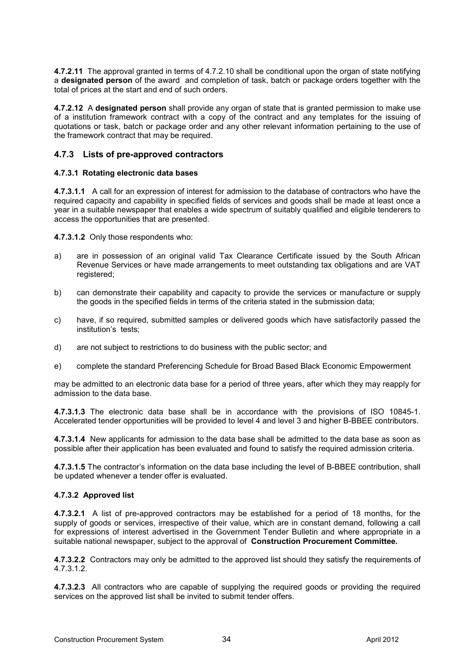**4.7.2.11** The approval granted in terms of 4.7.2.10 shall be conditional upon the organ of state notifying a **designated person** of the award and completion of task, batch or package orders together with the total of prices at the start and end of such orders.

**4.7.2.12** A **designated person** shall provide any organ of state that is granted permission to make use of a institution framework contract with a copy of the contract and any templates for the issuing of quotations or task, batch or package order and any other relevant information pertaining to the use of the framework contract that may be required.

#### **4.7.3 Lists of pre-approved contractors**

#### **4.7.3.1 Rotating electronic data bases**

**4.7.3.1.1** A call for an expression of interest for admission to the database of contractors who have the required capacity and capability in specified fields of services and goods shall be made at least once a year in a suitable newspaper that enables a wide spectrum of suitably qualified and eligible tenderers to access the opportunities that are presented.

**4.7.3.1.2** Only those respondents who:

- a) are in possession of an original valid Tax Clearance Certificate issued by the South African Revenue Services or have made arrangements to meet outstanding tax obligations and are VAT registered;
- b) can demonstrate their capability and capacity to provide the services or manufacture or supply the goods in the specified fields in terms of the criteria stated in the submission data;
- c) have, if so required, submitted samples or delivered goods which have satisfactorily passed the institution's tests;
- d) are not subject to restrictions to do business with the public sector; and
- e) complete the standard Preferencing Schedule for Broad Based Black Economic Empowerment

may be admitted to an electronic data base for a period of three years, after which they may reapply for admission to the data base.

**4.7.3.1.3** The electronic data base shall be in accordance with the provisions of ISO 10845-1. Accelerated tender opportunities will be provided to level 4 and level 3 and higher B-BBEE contributors.

**4.7.3.1.4** New applicants for admission to the data base shall be admitted to the data base as soon as possible after their application has been evaluated and found to satisfy the required admission criteria.

**4.7.3.1.5** The contractor's information on the data base including the level of B-BBEE contribution, shall be updated whenever a tender offer is evaluated.

#### **4.7.3.2 Approved list**

**4.7.3.2.1** A list of pre-approved contractors may be established for a period of 18 months, for the supply of goods or services, irrespective of their value, which are in constant demand, following a call for expressions of interest advertised in the Government Tender Bulletin and where appropriate in a suitable national newspaper, subject to the approval of **Construction Procurement Committee.** 

**4.7.3.2.2** Contractors may only be admitted to the approved list should they satisfy the requirements of 4.7.3.1.2.

**4.7.3.2.3** All contractors who are capable of supplying the required goods or providing the required services on the approved list shall be invited to submit tender offers.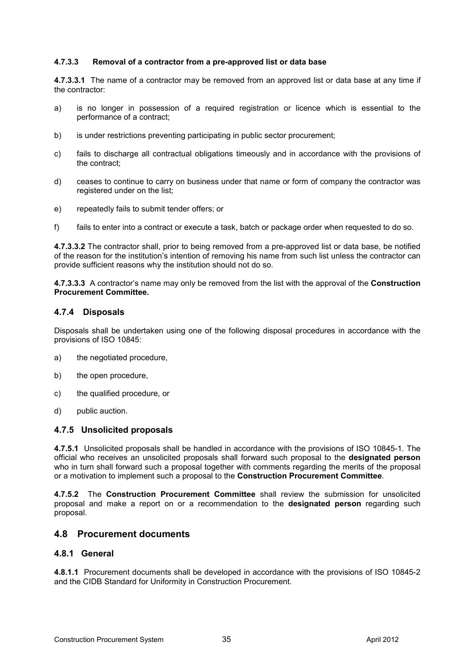#### **4.7.3.3 Removal of a contractor from a pre-approved list or data base**

**4.7.3.3.1** The name of a contractor may be removed from an approved list or data base at any time if the contractor:

- a) is no longer in possession of a required registration or licence which is essential to the performance of a contract;
- b) is under restrictions preventing participating in public sector procurement;
- c) fails to discharge all contractual obligations timeously and in accordance with the provisions of the contract;
- d) ceases to continue to carry on business under that name or form of company the contractor was registered under on the list;
- e) repeatedly fails to submit tender offers; or
- f) fails to enter into a contract or execute a task, batch or package order when requested to do so.

**4.7.3.3.2** The contractor shall, prior to being removed from a pre-approved list or data base, be notified of the reason for the institution's intention of removing his name from such list unless the contractor can provide sufficient reasons why the institution should not do so.

**4.7.3.3.3** A contractor's name may only be removed from the list with the approval of the **Construction Procurement Committee.** 

#### **4.7.4 Disposals**

Disposals shall be undertaken using one of the following disposal procedures in accordance with the provisions of ISO 10845:

- a) the negotiated procedure,
- b) the open procedure,
- c) the qualified procedure, or
- d) public auction.

#### **4.7.5 Unsolicited proposals**

**4.7.5.1** Unsolicited proposals shall be handled in accordance with the provisions of ISO 10845-1. The official who receives an unsolicited proposals shall forward such proposal to the **designated person** who in turn shall forward such a proposal together with comments regarding the merits of the proposal or a motivation to implement such a proposal to the **Construction Procurement Committee**.

**4.7.5.2** The **Construction Procurement Committee** shall review the submission for unsolicited proposal and make a report on or a recommendation to the **designated person** regarding such proposal.

#### **4.8 Procurement documents**

#### **4.8.1 General**

**4.8.1.1** Procurement documents shall be developed in accordance with the provisions of ISO 10845-2 and the CIDB Standard for Uniformity in Construction Procurement.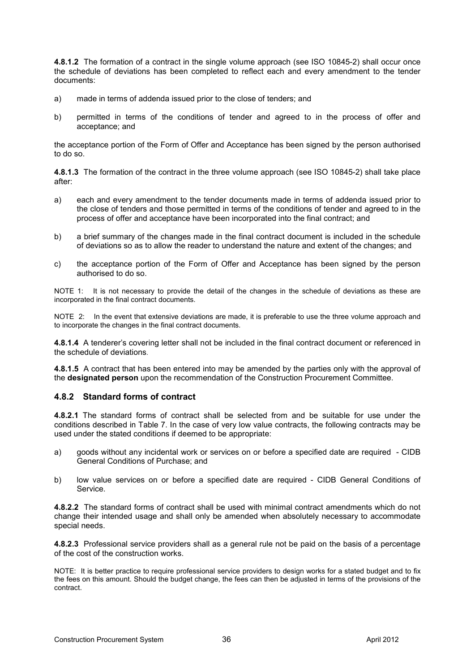**4.8.1.2** The formation of a contract in the single volume approach (see ISO 10845-2) shall occur once the schedule of deviations has been completed to reflect each and every amendment to the tender documents:

- a) made in terms of addenda issued prior to the close of tenders; and
- b) permitted in terms of the conditions of tender and agreed to in the process of offer and acceptance; and

the acceptance portion of the Form of Offer and Acceptance has been signed by the person authorised to do so.

**4.8.1.3** The formation of the contract in the three volume approach (see ISO 10845-2) shall take place after:

- a) each and every amendment to the tender documents made in terms of addenda issued prior to the close of tenders and those permitted in terms of the conditions of tender and agreed to in the process of offer and acceptance have been incorporated into the final contract; and
- b) a brief summary of the changes made in the final contract document is included in the schedule of deviations so as to allow the reader to understand the nature and extent of the changes; and
- c) the acceptance portion of the Form of Offer and Acceptance has been signed by the person authorised to do so.

NOTE 1: It is not necessary to provide the detail of the changes in the schedule of deviations as these are incorporated in the final contract documents.

NOTE 2: In the event that extensive deviations are made, it is preferable to use the three volume approach and to incorporate the changes in the final contract documents.

**4.8.1.4** A tenderer's covering letter shall not be included in the final contract document or referenced in the schedule of deviations.

**4.8.1.5** A contract that has been entered into may be amended by the parties only with the approval of the **designated person** upon the recommendation of the Construction Procurement Committee.

#### **4.8.2 Standard forms of contract**

**4.8.2.1** The standard forms of contract shall be selected from and be suitable for use under the conditions described in Table 7. In the case of very low value contracts, the following contracts may be used under the stated conditions if deemed to be appropriate:

- a) goods without any incidental work or services on or before a specified date are required CIDB General Conditions of Purchase; and
- b) low value services on or before a specified date are required CIDB General Conditions of Service.

**4.8.2.2** The standard forms of contract shall be used with minimal contract amendments which do not change their intended usage and shall only be amended when absolutely necessary to accommodate special needs.

**4.8.2.3** Professional service providers shall as a general rule not be paid on the basis of a percentage of the cost of the construction works.

NOTE: It is better practice to require professional service providers to design works for a stated budget and to fix the fees on this amount. Should the budget change, the fees can then be adjusted in terms of the provisions of the contract.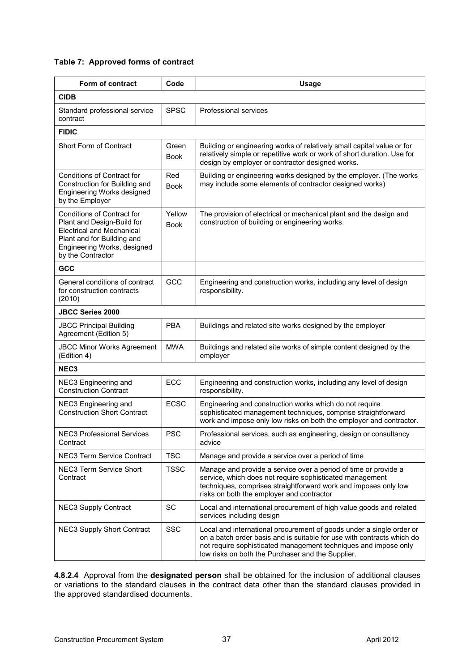#### **Table 7: Approved forms of contract**

| Form of contract                                                                                                                                                               | Code                  | <b>Usage</b>                                                                                                                                                                                                                                                           |  |  |
|--------------------------------------------------------------------------------------------------------------------------------------------------------------------------------|-----------------------|------------------------------------------------------------------------------------------------------------------------------------------------------------------------------------------------------------------------------------------------------------------------|--|--|
| <b>CIDB</b>                                                                                                                                                                    |                       |                                                                                                                                                                                                                                                                        |  |  |
| Standard professional service<br>contract                                                                                                                                      | <b>SPSC</b>           | Professional services                                                                                                                                                                                                                                                  |  |  |
| <b>FIDIC</b>                                                                                                                                                                   |                       |                                                                                                                                                                                                                                                                        |  |  |
| Short Form of Contract                                                                                                                                                         | Green<br><b>Book</b>  | Building or engineering works of relatively small capital value or for<br>relatively simple or repetitive work or work of short duration. Use for<br>design by employer or contractor designed works.                                                                  |  |  |
| Conditions of Contract for<br>Construction for Building and<br>Engineering Works designed<br>by the Employer                                                                   | Red<br><b>Book</b>    | Building or engineering works designed by the employer. (The works<br>may include some elements of contractor designed works)                                                                                                                                          |  |  |
| Conditions of Contract for<br>Plant and Design-Build for<br><b>Electrical and Mechanical</b><br>Plant and for Building and<br>Engineering Works, designed<br>by the Contractor | Yellow<br><b>Book</b> | The provision of electrical or mechanical plant and the design and<br>construction of building or engineering works.                                                                                                                                                   |  |  |
| GCC                                                                                                                                                                            |                       |                                                                                                                                                                                                                                                                        |  |  |
| General conditions of contract<br>for construction contracts<br>(2010)                                                                                                         | GCC                   | Engineering and construction works, including any level of design<br>responsibility.                                                                                                                                                                                   |  |  |
| <b>JBCC Series 2000</b>                                                                                                                                                        |                       |                                                                                                                                                                                                                                                                        |  |  |
| <b>JBCC Principal Building</b><br>Agreement (Edition 5)                                                                                                                        | <b>PBA</b>            | Buildings and related site works designed by the employer                                                                                                                                                                                                              |  |  |
| <b>JBCC Minor Works Agreement</b><br>(Edition 4)                                                                                                                               | <b>MWA</b>            | Buildings and related site works of simple content designed by the<br>employer                                                                                                                                                                                         |  |  |
| NEC <sub>3</sub>                                                                                                                                                               |                       |                                                                                                                                                                                                                                                                        |  |  |
| NEC3 Engineering and<br><b>Construction Contract</b>                                                                                                                           | ECC                   | Engineering and construction works, including any level of design<br>responsibility.                                                                                                                                                                                   |  |  |
| NEC3 Engineering and<br><b>Construction Short Contract</b>                                                                                                                     | <b>ECSC</b>           | Engineering and construction works which do not require<br>sophisticated management techniques, comprise straightforward<br>work and impose only low risks on both the employer and contractor.                                                                        |  |  |
| <b>NEC3 Professional Services</b><br>Contract                                                                                                                                  | PSC                   | Professional services, such as engineering, design or consultancy<br>advice                                                                                                                                                                                            |  |  |
| NEC3 Term Service Contract                                                                                                                                                     | <b>TSC</b>            | Manage and provide a service over a period of time                                                                                                                                                                                                                     |  |  |
| NEC3 Term Service Short<br>Contract                                                                                                                                            | <b>TSSC</b>           | Manage and provide a service over a period of time or provide a<br>service, which does not require sophisticated management<br>techniques, comprises straightforward work and imposes only low<br>risks on both the employer and contractor                            |  |  |
| <b>NEC3 Supply Contract</b>                                                                                                                                                    | SC                    | Local and international procurement of high value goods and related<br>services including design                                                                                                                                                                       |  |  |
| <b>NEC3 Supply Short Contract</b>                                                                                                                                              | <b>SSC</b>            | Local and international procurement of goods under a single order or<br>on a batch order basis and is suitable for use with contracts which do<br>not require sophisticated management techniques and impose only<br>low risks on both the Purchaser and the Supplier. |  |  |

**4.8.2.4** Approval from the **designated person** shall be obtained for the inclusion of additional clauses or variations to the standard clauses in the contract data other than the standard clauses provided in the approved standardised documents.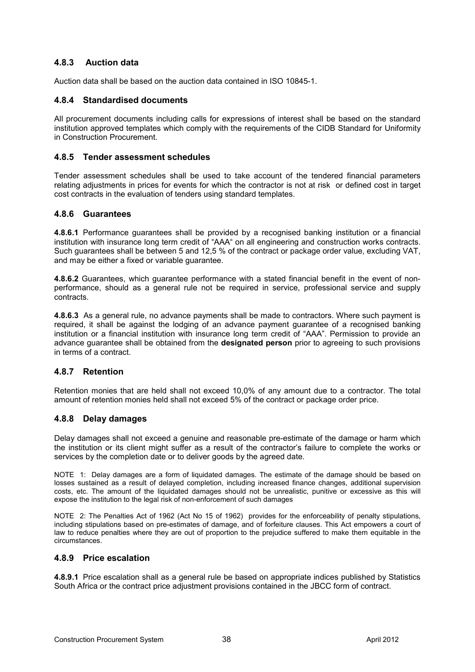## **4.8.3 Auction data**

Auction data shall be based on the auction data contained in ISO 10845-1.

#### **4.8.4 Standardised documents**

All procurement documents including calls for expressions of interest shall be based on the standard institution approved templates which comply with the requirements of the CIDB Standard for Uniformity in Construction Procurement.

#### **4.8.5 Tender assessment schedules**

Tender assessment schedules shall be used to take account of the tendered financial parameters relating adjustments in prices for events for which the contractor is not at risk or defined cost in target cost contracts in the evaluation of tenders using standard templates.

#### **4.8.6 Guarantees**

**4.8.6.1** Performance guarantees shall be provided by a recognised banking institution or a financial institution with insurance long term credit of "AAA" on all engineering and construction works contracts. Such guarantees shall be between 5 and 12,5 % of the contract or package order value, excluding VAT, and may be either a fixed or variable guarantee.

**4.8.6.2** Guarantees, which guarantee performance with a stated financial benefit in the event of nonperformance, should as a general rule not be required in service, professional service and supply contracts.

**4.8.6.3** As a general rule, no advance payments shall be made to contractors. Where such payment is required, it shall be against the lodging of an advance payment guarantee of a recognised banking institution or a financial institution with insurance long term credit of "AAA". Permission to provide an advance guarantee shall be obtained from the **designated person** prior to agreeing to such provisions in terms of a contract.

#### **4.8.7 Retention**

Retention monies that are held shall not exceed 10,0% of any amount due to a contractor. The total amount of retention monies held shall not exceed 5% of the contract or package order price.

#### **4.8.8 Delay damages**

Delay damages shall not exceed a genuine and reasonable pre-estimate of the damage or harm which the institution or its client might suffer as a result of the contractor's failure to complete the works or services by the completion date or to deliver goods by the agreed date.

NOTE 1: Delay damages are a form of liquidated damages. The estimate of the damage should be based on losses sustained as a result of delayed completion, including increased finance changes, additional supervision costs, etc. The amount of the liquidated damages should not be unrealistic, punitive or excessive as this will expose the institution to the legal risk of non-enforcement of such damages

NOTE 2: The Penalties Act of 1962 (Act No 15 of 1962) provides for the enforceability of penalty stipulations, including stipulations based on pre-estimates of damage, and of forfeiture clauses. This Act empowers a court of law to reduce penalties where they are out of proportion to the prejudice suffered to make them equitable in the circumstances.

#### **4.8.9 Price escalation**

**4.8.9.1** Price escalation shall as a general rule be based on appropriate indices published by Statistics South Africa or the contract price adjustment provisions contained in the JBCC form of contract.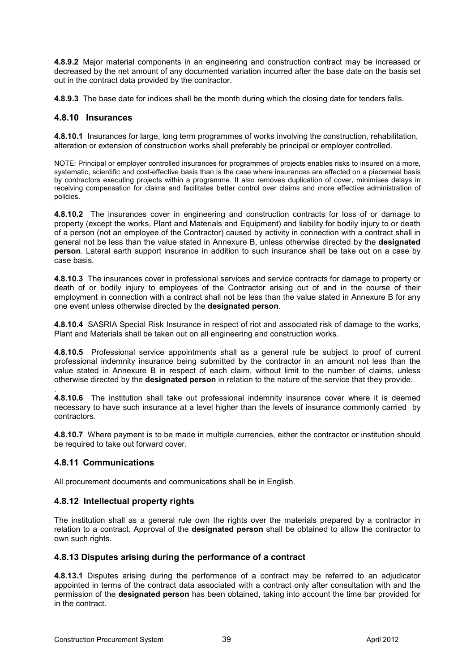**4.8.9.2** Major material components in an engineering and construction contract may be increased or decreased by the net amount of any documented variation incurred after the base date on the basis set out in the contract data provided by the contractor.

**4.8.9.3** The base date for indices shall be the month during which the closing date for tenders falls.

#### **4.8.10 Insurances**

**4.8.10.1** Insurances for large, long term programmes of works involving the construction, rehabilitation, alteration or extension of construction works shall preferably be principal or employer controlled.

NOTE: Principal or employer controlled insurances for programmes of projects enables risks to insured on a more, systematic, scientific and cost-effective basis than is the case where insurances are effected on a piecemeal basis by contractors executing projects within a programme. It also removes duplication of cover, minimises delays in receiving compensation for claims and facilitates better control over claims and more effective administration of policies.

**4.8.10.2** The insurances cover in engineering and construction contracts for loss of or damage to property (except the works, Plant and Materials and Equipment) and liability for bodily injury to or death of a person (not an employee of the Contractor) caused by activity in connection with a contract shall in general not be less than the value stated in Annexure B, unless otherwise directed by the **designated person**. Lateral earth support insurance in addition to such insurance shall be take out on a case by case basis.

**4.8.10.3** The insurances cover in professional services and service contracts for damage to property or death of or bodily injury to employees of the Contractor arising out of and in the course of their employment in connection with a contract shall not be less than the value stated in Annexure B for any one event unless otherwise directed by the **designated person**.

**4.8.10.4** SASRIA Special Risk Insurance in respect of riot and associated risk of damage to the works, Plant and Materials shall be taken out on all engineering and construction works.

**4.8.10.5** Professional service appointments shall as a general rule be subject to proof of current professional indemnity insurance being submitted by the contractor in an amount not less than the value stated in Annexure B in respect of each claim, without limit to the number of claims, unless otherwise directed by the **designated person** in relation to the nature of the service that they provide.

. **4.8.10.6** The institution shall take out professional indemnity insurance cover where it is deemed necessary to have such insurance at a level higher than the levels of insurance commonly carried by contractors.

**4.8.10.7** Where payment is to be made in multiple currencies, either the contractor or institution should be required to take out forward cover.

#### **4.8.11 Communications**

All procurement documents and communications shall be in English.

#### **4.8.12 Intellectual property rights**

The institution shall as a general rule own the rights over the materials prepared by a contractor in relation to a contract. Approval of the **designated person** shall be obtained to allow the contractor to own such rights.

#### **4.8.13 Disputes arising during the performance of a contract**

**4.8.13.1** Disputes arising during the performance of a contract may be referred to an adjudicator appointed in terms of the contract data associated with a contract only after consultation with and the permission of the **designated person** has been obtained, taking into account the time bar provided for in the contract.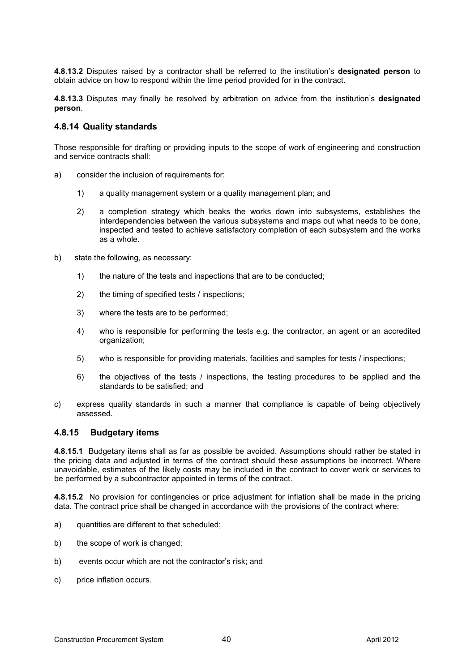**4.8.13.2** Disputes raised by a contractor shall be referred to the institution's **designated person** to obtain advice on how to respond within the time period provided for in the contract.

**4.8.13.3** Disputes may finally be resolved by arbitration on advice from the institution's **designated person**.

#### **4.8.14 Quality standards**

Those responsible for drafting or providing inputs to the scope of work of engineering and construction and service contracts shall:

- a) consider the inclusion of requirements for:
	- 1) a quality management system or a quality management plan; and
	- 2) a completion strategy which beaks the works down into subsystems, establishes the interdependencies between the various subsystems and maps out what needs to be done, inspected and tested to achieve satisfactory completion of each subsystem and the works as a whole.
- b) state the following, as necessary:
	- 1) the nature of the tests and inspections that are to be conducted;
	- 2) the timing of specified tests / inspections;
	- 3) where the tests are to be performed;
	- 4) who is responsible for performing the tests e.g. the contractor, an agent or an accredited organization;
	- 5) who is responsible for providing materials, facilities and samples for tests / inspections;
	- 6) the objectives of the tests / inspections, the testing procedures to be applied and the standards to be satisfied; and
- c) express quality standards in such a manner that compliance is capable of being objectively assessed.

#### **4.8.15 Budgetary items**

**4.8.15.1** Budgetary items shall as far as possible be avoided. Assumptions should rather be stated in the pricing data and adjusted in terms of the contract should these assumptions be incorrect. Where unavoidable, estimates of the likely costs may be included in the contract to cover work or services to be performed by a subcontractor appointed in terms of the contract.

**4.8.15.2** No provision for contingencies or price adjustment for inflation shall be made in the pricing data. The contract price shall be changed in accordance with the provisions of the contract where:

- a) quantities are different to that scheduled;
- b) the scope of work is changed;
- b) events occur which are not the contractor's risk; and
- c) price inflation occurs.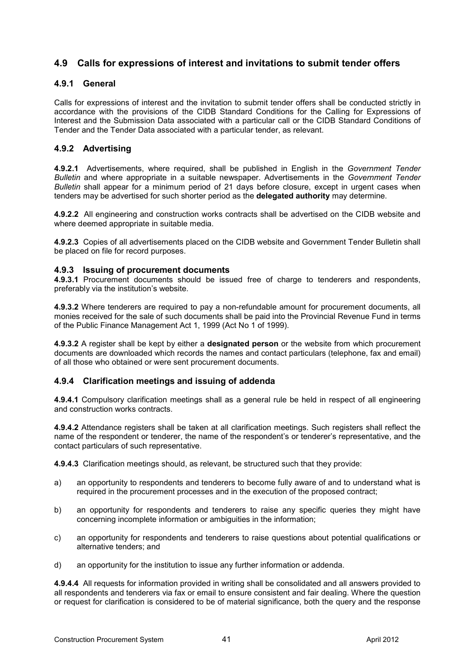## **4.9 Calls for expressions of interest and invitations to submit tender offers**

#### **4.9.1 General**

Calls for expressions of interest and the invitation to submit tender offers shall be conducted strictly in accordance with the provisions of the CIDB Standard Conditions for the Calling for Expressions of Interest and the Submission Data associated with a particular call or the CIDB Standard Conditions of Tender and the Tender Data associated with a particular tender, as relevant.

#### **4.9.2 Advertising**

**4.9.2.1** Advertisements, where required, shall be published in English in the *Government Tender Bulletin* and where appropriate in a suitable newspaper. Advertisements in the *Government Tender Bulletin* shall appear for a minimum period of 21 days before closure, except in urgent cases when tenders may be advertised for such shorter period as the **delegated authority** may determine.

**4.9.2.2** All engineering and construction works contracts shall be advertised on the CIDB website and where deemed appropriate in suitable media.

**4.9.2.3** Copies of all advertisements placed on the CIDB website and Government Tender Bulletin shall be placed on file for record purposes.

#### **4.9.3 Issuing of procurement documents**

**4.9.3.1** Procurement documents should be issued free of charge to tenderers and respondents, preferably via the institution's website.

**4.9.3.2** Where tenderers are required to pay a non-refundable amount for procurement documents, all monies received for the sale of such documents shall be paid into the Provincial Revenue Fund in terms of the Public Finance Management Act 1, 1999 (Act No 1 of 1999).

**4.9.3.2** A register shall be kept by either a **designated person** or the website from which procurement documents are downloaded which records the names and contact particulars (telephone, fax and email) of all those who obtained or were sent procurement documents.

#### **4.9.4 Clarification meetings and issuing of addenda**

**4.9.4.1** Compulsory clarification meetings shall as a general rule be held in respect of all engineering and construction works contracts.

**4.9.4.2** Attendance registers shall be taken at all clarification meetings. Such registers shall reflect the name of the respondent or tenderer, the name of the respondent's or tenderer's representative, and the contact particulars of such representative.

**4.9.4.3** Clarification meetings should, as relevant, be structured such that they provide:

- a) an opportunity to respondents and tenderers to become fully aware of and to understand what is required in the procurement processes and in the execution of the proposed contract;
- b) an opportunity for respondents and tenderers to raise any specific queries they might have concerning incomplete information or ambiguities in the information;
- c) an opportunity for respondents and tenderers to raise questions about potential qualifications or alternative tenders; and
- d) an opportunity for the institution to issue any further information or addenda.

**4.9.4.4** All requests for information provided in writing shall be consolidated and all answers provided to all respondents and tenderers via fax or email to ensure consistent and fair dealing. Where the question or request for clarification is considered to be of material significance, both the query and the response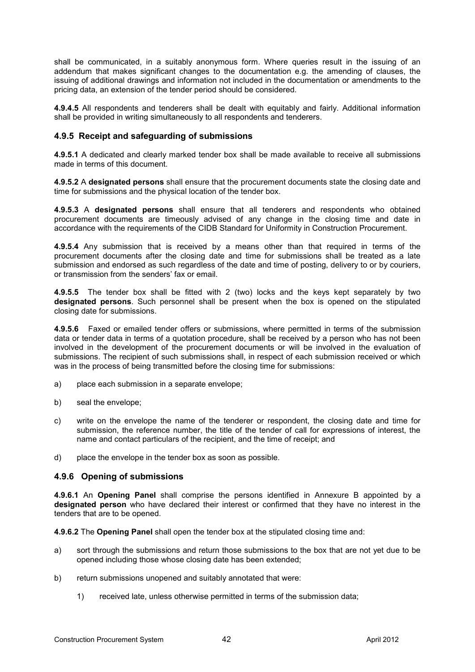shall be communicated, in a suitably anonymous form. Where queries result in the issuing of an addendum that makes significant changes to the documentation e.g. the amending of clauses, the issuing of additional drawings and information not included in the documentation or amendments to the pricing data, an extension of the tender period should be considered.

**4.9.4.5** All respondents and tenderers shall be dealt with equitably and fairly. Additional information shall be provided in writing simultaneously to all respondents and tenderers.

#### **4.9.5 Receipt and safeguarding of submissions**

**4.9.5.1** A dedicated and clearly marked tender box shall be made available to receive all submissions made in terms of this document.

**4.9.5.2** A **designated persons** shall ensure that the procurement documents state the closing date and time for submissions and the physical location of the tender box.

**4.9.5.3** A **designated persons** shall ensure that all tenderers and respondents who obtained procurement documents are timeously advised of any change in the closing time and date in accordance with the requirements of the CIDB Standard for Uniformity in Construction Procurement.

**4.9.5.4** Any submission that is received by a means other than that required in terms of the procurement documents after the closing date and time for submissions shall be treated as a late submission and endorsed as such regardless of the date and time of posting, delivery to or by couriers, or transmission from the senders' fax or email.

**4.9.5.5** The tender box shall be fitted with 2 (two) locks and the keys kept separately by two **designated persons**. Such personnel shall be present when the box is opened on the stipulated closing date for submissions.

**4.9.5.6** Faxed or emailed tender offers or submissions, where permitted in terms of the submission data or tender data in terms of a quotation procedure, shall be received by a person who has not been involved in the development of the procurement documents or will be involved in the evaluation of submissions. The recipient of such submissions shall, in respect of each submission received or which was in the process of being transmitted before the closing time for submissions:

- a) place each submission in a separate envelope;
- b) seal the envelope;
- c) write on the envelope the name of the tenderer or respondent, the closing date and time for submission, the reference number, the title of the tender of call for expressions of interest, the name and contact particulars of the recipient, and the time of receipt; and
- d) place the envelope in the tender box as soon as possible.

#### **4.9.6 Opening of submissions**

**4.9.6.1** An **Opening Panel** shall comprise the persons identified in Annexure B appointed by a **designated person** who have declared their interest or confirmed that they have no interest in the tenders that are to be opened.

**4.9.6.2** The **Opening Panel** shall open the tender box at the stipulated closing time and:

- a) sort through the submissions and return those submissions to the box that are not yet due to be opened including those whose closing date has been extended;
- b) return submissions unopened and suitably annotated that were:
	- 1) received late, unless otherwise permitted in terms of the submission data;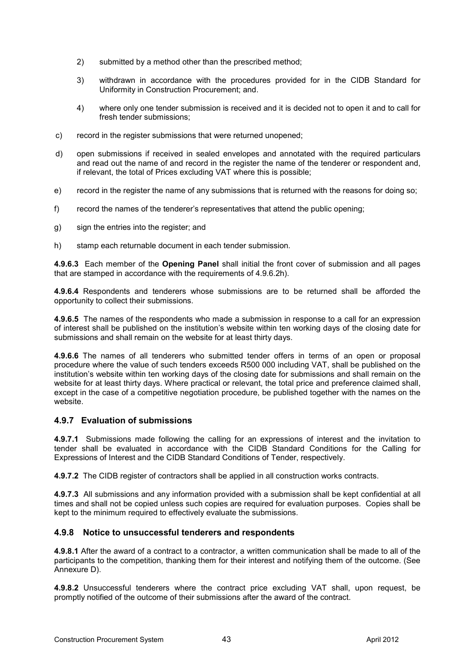- 2) submitted by a method other than the prescribed method;
- 3) withdrawn in accordance with the procedures provided for in the CIDB Standard for Uniformity in Construction Procurement; and.
- 4) where only one tender submission is received and it is decided not to open it and to call for fresh tender submissions;
- c) record in the register submissions that were returned unopened;
- d) open submissions if received in sealed envelopes and annotated with the required particulars and read out the name of and record in the register the name of the tenderer or respondent and, if relevant, the total of Prices excluding VAT where this is possible;
- e) record in the register the name of any submissions that is returned with the reasons for doing so;
- f) record the names of the tenderer's representatives that attend the public opening;
- g) sign the entries into the register; and
- h) stamp each returnable document in each tender submission.

**4.9.6.3** Each member of the **Opening Panel** shall initial the front cover of submission and all pages that are stamped in accordance with the requirements of 4.9.6.2h).

**4.9.6.4** Respondents and tenderers whose submissions are to be returned shall be afforded the opportunity to collect their submissions.

**4.9.6.5** The names of the respondents who made a submission in response to a call for an expression of interest shall be published on the institution's website within ten working days of the closing date for submissions and shall remain on the website for at least thirty days.

**4.9.6.6** The names of all tenderers who submitted tender offers in terms of an open or proposal procedure where the value of such tenders exceeds R500 000 including VAT, shall be published on the institution's website within ten working days of the closing date for submissions and shall remain on the website for at least thirty days. Where practical or relevant, the total price and preference claimed shall, except in the case of a competitive negotiation procedure, be published together with the names on the website.

#### **4.9.7 Evaluation of submissions**

**4.9.7.1** Submissions made following the calling for an expressions of interest and the invitation to tender shall be evaluated in accordance with the CIDB Standard Conditions for the Calling for Expressions of Interest and the CIDB Standard Conditions of Tender, respectively.

**4.9.7.2** The CIDB register of contractors shall be applied in all construction works contracts.

**4.9.7.3** All submissions and any information provided with a submission shall be kept confidential at all times and shall not be copied unless such copies are required for evaluation purposes. Copies shall be kept to the minimum required to effectively evaluate the submissions.

#### **4.9.8 Notice to unsuccessful tenderers and respondents**

**4.9.8.1** After the award of a contract to a contractor, a written communication shall be made to all of the participants to the competition, thanking them for their interest and notifying them of the outcome. (See Annexure D).

**4.9.8.2** Unsuccessful tenderers where the contract price excluding VAT shall, upon request, be promptly notified of the outcome of their submissions after the award of the contract.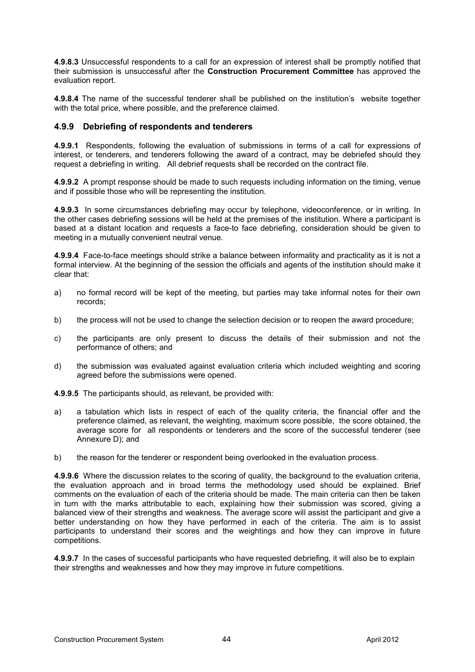**4.9.8.3** Unsuccessful respondents to a call for an expression of interest shall be promptly notified that their submission is unsuccessful after the **Construction Procurement Committee** has approved the evaluation report.

**4.9.8.4** The name of the successful tenderer shall be published on the institution's website together with the total price, where possible, and the preference claimed.

#### **4.9.9 Debriefing of respondents and tenderers**

**4.9.9.1** Respondents, following the evaluation of submissions in terms of a call for expressions of interest, or tenderers, and tenderers following the award of a contract, may be debriefed should they request a debriefing in writing. All debrief requests shall be recorded on the contract file.

**4.9.9.2** A prompt response should be made to such requests including information on the timing, venue and if possible those who will be representing the institution.

**4.9.9.3** In some circumstances debriefing may occur by telephone, videoconference, or in writing. In the other cases debriefing sessions will be held at the premises of the institution. Where a participant is based at a distant location and requests a face-to face debriefing, consideration should be given to meeting in a mutually convenient neutral venue.

**4.9.9.4** Face-to-face meetings should strike a balance between informality and practicality as it is not a formal interview. At the beginning of the session the officials and agents of the institution should make it clear that:

- a) no formal record will be kept of the meeting, but parties may take informal notes for their own records;
- b) the process will not be used to change the selection decision or to reopen the award procedure;
- c) the participants are only present to discuss the details of their submission and not the performance of others; and
- d) the submission was evaluated against evaluation criteria which included weighting and scoring agreed before the submissions were opened.

**4.9.9.5** The participants should, as relevant, be provided with:

- a) a tabulation which lists in respect of each of the quality criteria, the financial offer and the preference claimed, as relevant, the weighting, maximum score possible, the score obtained, the average score for all respondents or tenderers and the score of the successful tenderer (see Annexure D); and
- b) the reason for the tenderer or respondent being overlooked in the evaluation process.

**4.9.9.6** Where the discussion relates to the scoring of quality, the background to the evaluation criteria, the evaluation approach and in broad terms the methodology used should be explained. Brief comments on the evaluation of each of the criteria should be made. The main criteria can then be taken in turn with the marks attributable to each, explaining how their submission was scored, giving a balanced view of their strengths and weakness. The average score will assist the participant and give a better understanding on how they have performed in each of the criteria. The aim is to assist participants to understand their scores and the weightings and how they can improve in future competitions.

**4.9.9.7** In the cases of successful participants who have requested debriefing, it will also be to explain their strengths and weaknesses and how they may improve in future competitions.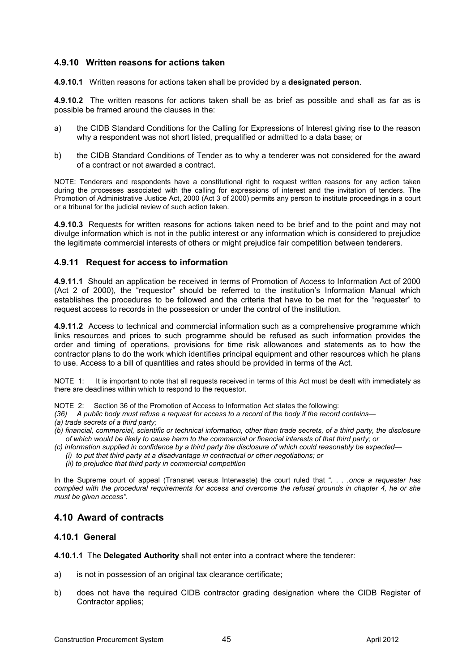#### **4.9.10 Written reasons for actions taken**

**4.9.10.1** Written reasons for actions taken shall be provided by a **designated person**.

**4.9.10.2** The written reasons for actions taken shall be as brief as possible and shall as far as is possible be framed around the clauses in the:

- a) the CIDB Standard Conditions for the Calling for Expressions of Interest giving rise to the reason why a respondent was not short listed, prequalified or admitted to a data base; or
- b) the CIDB Standard Conditions of Tender as to why a tenderer was not considered for the award of a contract or not awarded a contract.

NOTE: Tenderers and respondents have a constitutional right to request written reasons for any action taken during the processes associated with the calling for expressions of interest and the invitation of tenders. The Promotion of Administrative Justice Act, 2000 (Act 3 of 2000) permits any person to institute proceedings in a court or a tribunal for the judicial review of such action taken.

**4.9.10.3** Requests for written reasons for actions taken need to be brief and to the point and may not divulge information which is not in the public interest or any information which is considered to prejudice the legitimate commercial interests of others or might prejudice fair competition between tenderers.

#### **4.9.11 Request for access to information**

**4.9.11.1** Should an application be received in terms of Promotion of Access to Information Act of 2000 (Act 2 of 2000), the "requestor" should be referred to the institution's Information Manual which establishes the procedures to be followed and the criteria that have to be met for the "requester" to request access to records in the possession or under the control of the institution.

**4.9.11.2** Access to technical and commercial information such as a comprehensive programme which links resources and prices to such programme should be refused as such information provides the order and timing of operations, provisions for time risk allowances and statements as to how the contractor plans to do the work which identifies principal equipment and other resources which he plans to use. Access to a bill of quantities and rates should be provided in terms of the Act.

NOTE 1: It is important to note that all requests received in terms of this Act must be dealt with immediately as there are deadlines within which to respond to the requestor.

NOTE 2: Section 36 of the Promotion of Access to Information Act states the following:

- *(36) A public body must refuse a request for access to a record of the body if the record contains—*
- *(a) trade secrets of a third party;*
- *(b) financial, commercial, scientific or technical information, other than trade secrets, of a third party, the disclosure of which would be likely to cause harm to the commercial or financial interests of that third party; or*
- *(c) information supplied in confidence by a third party the disclosure of which could reasonably be expected—* 
	- *(i) to put that third party at a disadvantage in contractual or other negotiations; or*
	- *(ii) to prejudice that third party in commercial competition*

In the Supreme court of appeal (Transnet versus Interwaste) the court ruled that "*. . . .once a requester has complied with the procedural requirements for access and overcome the refusal grounds in chapter 4, he or she must be given access".* 

#### **4.10 Award of contracts**

#### **4.10.1 General**

**4.10.1.1** The **Delegated Authority** shall not enter into a contract where the tenderer:

- a) is not in possession of an original tax clearance certificate;
- b) does not have the required CIDB contractor grading designation where the CIDB Register of Contractor applies;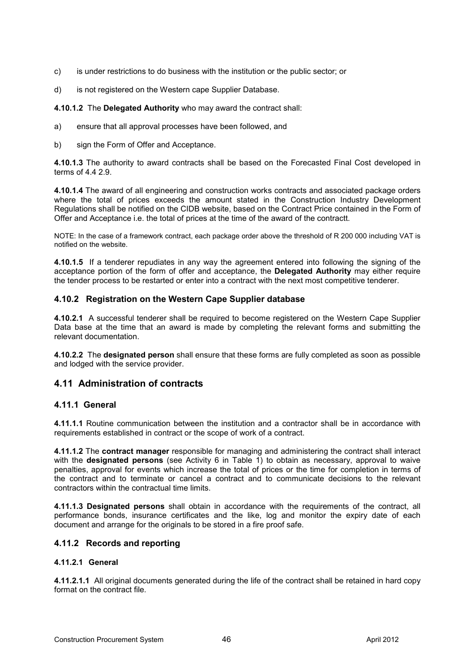- c) is under restrictions to do business with the institution or the public sector; or
- d) is not registered on the Western cape Supplier Database.

**4.10.1.2** The **Delegated Authority** who may award the contract shall:

- a) ensure that all approval processes have been followed, and
- b) sign the Form of Offer and Acceptance.

**4.10.1.3** The authority to award contracts shall be based on the Forecasted Final Cost developed in terms of 4.4 2.9.

**4.10.1.4** The award of all engineering and construction works contracts and associated package orders where the total of prices exceeds the amount stated in the Construction Industry Development Regulations shall be notified on the CIDB website, based on the Contract Price contained in the Form of Offer and Acceptance i.e. the total of prices at the time of the award of the contractt.

NOTE: In the case of a framework contract, each package order above the threshold of R 200 000 including VAT is notified on the website.

**4.10.1.5** If a tenderer repudiates in any way the agreement entered into following the signing of the acceptance portion of the form of offer and acceptance, the **Delegated Authority** may either require the tender process to be restarted or enter into a contract with the next most competitive tenderer.

#### **4.10.2 Registration on the Western Cape Supplier database**

**4.10.2.1** A successful tenderer shall be required to become registered on the Western Cape Supplier Data base at the time that an award is made by completing the relevant forms and submitting the relevant documentation.

**4.10.2.2** The **designated person** shall ensure that these forms are fully completed as soon as possible and lodged with the service provider.

## **4.11 Administration of contracts**

#### **4.11.1 General**

**4.11.1.1** Routine communication between the institution and a contractor shall be in accordance with requirements established in contract or the scope of work of a contract.

**4.11.1.2** The **contract manager** responsible for managing and administering the contract shall interact with the **designated persons** (see Activity 6 in Table 1) to obtain as necessary, approval to waive penalties, approval for events which increase the total of prices or the time for completion in terms of the contract and to terminate or cancel a contract and to communicate decisions to the relevant contractors within the contractual time limits.

**4.11.1.3 Designated persons** shall obtain in accordance with the requirements of the contract, all performance bonds, insurance certificates and the like, log and monitor the expiry date of each document and arrange for the originals to be stored in a fire proof safe.

## **4.11.2 Records and reporting**

#### **4.11.2.1 General**

**4.11.2.1.1** All original documents generated during the life of the contract shall be retained in hard copy format on the contract file.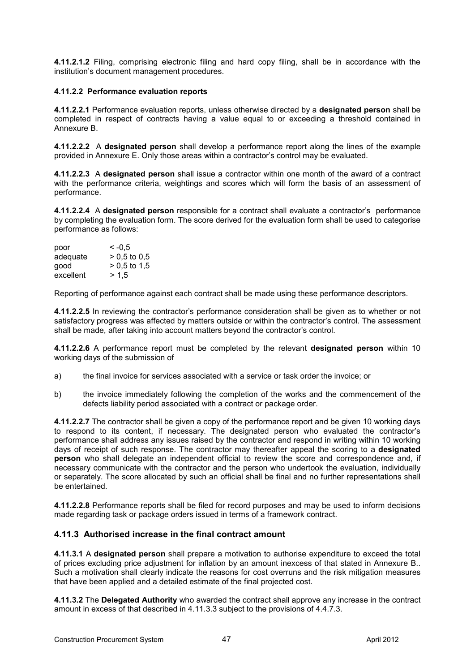**4.11.2.1.2** Filing, comprising electronic filing and hard copy filing, shall be in accordance with the institution's document management procedures.

#### **4.11.2.2 Performance evaluation reports**

**4.11.2.2.1** Performance evaluation reports, unless otherwise directed by a **designated person** shall be completed in respect of contracts having a value equal to or exceeding a threshold contained in Annexure B.

**4.11.2.2.2** A **designated person** shall develop a performance report along the lines of the example provided in Annexure E. Only those areas within a contractor's control may be evaluated.

**4.11.2.2.3** A **designated person** shall issue a contractor within one month of the award of a contract with the performance criteria, weightings and scores which will form the basis of an assessment of performance.

**4.11.2.2.4** A **designated person** responsible for a contract shall evaluate a contractor's performance by completing the evaluation form. The score derived for the evaluation form shall be used to categorise performance as follows:

| poor      | $\leq -0.5$    |
|-----------|----------------|
| adequate  | $> 0.5$ to 0.5 |
| qood      | $> 0.5$ to 1.5 |
| excellent | > 1.5          |

Reporting of performance against each contract shall be made using these performance descriptors.

**4.11.2.2.5** In reviewing the contractor's performance consideration shall be given as to whether or not satisfactory progress was affected by matters outside or within the contractor's control. The assessment shall be made, after taking into account matters beyond the contractor's control.

**4.11.2.2.6** A performance report must be completed by the relevant **designated person** within 10 working days of the submission of

- a) the final invoice for services associated with a service or task order the invoice; or
- b) the invoice immediately following the completion of the works and the commencement of the defects liability period associated with a contract or package order.

**4.11.2.2.7** The contractor shall be given a copy of the performance report and be given 10 working days to respond to its content, if necessary. The designated person who evaluated the contractor's performance shall address any issues raised by the contractor and respond in writing within 10 working days of receipt of such response. The contractor may thereafter appeal the scoring to a **designated person** who shall delegate an independent official to review the score and correspondence and, if necessary communicate with the contractor and the person who undertook the evaluation, individually or separately. The score allocated by such an official shall be final and no further representations shall be entertained.

**4.11.2.2.8** Performance reports shall be filed for record purposes and may be used to inform decisions made regarding task or package orders issued in terms of a framework contract.

## **4.11.3 Authorised increase in the final contract amount**

**4.11.3.1** A **designated person** shall prepare a motivation to authorise expenditure to exceed the total of prices excluding price adjustment for inflation by an amount inexcess of that stated in Annexure B.. Such a motivation shall clearly indicate the reasons for cost overruns and the risk mitigation measures that have been applied and a detailed estimate of the final projected cost.

**4.11.3.2** The **Delegated Authority** who awarded the contract shall approve any increase in the contract amount in excess of that described in 4.11.3.3 subject to the provisions of 4.4.7.3.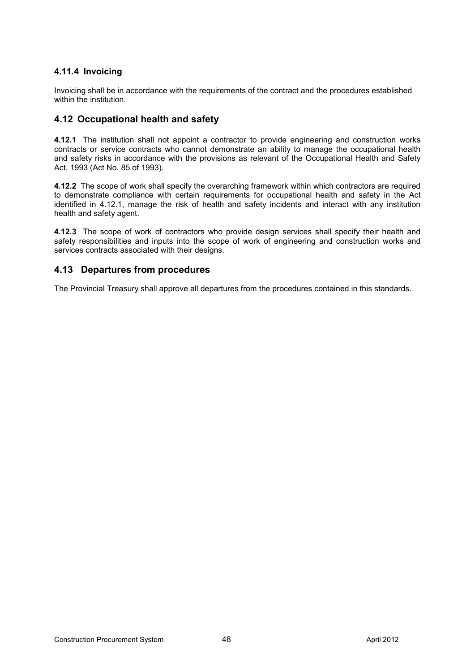## **4.11.4 Invoicing**

Invoicing shall be in accordance with the requirements of the contract and the procedures established within the institution.

## **4.12 Occupational health and safety**

**4.12.1** The institution shall not appoint a contractor to provide engineering and construction works contracts or service contracts who cannot demonstrate an ability to manage the occupational health and safety risks in accordance with the provisions as relevant of the Occupational Health and Safety Act, 1993 (Act No. 85 of 1993).

**4.12.2** The scope of work shall specify the overarching framework within which contractors are required to demonstrate compliance with certain requirements for occupational health and safety in the Act identified in 4.12.1, manage the risk of health and safety incidents and interact with any institution health and safety agent.

**4.12.3** The scope of work of contractors who provide design services shall specify their health and safety responsibilities and inputs into the scope of work of engineering and construction works and services contracts associated with their designs.

## **4.13 Departures from procedures**

The Provincial Treasury shall approve all departures from the procedures contained in this standards.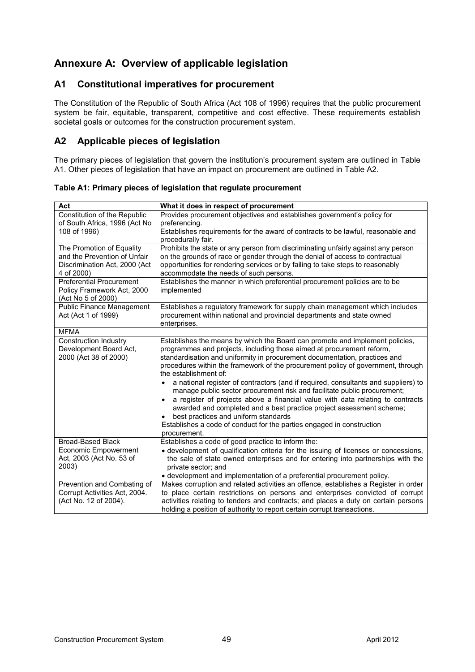# **Annexure A: Overview of applicable legislation**

## **A1 Constitutional imperatives for procurement**

The Constitution of the Republic of South Africa (Act 108 of 1996) requires that the public procurement system be fair, equitable, transparent, competitive and cost effective. These requirements establish societal goals or outcomes for the construction procurement system.

## **A2 Applicable pieces of legislation**

The primary pieces of legislation that govern the institution's procurement system are outlined in Table A1. Other pieces of legislation that have an impact on procurement are outlined in Table A2.

| Act                                                                                                      | What it does in respect of procurement                                                                                                                                                                                                                                                                                                                                                                                                                                                                                                                                                                                                                                                                                                                                                                                     |
|----------------------------------------------------------------------------------------------------------|----------------------------------------------------------------------------------------------------------------------------------------------------------------------------------------------------------------------------------------------------------------------------------------------------------------------------------------------------------------------------------------------------------------------------------------------------------------------------------------------------------------------------------------------------------------------------------------------------------------------------------------------------------------------------------------------------------------------------------------------------------------------------------------------------------------------------|
| Constitution of the Republic<br>of South Africa, 1996 (Act No<br>108 of 1996)                            | Provides procurement objectives and establishes government's policy for<br>preferencing.<br>Establishes requirements for the award of contracts to be lawful, reasonable and<br>procedurally fair.                                                                                                                                                                                                                                                                                                                                                                                                                                                                                                                                                                                                                         |
| The Promotion of Equality<br>and the Prevention of Unfair<br>Discrimination Act, 2000 (Act<br>4 of 2000) | Prohibits the state or any person from discriminating unfairly against any person<br>on the grounds of race or gender through the denial of access to contractual<br>opportunities for rendering services or by failing to take steps to reasonably<br>accommodate the needs of such persons.                                                                                                                                                                                                                                                                                                                                                                                                                                                                                                                              |
| <b>Preferential Procurement</b><br>Policy Framework Act, 2000<br>(Act No 5 of 2000)                      | Establishes the manner in which preferential procurement policies are to be<br>implemented                                                                                                                                                                                                                                                                                                                                                                                                                                                                                                                                                                                                                                                                                                                                 |
| <b>Public Finance Management</b><br>Act (Act 1 of 1999)                                                  | Establishes a regulatory framework for supply chain management which includes<br>procurement within national and provincial departments and state owned<br>enterprises.                                                                                                                                                                                                                                                                                                                                                                                                                                                                                                                                                                                                                                                    |
| <b>MFMA</b>                                                                                              |                                                                                                                                                                                                                                                                                                                                                                                                                                                                                                                                                                                                                                                                                                                                                                                                                            |
| <b>Construction Industry</b><br>Development Board Act,<br>2000 (Act 38 of 2000)                          | Establishes the means by which the Board can promote and implement policies,<br>programmes and projects, including those aimed at procurement reform,<br>standardisation and uniformity in procurement documentation, practices and<br>procedures within the framework of the procurement policy of government, through<br>the establishment of:<br>a national register of contractors (and if required, consultants and suppliers) to<br>manage public sector procurement risk and facilitate public procurement;<br>a register of projects above a financial value with data relating to contracts<br>$\bullet$<br>awarded and completed and a best practice project assessment scheme;<br>best practices and uniform standards<br>Establishes a code of conduct for the parties engaged in construction<br>procurement. |
| <b>Broad-Based Black</b><br><b>Economic Empowerment</b><br>Act, 2003 (Act No. 53 of<br>2003)             | Establishes a code of good practice to inform the:<br>• development of qualification criteria for the issuing of licenses or concessions,<br>the sale of state owned enterprises and for entering into partnerships with the<br>private sector; and<br>• development and implementation of a preferential procurement policy.                                                                                                                                                                                                                                                                                                                                                                                                                                                                                              |
| Prevention and Combating of<br>Corrupt Activities Act, 2004.<br>(Act No. 12 of 2004).                    | Makes corruption and related activities an offence, establishes a Register in order<br>to place certain restrictions on persons and enterprises convicted of corrupt<br>activities relating to tenders and contracts; and places a duty on certain persons<br>holding a position of authority to report certain corrupt transactions.                                                                                                                                                                                                                                                                                                                                                                                                                                                                                      |

**Table A1: Primary pieces of legislation that regulate procurement**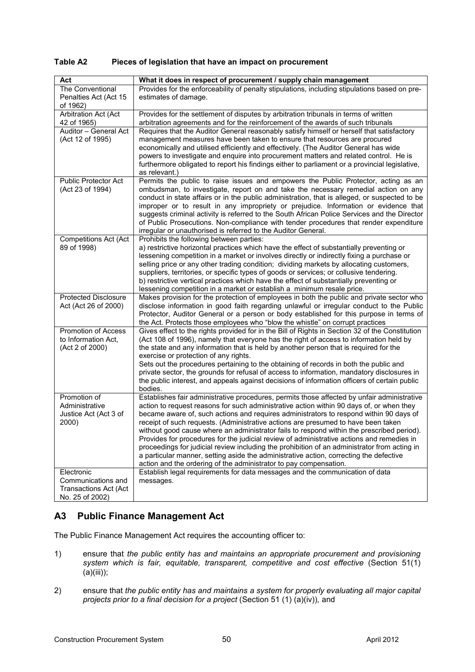| Table A2 | Pieces of legislation that have an impact on procurement |
|----------|----------------------------------------------------------|
|          |                                                          |

| Act                          | What it does in respect of procurement / supply chain management                                                                                                                        |
|------------------------------|-----------------------------------------------------------------------------------------------------------------------------------------------------------------------------------------|
| The Conventional             | Provides for the enforceability of penalty stipulations, including stipulations based on pre-                                                                                           |
| Penalties Act (Act 15        | estimates of damage.                                                                                                                                                                    |
| of 1962)                     |                                                                                                                                                                                         |
| Arbitration Act (Act         | Provides for the settlement of disputes by arbitration tribunals in terms of written                                                                                                    |
| 42 of 1965)                  | arbitration agreements and for the reinforcement of the awards of such tribunals                                                                                                        |
| Auditor - General Act        | Requires that the Auditor General reasonably satisfy himself or herself that satisfactory                                                                                               |
| (Act 12 of 1995)             | management measures have been taken to ensure that resources are procured                                                                                                               |
|                              | economically and utilised efficiently and effectively. (The Auditor General has wide                                                                                                    |
|                              | powers to investigate and enquire into procurement matters and related control. He is                                                                                                   |
|                              | furthermore obligated to report his findings either to parliament or a provincial legislative,                                                                                          |
|                              | as relevant.)                                                                                                                                                                           |
| <b>Public Protector Act</b>  | Permits the public to raise issues and empowers the Public Protector, acting as an                                                                                                      |
| (Act 23 of 1994)             | ombudsman, to investigate, report on and take the necessary remedial action on any                                                                                                      |
|                              | conduct in state affairs or in the public administration, that is alleged, or suspected to be                                                                                           |
|                              | improper or to result in any impropriety or prejudice. Information or evidence that                                                                                                     |
|                              | suggests criminal activity is referred to the South African Police Services and the Director                                                                                            |
|                              | of Public Prosecutions. Non-compliance with tender procedures that render expenditure                                                                                                   |
|                              | irregular or unauthorised is referred to the Auditor General.                                                                                                                           |
| <b>Competitions Act (Act</b> | Prohibits the following between parties:                                                                                                                                                |
| 89 of 1998)                  | a) restrictive horizontal practices which have the effect of substantially preventing or                                                                                                |
|                              | lessening competition in a market or involves directly or indirectly fixing a purchase or                                                                                               |
|                              | selling price or any other trading condition; dividing markets by allocating customers,<br>suppliers, territories, or specific types of goods or services; or collusive tendering.      |
|                              | b) restrictive vertical practices which have the effect of substantially preventing or                                                                                                  |
|                              | lessening competition in a market or establish a minimum resale price.                                                                                                                  |
| <b>Protected Disclosure</b>  | Makes provision for the protection of employees in both the public and private sector who                                                                                               |
| Act (Act 26 of 2000)         | disclose information in good faith regarding unlawful or irregular conduct to the Public                                                                                                |
|                              | Protector, Auditor General or a person or body established for this purpose in terms of                                                                                                 |
|                              | the Act. Protects those employees who "blow the whistle" on corrupt practices                                                                                                           |
| Promotion of Access          | Gives effect to the rights provided for in the Bill of Rights in Section 32 of the Constitution                                                                                         |
| to Information Act,          | (Act 108 of 1996), namely that everyone has the right of access to information held by                                                                                                  |
| (Act 2 of 2000)              | the state and any information that is held by another person that is required for the                                                                                                   |
|                              | exercise or protection of any rights.                                                                                                                                                   |
|                              | Sets out the procedures pertaining to the obtaining of records in both the public and                                                                                                   |
|                              | private sector, the grounds for refusal of access to information, mandatory disclosures in                                                                                              |
|                              | the public interest, and appeals against decisions of information officers of certain public                                                                                            |
| Promotion of                 | bodies.                                                                                                                                                                                 |
| Administrative               | Establishes fair administrative procedures, permits those affected by unfair administrative<br>action to request reasons for such administrative action within 90 days of, or when they |
| Justice Act (Act 3 of        | became aware of, such actions and requires administrators to respond within 90 days of                                                                                                  |
| 2000)                        | receipt of such requests. (Administrative actions are presumed to have been taken                                                                                                       |
|                              | without good cause where an administrator fails to respond within the prescribed period).                                                                                               |
|                              | Provides for procedures for the judicial review of administrative actions and remedies in                                                                                               |
|                              | proceedings for judicial review including the prohibition of an administrator from acting in                                                                                            |
|                              | a particular manner, setting aside the administrative action, correcting the defective                                                                                                  |
|                              | action and the ordering of the administrator to pay compensation.                                                                                                                       |
| Electronic                   | Establish legal requirements for data messages and the communication of data                                                                                                            |
| Communications and           | messages.                                                                                                                                                                               |
| <b>Transactions Act (Act</b> |                                                                                                                                                                                         |
| No. 25 of 2002)              |                                                                                                                                                                                         |

## **A3 Public Finance Management Act**

The Public Finance Management Act requires the accounting officer to:

- 1) ensure that *the public entity has and maintains an appropriate procurement and provisioning system which is fair, equitable, transparent, competitive and cost effective* (Section 51(1)  $(a)(iii))$ ;
- 2) ensure that *the public entity has and maintains a system for properly evaluating all major capital projects prior to a final decision for a project* (Section 51 (1) (a)(iv))*,* and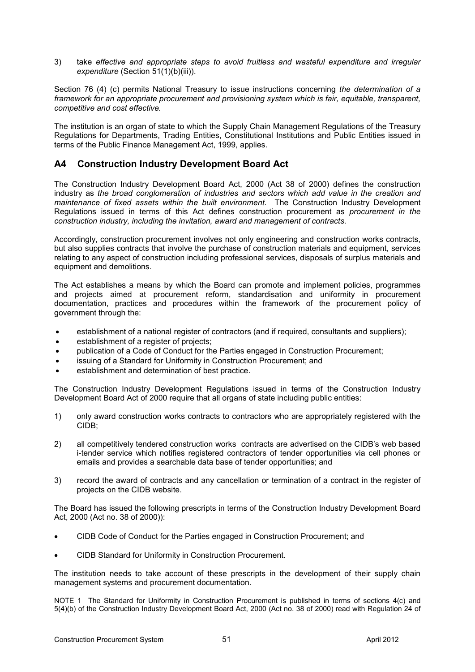3) take *effective and appropriate steps to avoid fruitless and wasteful expenditure and irregular expenditure* (Section 51(1)(b)(iii)).

Section 76 (4) (c) permits National Treasury to issue instructions concerning *the determination of a framework for an appropriate procurement and provisioning system which is fair, equitable, transparent, competitive and cost effective.* 

The institution is an organ of state to which the Supply Chain Management Regulations of the Treasury Regulations for Departments, Trading Entities, Constitutional Institutions and Public Entities issued in terms of the Public Finance Management Act, 1999, applies.

## **A4 Construction Industry Development Board Act**

The Construction Industry Development Board Act, 2000 (Act 38 of 2000) defines the construction industry as *the broad conglomeration of industries and sectors which add value in the creation and maintenance of fixed assets within the built environment*. The Construction Industry Development Regulations issued in terms of this Act defines construction procurement as *procurement in the construction industry, including the invitation, award and management of contracts.* 

Accordingly, construction procurement involves not only engineering and construction works contracts, but also supplies contracts that involve the purchase of construction materials and equipment, services relating to any aspect of construction including professional services, disposals of surplus materials and equipment and demolitions.

The Act establishes a means by which the Board can promote and implement policies, programmes and projects aimed at procurement reform, standardisation and uniformity in procurement documentation, practices and procedures within the framework of the procurement policy of government through the:

- establishment of a national register of contractors (and if required, consultants and suppliers);
- establishment of a register of projects;
- publication of a Code of Conduct for the Parties engaged in Construction Procurement;
- issuing of a Standard for Uniformity in Construction Procurement; and
- establishment and determination of best practice.

The Construction Industry Development Regulations issued in terms of the Construction Industry Development Board Act of 2000 require that all organs of state including public entities:

- 1) only award construction works contracts to contractors who are appropriately registered with the CIDB;
- 2) all competitively tendered construction works contracts are advertised on the CIDB's web based i-tender service which notifies registered contractors of tender opportunities via cell phones or emails and provides a searchable data base of tender opportunities; and
- 3) record the award of contracts and any cancellation or termination of a contract in the register of projects on the CIDB website.

The Board has issued the following prescripts in terms of the Construction Industry Development Board Act, 2000 (Act no. 38 of 2000)):

- CIDB Code of Conduct for the Parties engaged in Construction Procurement; and
- CIDB Standard for Uniformity in Construction Procurement.

The institution needs to take account of these prescripts in the development of their supply chain management systems and procurement documentation.

NOTE 1 The Standard for Uniformity in Construction Procurement is published in terms of sections 4(c) and 5(4)(b) of the Construction Industry Development Board Act, 2000 (Act no. 38 of 2000) read with Regulation 24 of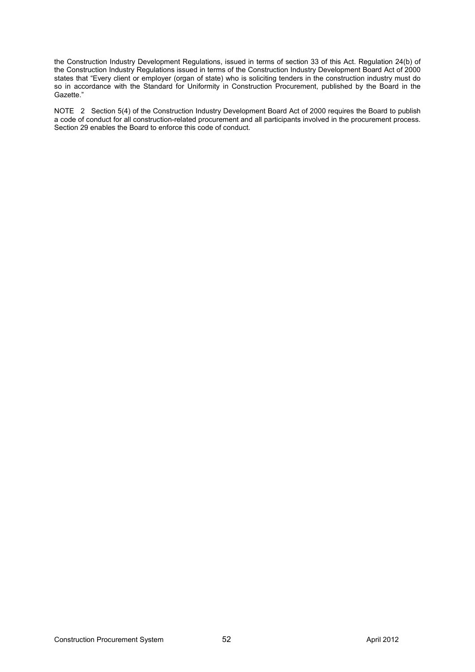the Construction Industry Development Regulations, issued in terms of section 33 of this Act. Regulation 24(b) of the Construction Industry Regulations issued in terms of the Construction Industry Development Board Act of 2000 states that "Every client or employer (organ of state) who is soliciting tenders in the construction industry must do so in accordance with the Standard for Uniformity in Construction Procurement, published by the Board in the Gazette."

NOTE 2 Section 5(4) of the Construction Industry Development Board Act of 2000 requires the Board to publish a code of conduct for all construction-related procurement and all participants involved in the procurement process. Section 29 enables the Board to enforce this code of conduct.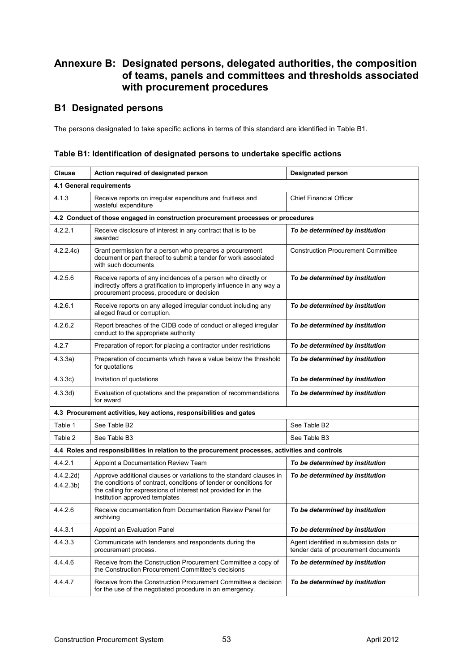## **Annexure B: Designated persons, delegated authorities, the composition of teams, panels and committees and thresholds associated with procurement procedures**

## **B1 Designated persons**

The persons designated to take specific actions in terms of this standard are identified in Table B1.

| Table B1: Identification of designated persons to undertake specific actions |  |
|------------------------------------------------------------------------------|--|
|------------------------------------------------------------------------------|--|

| <b>Clause</b>                     | Action required of designated person                                                                                                                                                                                                           | <b>Designated person</b>                                                       |  |  |
|-----------------------------------|------------------------------------------------------------------------------------------------------------------------------------------------------------------------------------------------------------------------------------------------|--------------------------------------------------------------------------------|--|--|
| 4.1 General requirements          |                                                                                                                                                                                                                                                |                                                                                |  |  |
| 4.1.3                             | Receive reports on irregular expenditure and fruitless and<br>wasteful expenditure                                                                                                                                                             | <b>Chief Financial Officer</b>                                                 |  |  |
|                                   | 4.2 Conduct of those engaged in construction procurement processes or procedures                                                                                                                                                               |                                                                                |  |  |
| 4.2.2.1                           | Receive disclosure of interest in any contract that is to be<br>awarded                                                                                                                                                                        | To be determined by institution                                                |  |  |
| 4.2.2.4c)                         | Grant permission for a person who prepares a procurement<br>document or part thereof to submit a tender for work associated<br>with such documents                                                                                             | <b>Construction Procurement Committee</b>                                      |  |  |
| 4.2.5.6                           | Receive reports of any incidences of a person who directly or<br>indirectly offers a gratification to improperly influence in any way a<br>procurement process, procedure or decision                                                          | To be determined by institution                                                |  |  |
| 4.2.6.1                           | Receive reports on any alleged irregular conduct including any<br>alleged fraud or corruption.                                                                                                                                                 | To be determined by institution                                                |  |  |
| 4.2.6.2                           | Report breaches of the CIDB code of conduct or alleged irregular<br>conduct to the appropriate authority                                                                                                                                       | To be determined by institution                                                |  |  |
| 4.2.7                             | Preparation of report for placing a contractor under restrictions                                                                                                                                                                              | To be determined by institution                                                |  |  |
| 4.3.3a)                           | Preparation of documents which have a value below the threshold<br>for quotations                                                                                                                                                              | To be determined by institution                                                |  |  |
| 4.3.3c)                           | Invitation of quotations                                                                                                                                                                                                                       | To be determined by institution                                                |  |  |
| 4.3.3d)                           | Evaluation of quotations and the preparation of recommendations<br>for award                                                                                                                                                                   | To be determined by institution                                                |  |  |
|                                   | 4.3 Procurement activities, key actions, responsibilities and gates                                                                                                                                                                            |                                                                                |  |  |
| Table 1                           | See Table B2                                                                                                                                                                                                                                   | See Table B2                                                                   |  |  |
| Table 2                           | See Table B3                                                                                                                                                                                                                                   | See Table B3                                                                   |  |  |
|                                   | 4.4 Roles and responsibilities in relation to the procurement processes, activities and controls                                                                                                                                               |                                                                                |  |  |
| 4.4.2.1                           | Appoint a Documentation Review Team                                                                                                                                                                                                            | To be determined by institution                                                |  |  |
| 4.4.2.2d)<br>4.4.2.3 <sub>b</sub> | Approve additional clauses or variations to the standard clauses in<br>the conditions of contract, conditions of tender or conditions for<br>the calling for expressions of interest not provided for in the<br>Institution approved templates | To be determined by institution                                                |  |  |
| 4.4.2.6                           | Receive documentation from Documentation Review Panel for<br>archiving                                                                                                                                                                         | To be determined by institution                                                |  |  |
| 4431                              | Appoint an Evaluation Panel                                                                                                                                                                                                                    | To be determined by institution                                                |  |  |
| 4.4.3.3                           | Communicate with tenderers and respondents during the<br>procurement process.                                                                                                                                                                  | Agent identified in submission data or<br>tender data of procurement documents |  |  |
| 4.4.4.6                           | Receive from the Construction Procurement Committee a copy of<br>the Construction Procurement Committee's decisions                                                                                                                            | To be determined by institution                                                |  |  |
| 4.4.4.7                           | Receive from the Construction Procurement Committee a decision<br>for the use of the negotiated procedure in an emergency.                                                                                                                     | To be determined by institution                                                |  |  |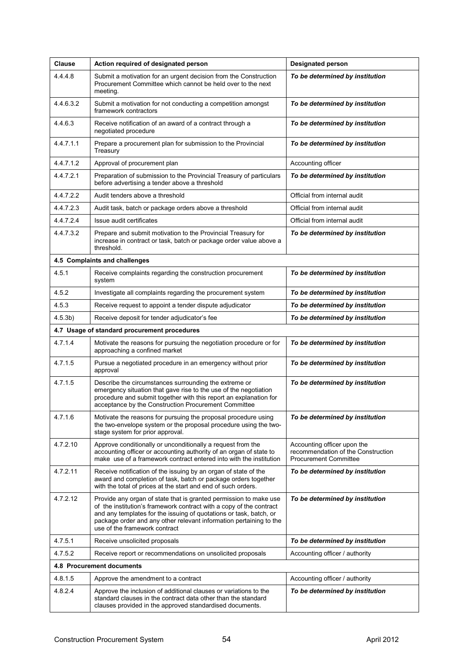| <b>Clause</b>             | Action required of designated person                                                                                                                                                                                                                                                                                  | <b>Designated person</b>                                                                          |  |  |
|---------------------------|-----------------------------------------------------------------------------------------------------------------------------------------------------------------------------------------------------------------------------------------------------------------------------------------------------------------------|---------------------------------------------------------------------------------------------------|--|--|
| 4.4.4.8                   | Submit a motivation for an urgent decision from the Construction<br>Procurement Committee which cannot be held over to the next<br>meeting.                                                                                                                                                                           | To be determined by institution                                                                   |  |  |
| 4.4.6.3.2                 | Submit a motivation for not conducting a competition amongst<br>framework contractors                                                                                                                                                                                                                                 | To be determined by institution                                                                   |  |  |
| 4.4.6.3                   | Receive notification of an award of a contract through a<br>negotiated procedure                                                                                                                                                                                                                                      | To be determined by institution                                                                   |  |  |
| 4.4.7.1.1                 | Prepare a procurement plan for submission to the Provincial<br>Treasury                                                                                                                                                                                                                                               | To be determined by institution                                                                   |  |  |
| 4.4.7.1.2                 | Approval of procurement plan                                                                                                                                                                                                                                                                                          | Accounting officer                                                                                |  |  |
| 4.4.7.2.1                 | Preparation of submission to the Provincial Treasury of particulars<br>before advertising a tender above a threshold                                                                                                                                                                                                  | To be determined by institution                                                                   |  |  |
| 4.4.7.2.2                 | Audit tenders above a threshold                                                                                                                                                                                                                                                                                       | Official from internal audit                                                                      |  |  |
| 4.4.7.2.3                 | Audit task, batch or package orders above a threshold                                                                                                                                                                                                                                                                 | Official from internal audit                                                                      |  |  |
| 4.4.7.2.4                 | Issue audit certificates                                                                                                                                                                                                                                                                                              | Official from internal audit                                                                      |  |  |
| 4.4.7.3.2                 | Prepare and submit motivation to the Provincial Treasury for<br>increase in contract or task, batch or package order value above a<br>threshold.                                                                                                                                                                      | To be determined by institution                                                                   |  |  |
|                           | 4.5 Complaints and challenges                                                                                                                                                                                                                                                                                         |                                                                                                   |  |  |
| 4.5.1                     | Receive complaints regarding the construction procurement<br>system                                                                                                                                                                                                                                                   | To be determined by institution                                                                   |  |  |
| 4.5.2                     | Investigate all complaints regarding the procurement system                                                                                                                                                                                                                                                           | To be determined by institution                                                                   |  |  |
| 4.5.3                     | Receive request to appoint a tender dispute adjudicator                                                                                                                                                                                                                                                               | To be determined by institution                                                                   |  |  |
| $4.5.3b$ )                | Receive deposit for tender adjudicator's fee                                                                                                                                                                                                                                                                          | To be determined by institution                                                                   |  |  |
|                           | 4.7 Usage of standard procurement procedures                                                                                                                                                                                                                                                                          |                                                                                                   |  |  |
| 4.7.1.4                   | Motivate the reasons for pursuing the negotiation procedure or for<br>approaching a confined market                                                                                                                                                                                                                   | To be determined by institution                                                                   |  |  |
| 4.7.1.5                   | Pursue a negotiated procedure in an emergency without prior<br>approval                                                                                                                                                                                                                                               | To be determined by institution                                                                   |  |  |
| 4.7.1.5                   | Describe the circumstances surrounding the extreme or<br>emergency situation that gave rise to the use of the negotiation<br>procedure and submit together with this report an explanation for<br>acceptance by the Construction Procurement Committee                                                                | To be determined by institution                                                                   |  |  |
| 4.7.1.6                   | Motivate the reasons for pursuing the proposal procedure using<br>the two-envelope system or the proposal procedure using the two-<br>stage system for prior approval.                                                                                                                                                | To be determined by institution                                                                   |  |  |
| 4.7.2.10                  | Approve conditionally or unconditionally a request from the<br>accounting officer or accounting authority of an organ of state to<br>make use of a framework contract entered into with the institution                                                                                                               | Accounting officer upon the<br>recommendation of the Construction<br><b>Procurement Committee</b> |  |  |
| 4.7.2.11                  | Receive notification of the issuing by an organ of state of the<br>award and completion of task, batch or package orders together<br>with the total of prices at the start and end of such orders.                                                                                                                    | To be determined by institution                                                                   |  |  |
| 4.7.2.12                  | Provide any organ of state that is granted permission to make use<br>of the institution's framework contract with a copy of the contract<br>and any templates for the issuing of quotations or task, batch, or<br>package order and any other relevant information pertaining to the<br>use of the framework contract | To be determined by institution                                                                   |  |  |
| 4.7.5.1                   | Receive unsolicited proposals                                                                                                                                                                                                                                                                                         | To be determined by institution                                                                   |  |  |
| 4.7.5.2                   | Receive report or recommendations on unsolicited proposals                                                                                                                                                                                                                                                            | Accounting officer / authority                                                                    |  |  |
| 4.8 Procurement documents |                                                                                                                                                                                                                                                                                                                       |                                                                                                   |  |  |
| 4.8.1.5                   | Approve the amendment to a contract                                                                                                                                                                                                                                                                                   | Accounting officer / authority                                                                    |  |  |
| 4.8.2.4                   | Approve the inclusion of additional clauses or variations to the<br>standard clauses in the contract data other than the standard<br>clauses provided in the approved standardised documents.                                                                                                                         | To be determined by institution                                                                   |  |  |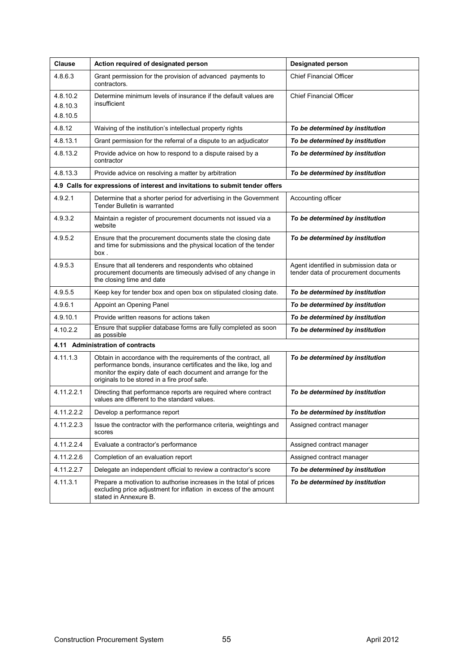| <b>Clause</b>                    | Action required of designated person                                                                                                                                                                                                               | <b>Designated person</b>                                                       |  |  |
|----------------------------------|----------------------------------------------------------------------------------------------------------------------------------------------------------------------------------------------------------------------------------------------------|--------------------------------------------------------------------------------|--|--|
| 4.8.6.3                          | Grant permission for the provision of advanced payments to<br>contractors.                                                                                                                                                                         | <b>Chief Financial Officer</b>                                                 |  |  |
| 4.8.10.2<br>4.8.10.3<br>4.8.10.5 | Determine minimum levels of insurance if the default values are<br>insufficient                                                                                                                                                                    | <b>Chief Financial Officer</b>                                                 |  |  |
| 4.8.12                           | Waiving of the institution's intellectual property rights                                                                                                                                                                                          | To be determined by institution                                                |  |  |
| 4.8.13.1                         | Grant permission for the referral of a dispute to an adjudicator                                                                                                                                                                                   | To be determined by institution                                                |  |  |
| 4.8.13.2                         | Provide advice on how to respond to a dispute raised by a<br>contractor                                                                                                                                                                            | To be determined by institution                                                |  |  |
| 4.8.13.3                         | Provide advice on resolving a matter by arbitration                                                                                                                                                                                                | To be determined by institution                                                |  |  |
|                                  | 4.9 Calls for expressions of interest and invitations to submit tender offers                                                                                                                                                                      |                                                                                |  |  |
| 4.9.2.1                          | Determine that a shorter period for advertising in the Government<br>Tender Bulletin is warranted                                                                                                                                                  | Accounting officer                                                             |  |  |
| 4.9.3.2                          | Maintain a register of procurement documents not issued via a<br>website                                                                                                                                                                           | To be determined by institution                                                |  |  |
| 4.9.5.2                          | Ensure that the procurement documents state the closing date<br>and time for submissions and the physical location of the tender<br>box.                                                                                                           | To be determined by institution                                                |  |  |
| 4.9.5.3                          | Ensure that all tenderers and respondents who obtained<br>procurement documents are timeously advised of any change in<br>the closing time and date                                                                                                | Agent identified in submission data or<br>tender data of procurement documents |  |  |
| 4.9.5.5                          | Keep key for tender box and open box on stipulated closing date.                                                                                                                                                                                   | To be determined by institution                                                |  |  |
| 4.9.6.1                          | Appoint an Opening Panel                                                                                                                                                                                                                           | To be determined by institution                                                |  |  |
| 4.9.10.1                         | Provide written reasons for actions taken                                                                                                                                                                                                          | To be determined by institution                                                |  |  |
| 4.10.2.2                         | Ensure that supplier database forms are fully completed as soon<br>as possible                                                                                                                                                                     | To be determined by institution                                                |  |  |
| 4.11 Administration of contracts |                                                                                                                                                                                                                                                    |                                                                                |  |  |
| 4.11.1.3                         | Obtain in accordance with the requirements of the contract, all<br>performance bonds, insurance certificates and the like, log and<br>monitor the expiry date of each document and arrange for the<br>originals to be stored in a fire proof safe. | To be determined by institution                                                |  |  |
| 4.11.2.2.1                       | Directing that performance reports are required where contract<br>values are different to the standard values.                                                                                                                                     | To be determined by institution                                                |  |  |
| 4.11.2.2.2                       | Develop a performance report                                                                                                                                                                                                                       | To be determined by institution                                                |  |  |
| 4.11.2.2.3                       | Issue the contractor with the performance criteria, weightings and<br>scores                                                                                                                                                                       | Assigned contract manager                                                      |  |  |
| 4.11.2.2.4                       | Evaluate a contractor's performance                                                                                                                                                                                                                | Assigned contract manager                                                      |  |  |
| 4.11.2.2.6                       | Completion of an evaluation report                                                                                                                                                                                                                 | Assigned contract manager                                                      |  |  |
| 4.11.2.2.7                       | Delegate an independent official to review a contractor's score                                                                                                                                                                                    | To be determined by institution                                                |  |  |
| 4.11.3.1                         | Prepare a motivation to authorise increases in the total of prices<br>excluding price adjustment for inflation in excess of the amount<br>stated in Annexure B.                                                                                    | To be determined by institution                                                |  |  |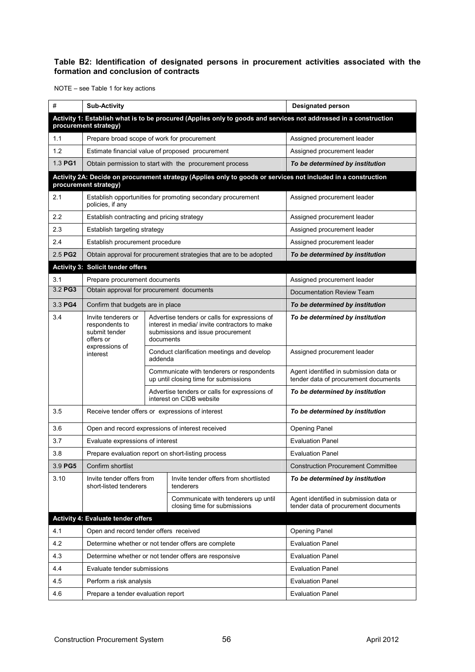#### **Table B2: Identification of designated persons in procurement activities associated with the formation and conclusion of contracts**

NOTE – see Table 1 for key actions

| #       | <b>Sub-Activity</b>                                                                                                                       |           |                                                                                                                                     | <b>Designated person</b>                                                       |  |
|---------|-------------------------------------------------------------------------------------------------------------------------------------------|-----------|-------------------------------------------------------------------------------------------------------------------------------------|--------------------------------------------------------------------------------|--|
|         | Activity 1: Establish what is to be procured (Applies only to goods and services not addressed in a construction<br>procurement strategy) |           |                                                                                                                                     |                                                                                |  |
| 1.1     | Prepare broad scope of work for procurement                                                                                               |           |                                                                                                                                     | Assigned procurement leader                                                    |  |
| 1.2     |                                                                                                                                           |           | Estimate financial value of proposed procurement                                                                                    | Assigned procurement leader                                                    |  |
| 1.3 PG1 |                                                                                                                                           |           | Obtain permission to start with the procurement process                                                                             | To be determined by institution                                                |  |
|         |                                                                                                                                           |           | Activity 2A: Decide on procurement strategy (Applies only to goods or services not included in a construction                       |                                                                                |  |
|         | procurement strategy)                                                                                                                     |           |                                                                                                                                     |                                                                                |  |
| 2.1     | policies, if any                                                                                                                          |           | Establish opportunities for promoting secondary procurement                                                                         | Assigned procurement leader                                                    |  |
| 2.2     | Establish contracting and pricing strategy                                                                                                |           |                                                                                                                                     | Assigned procurement leader                                                    |  |
| 2.3     | Establish targeting strategy                                                                                                              |           |                                                                                                                                     | Assigned procurement leader                                                    |  |
| 2.4     | Establish procurement procedure                                                                                                           |           |                                                                                                                                     | Assigned procurement leader                                                    |  |
| 2.5 PG2 |                                                                                                                                           |           | Obtain approval for procurement strategies that are to be adopted                                                                   | To be determined by institution                                                |  |
|         | <b>Activity 3: Solicit tender offers</b>                                                                                                  |           |                                                                                                                                     |                                                                                |  |
| 3.1     | Prepare procurement documents                                                                                                             |           |                                                                                                                                     | Assigned procurement leader                                                    |  |
| 3.2 PG3 | Obtain approval for procurement documents                                                                                                 |           |                                                                                                                                     | Documentation Review Team                                                      |  |
| 3.3 PG4 | Confirm that budgets are in place                                                                                                         |           |                                                                                                                                     | To be determined by institution                                                |  |
| 3.4     | Invite tenderers or<br>respondents to<br>submit tender<br>offers or<br>expressions of<br>interest                                         | documents | Advertise tenders or calls for expressions of<br>interest in media/ invite contractors to make<br>submissions and issue procurement | To be determined by institution                                                |  |
|         |                                                                                                                                           | addenda   | Conduct clarification meetings and develop                                                                                          | Assigned procurement leader                                                    |  |
|         |                                                                                                                                           |           | Communicate with tenderers or respondents<br>up until closing time for submissions                                                  | Agent identified in submission data or<br>tender data of procurement documents |  |
|         |                                                                                                                                           |           | Advertise tenders or calls for expressions of<br>interest on CIDB website                                                           | To be determined by institution                                                |  |
| 3.5     | Receive tender offers or expressions of interest                                                                                          |           |                                                                                                                                     | To be determined by institution                                                |  |
| 3.6     |                                                                                                                                           |           | Open and record expressions of interest received                                                                                    | <b>Opening Panel</b>                                                           |  |
| 3.7     | Evaluate expressions of interest                                                                                                          |           |                                                                                                                                     | <b>Evaluation Panel</b>                                                        |  |
| 3.8     |                                                                                                                                           |           | Prepare evaluation report on short-listing process                                                                                  | <b>Evaluation Panel</b>                                                        |  |
| 3.9 PG5 | Confirm shortlist                                                                                                                         |           |                                                                                                                                     | <b>Construction Procurement Committee</b>                                      |  |
| 3.10    | Invite tender offers from<br>short-listed tenderers                                                                                       |           | Invite tender offers from shortlisted<br>tenderers                                                                                  | To be determined by institution                                                |  |
|         |                                                                                                                                           |           | Communicate with tenderers up until<br>closing time for submissions                                                                 | Agent identified in submission data or<br>tender data of procurement documents |  |
|         | Activity 4: Evaluate tender offers                                                                                                        |           |                                                                                                                                     |                                                                                |  |
| 4.1     | Open and record tender offers received                                                                                                    |           |                                                                                                                                     | <b>Opening Panel</b>                                                           |  |
| 4.2     | Determine whether or not tender offers are complete                                                                                       |           |                                                                                                                                     | <b>Evaluation Panel</b>                                                        |  |
| 4.3     | Determine whether or not tender offers are responsive                                                                                     |           |                                                                                                                                     | <b>Evaluation Panel</b>                                                        |  |
| 4.4     | Evaluate tender submissions                                                                                                               |           |                                                                                                                                     | <b>Evaluation Panel</b>                                                        |  |
| 4.5     | Perform a risk analysis                                                                                                                   |           |                                                                                                                                     | <b>Evaluation Panel</b>                                                        |  |
| 4.6     | Prepare a tender evaluation report                                                                                                        |           |                                                                                                                                     | <b>Evaluation Panel</b>                                                        |  |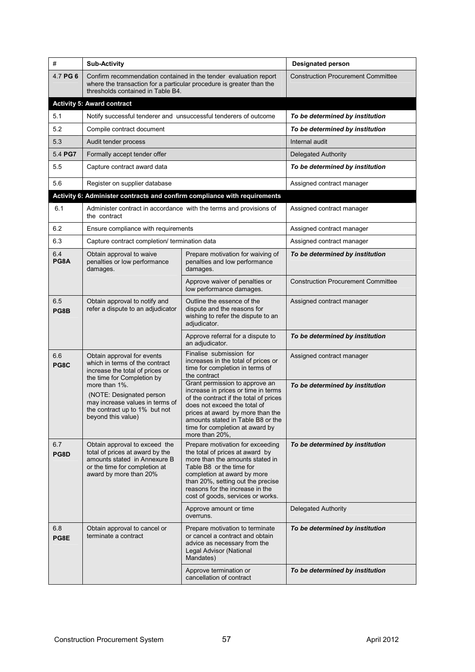| #           | <b>Sub-Activity</b>                                                                                                                                                           | <b>Designated person</b>                                                                                                                                                                                                                                                       |                                           |
|-------------|-------------------------------------------------------------------------------------------------------------------------------------------------------------------------------|--------------------------------------------------------------------------------------------------------------------------------------------------------------------------------------------------------------------------------------------------------------------------------|-------------------------------------------|
| 4.7 PG 6    | Confirm recommendation contained in the tender evaluation report<br>where the transaction for a particular procedure is greater than the<br>thresholds contained in Table B4. | <b>Construction Procurement Committee</b>                                                                                                                                                                                                                                      |                                           |
|             | <b>Activity 5: Award contract</b>                                                                                                                                             |                                                                                                                                                                                                                                                                                |                                           |
| 5.1         |                                                                                                                                                                               | Notify successful tenderer and unsuccessful tenderers of outcome                                                                                                                                                                                                               | To be determined by institution           |
| 5.2         | Compile contract document                                                                                                                                                     |                                                                                                                                                                                                                                                                                | To be determined by institution           |
| 5.3         | Audit tender process                                                                                                                                                          |                                                                                                                                                                                                                                                                                | Internal audit                            |
| 5.4 PG7     | Formally accept tender offer                                                                                                                                                  |                                                                                                                                                                                                                                                                                | <b>Delegated Authority</b>                |
| 5.5         | Capture contract award data                                                                                                                                                   |                                                                                                                                                                                                                                                                                | To be determined by institution           |
| 5.6         | Register on supplier database                                                                                                                                                 |                                                                                                                                                                                                                                                                                | Assigned contract manager                 |
|             |                                                                                                                                                                               | Activity 6: Administer contracts and confirm compliance with requirements                                                                                                                                                                                                      |                                           |
| 6.1         | the contract                                                                                                                                                                  | Administer contract in accordance with the terms and provisions of                                                                                                                                                                                                             | Assigned contract manager                 |
| 6.2         | Ensure compliance with requirements                                                                                                                                           |                                                                                                                                                                                                                                                                                | Assigned contract manager                 |
| 6.3         | Capture contract completion/ termination data                                                                                                                                 |                                                                                                                                                                                                                                                                                | Assigned contract manager                 |
| 6.4<br>PG8A | Obtain approval to waive<br>penalties or low performance<br>damages.                                                                                                          | Prepare motivation for waiving of<br>penalties and low performance<br>damages.                                                                                                                                                                                                 | To be determined by institution           |
|             |                                                                                                                                                                               | Approve waiver of penalties or<br>low performance damages.                                                                                                                                                                                                                     | <b>Construction Procurement Committee</b> |
| 6.5<br>PG8B | Obtain approval to notify and<br>refer a dispute to an adjudicator                                                                                                            | Outline the essence of the<br>dispute and the reasons for<br>wishing to refer the dispute to an<br>adjudicator.                                                                                                                                                                | Assigned contract manager                 |
|             |                                                                                                                                                                               | Approve referral for a dispute to<br>an adjudicator.                                                                                                                                                                                                                           | To be determined by institution           |
| 6.6<br>PG8C | Obtain approval for events<br>which in terms of the contract<br>increase the total of prices or<br>the time for Completion by                                                 | Finalise submission for<br>increases in the total of prices or<br>time for completion in terms of<br>the contract                                                                                                                                                              | Assigned contract manager                 |
|             | more than 1%.<br>(NOTE: Designated person<br>may increase values in terms of<br>the contract up to 1% but not<br>beyond this value)                                           | Grant permission to approve an<br>increase in prices or time in terms<br>of the contract if the total of prices<br>does not exceed the total of<br>prices at award by more than the<br>amounts stated in Table B8 or the<br>time for completion at award by<br>more than 20%.  | To be determined by institution           |
| 6.7<br>PG8D | Obtain approval to exceed the<br>total of prices at award by the<br>amounts stated in Annexure B<br>or the time for completion at<br>award by more than 20%                   | Prepare motivation for exceeding<br>the total of prices at award by<br>more than the amounts stated in<br>Table B8 or the time for<br>completion at award by more<br>than 20%, setting out the precise<br>reasons for the increase in the<br>cost of goods, services or works. | To be determined by institution           |
|             |                                                                                                                                                                               | Approve amount or time<br>overruns.                                                                                                                                                                                                                                            | Delegated Authority                       |
| 6.8<br>PG8E | Obtain approval to cancel or<br>terminate a contract                                                                                                                          | Prepare motivation to terminate<br>or cancel a contract and obtain<br>advice as necessary from the<br>Legal Advisor (National<br>Mandates)                                                                                                                                     | To be determined by institution           |
|             |                                                                                                                                                                               | Approve termination or<br>cancellation of contract                                                                                                                                                                                                                             | To be determined by institution           |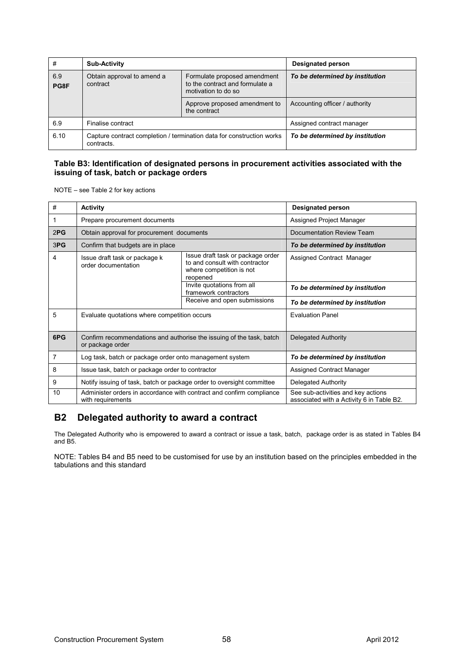| #           | Sub-Activity                                                                        |                                                                                        | <b>Designated person</b>        |  |
|-------------|-------------------------------------------------------------------------------------|----------------------------------------------------------------------------------------|---------------------------------|--|
| 6.9<br>PG8F | Obtain approval to amend a<br>contract                                              | Formulate proposed amendment<br>to the contract and formulate a<br>motivation to do so | To be determined by institution |  |
|             |                                                                                     | Approve proposed amendment to<br>the contract                                          | Accounting officer / authority  |  |
| 6.9         | Finalise contract                                                                   |                                                                                        | Assigned contract manager       |  |
| 6.10        | Capture contract completion / termination data for construction works<br>contracts. |                                                                                        | To be determined by institution |  |

#### **Table B3: Identification of designated persons in procurement activities associated with the issuing of task, batch or package orders**

NOTE – see Table 2 for key actions

| #   | Activity                                                                                                                                                            | <b>Designated person</b>                            |                                                                                 |
|-----|---------------------------------------------------------------------------------------------------------------------------------------------------------------------|-----------------------------------------------------|---------------------------------------------------------------------------------|
|     | Prepare procurement documents                                                                                                                                       | Assigned Project Manager                            |                                                                                 |
| 2PG | Obtain approval for procurement documents                                                                                                                           |                                                     | Documentation Review Team                                                       |
| 3PG | Confirm that budgets are in place                                                                                                                                   |                                                     | To be determined by institution                                                 |
| 4   | Issue draft task or package order<br>Issue draft task or package k<br>to and consult with contractor<br>order documentation<br>where competition is not<br>reopened |                                                     | Assigned Contract Manager                                                       |
|     |                                                                                                                                                                     | Invite quotations from all<br>framework contractors | To be determined by institution                                                 |
|     | Receive and open submissions                                                                                                                                        |                                                     | To be determined by institution                                                 |
| 5   | Evaluate quotations where competition occurs                                                                                                                        |                                                     | <b>Evaluation Panel</b>                                                         |
| 6PG | Confirm recommendations and authorise the issuing of the task, batch<br>or package order                                                                            |                                                     | <b>Delegated Authority</b>                                                      |
| 7   | Log task, batch or package order onto management system                                                                                                             |                                                     | To be determined by institution                                                 |
| 8   | Issue task, batch or package order to contractor                                                                                                                    |                                                     | Assigned Contract Manager                                                       |
| 9   | Notify issuing of task, batch or package order to oversight committee                                                                                               | Delegated Authority                                 |                                                                                 |
| 10  | Administer orders in accordance with contract and confirm compliance<br>with requirements                                                                           |                                                     | See sub-activities and key actions<br>associated with a Activity 6 in Table B2. |

## **B2 Delegated authority to award a contract**

The Delegated Authority who is empowered to award a contract or issue a task, batch, package order is as stated in Tables B4 and B5.

NOTE: Tables B4 and B5 need to be customised for use by an institution based on the principles embedded in the tabulations and this standard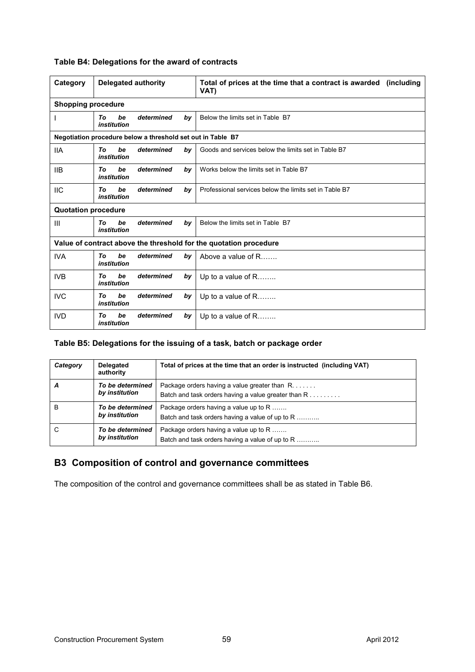| Category                   | <b>Delegated authority</b> |                                                             |    | Total of prices at the time that a contract is awarded (including<br>VAT) |  |  |
|----------------------------|----------------------------|-------------------------------------------------------------|----|---------------------------------------------------------------------------|--|--|
| <b>Shopping procedure</b>  |                            |                                                             |    |                                                                           |  |  |
|                            | be<br>Τo<br>institution    | determined                                                  | by | Below the limits set in Table B7                                          |  |  |
|                            |                            | Negotiation procedure below a threshold set out in Table B7 |    |                                                                           |  |  |
| 11A                        | be<br>Tο<br>institution    | determined                                                  | bv | Goods and services below the limits set in Table B7                       |  |  |
| <b>IIB</b>                 | be<br>Τo<br>institution    | determined                                                  | by | Works below the limits set in Table B7                                    |  |  |
| <b>IIC</b>                 | be<br>Tο<br>institution    | determined                                                  | by | Professional services below the limits set in Table B7                    |  |  |
| <b>Quotation procedure</b> |                            |                                                             |    |                                                                           |  |  |
| Ш                          | be<br>Τo<br>institution    | determined                                                  | by | Below the limits set in Table B7                                          |  |  |
|                            |                            |                                                             |    | Value of contract above the threshold for the quotation procedure         |  |  |
| <b>IVA</b>                 | be<br>Τo<br>institution    | determined                                                  | by | Above a value of R                                                        |  |  |
| IVB                        | be<br>Tο<br>institution    | determined                                                  | by | Up to a value of $R$                                                      |  |  |
| <b>IVC</b>                 | be<br>Тο<br>institution    | determined                                                  | by | Up to a value of $R$                                                      |  |  |

#### **Table B4: Delegations for the award of contracts**

#### **Table B5: Delegations for the issuing of a task, batch or package order**

IVD *To be determined by institution*

| Category | Delegated<br>authority             | Total of prices at the time that an order is instructed (including VAT)                                |
|----------|------------------------------------|--------------------------------------------------------------------------------------------------------|
| Α        | To be determined<br>by institution | Package orders having a value greater than R.<br>Batch and task orders having a value greater than $R$ |
| в        | To be determined<br>by institution | Package orders having a value up to R<br>Batch and task orders having a value of up to R               |
| C        | To be determined<br>by institution | Package orders having a value up to R<br>Batch and task orders having a value of up to R               |

Up to a value of R........

## **B3 Composition of control and governance committees**

The composition of the control and governance committees shall be as stated in Table B6.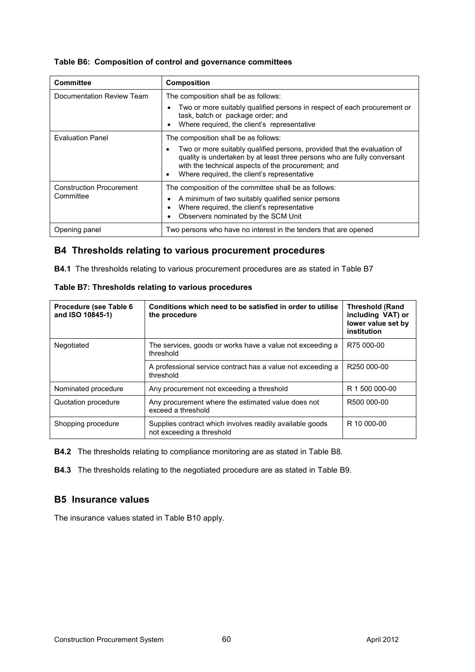|  |  |  | Table B6: Composition of control and governance committees |
|--|--|--|------------------------------------------------------------|
|--|--|--|------------------------------------------------------------|

| <b>Committee</b>                | <b>Composition</b>                                                                                                                                                                                                                                       |
|---------------------------------|----------------------------------------------------------------------------------------------------------------------------------------------------------------------------------------------------------------------------------------------------------|
| Documentation Review Team       | The composition shall be as follows:                                                                                                                                                                                                                     |
|                                 | Two or more suitably qualified persons in respect of each procurement or<br>task, batch or package order; and<br>Where required, the client's representative                                                                                             |
| <b>Evaluation Panel</b>         | The composition shall be as follows:                                                                                                                                                                                                                     |
|                                 | Two or more suitably qualified persons, provided that the evaluation of<br>quality is undertaken by at least three persons who are fully conversant<br>with the technical aspects of the procurement; and<br>Where required, the client's representative |
| <b>Construction Procurement</b> | The composition of the committee shall be as follows:                                                                                                                                                                                                    |
| Committee                       | A minimum of two suitably qualified senior persons<br>Where required, the client's representative<br>Observers nominated by the SCM Unit                                                                                                                 |
| Opening panel                   | Two persons who have no interest in the tenders that are opened                                                                                                                                                                                          |

## **B4 Thresholds relating to various procurement procedures**

**B4.1** The thresholds relating to various procurement procedures are as stated in Table B7

| Procedure (see Table 6<br>and ISO 10845-1) | Conditions which need to be satisfied in order to utilise<br>the procedure            | <b>Threshold (Rand</b><br>including VAT) or<br>lower value set by<br>institution |
|--------------------------------------------|---------------------------------------------------------------------------------------|----------------------------------------------------------------------------------|
| Negotiated                                 | The services, goods or works have a value not exceeding a<br>threshold                | R75 000-00                                                                       |
|                                            | A professional service contract has a value not exceeding a<br>threshold              | R250 000-00                                                                      |
| Nominated procedure                        | Any procurement not exceeding a threshold                                             | R 1 500 000-00                                                                   |
| Quotation procedure                        | Any procurement where the estimated value does not<br>exceed a threshold              | R500 000-00                                                                      |
| Shopping procedure                         | Supplies contract which involves readily available goods<br>not exceeding a threshold | R 10 000-00                                                                      |

**Table B7: Thresholds relating to various procedures**

**B4.2** The thresholds relating to compliance monitoring are as stated in Table B8.

**B4.3** The thresholds relating to the negotiated procedure are as stated in Table B9.

## **B5 Insurance values**

The insurance values stated in Table B10 apply.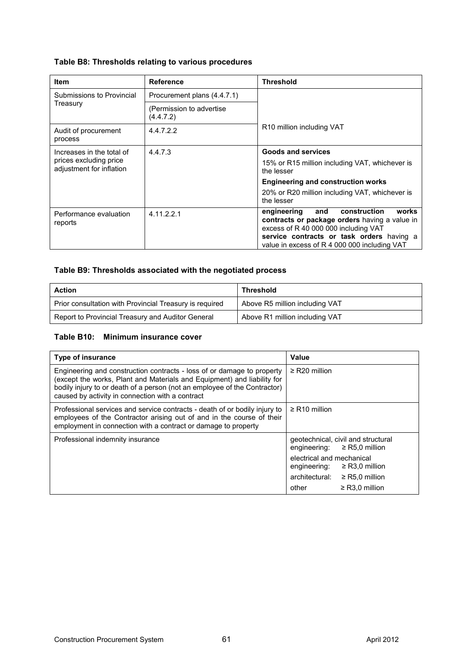## **Table B8: Thresholds relating to various procedures**

| <b>Item</b>                                        | <b>Reference</b>                       | <b>Threshold</b>                                                                                                                                                                                                                  |  |  |
|----------------------------------------------------|----------------------------------------|-----------------------------------------------------------------------------------------------------------------------------------------------------------------------------------------------------------------------------------|--|--|
| Submissions to Provincial                          | Procurement plans (4.4.7.1)            |                                                                                                                                                                                                                                   |  |  |
| Treasury                                           | (Permission to advertise)<br>(4.4.7.2) |                                                                                                                                                                                                                                   |  |  |
| Audit of procurement<br>process                    | 4.4.7.2.2                              | R <sub>10</sub> million including VAT                                                                                                                                                                                             |  |  |
| Increases in the total of                          | 4.4.7.3                                | <b>Goods and services</b>                                                                                                                                                                                                         |  |  |
| prices excluding price<br>adjustment for inflation |                                        | 15% or R15 million including VAT, whichever is<br>the lesser                                                                                                                                                                      |  |  |
|                                                    |                                        | <b>Engineering and construction works</b>                                                                                                                                                                                         |  |  |
|                                                    |                                        | 20% or R20 million including VAT, whichever is<br>the lesser                                                                                                                                                                      |  |  |
| Performance evaluation<br>reports                  | 4.11.2.2.1                             | works<br>construction<br>engineering<br>and<br>contracts or package orders having a value in<br>excess of R 40 000 000 including VAT<br>service contracts or task orders having a<br>value in excess of R 4 000 000 including VAT |  |  |

## **Table B9: Thresholds associated with the negotiated process**

| <b>Action</b>                                           | <b>Threshold</b>               |
|---------------------------------------------------------|--------------------------------|
| Prior consultation with Provincial Treasury is required | Above R5 million including VAT |
| Report to Provincial Treasury and Auditor General       | Above R1 million including VAT |

#### **Table B10: Minimum insurance cover**

| <b>Type of insurance</b>                                                                                                                                                                                                                                                           | Value                                                                                                                                                                                                            |
|------------------------------------------------------------------------------------------------------------------------------------------------------------------------------------------------------------------------------------------------------------------------------------|------------------------------------------------------------------------------------------------------------------------------------------------------------------------------------------------------------------|
| Engineering and construction contracts - loss of or damage to property<br>(except the works, Plant and Materials and Equipment) and liability for<br>bodily injury to or death of a person (not an employee of the Contractor)<br>caused by activity in connection with a contract | $\geq$ R20 million                                                                                                                                                                                               |
| Professional services and service contracts - death of or bodily injury to<br>employees of the Contractor arising out of and in the course of their<br>employment in connection with a contract or damage to property                                                              | $\geq$ R10 million                                                                                                                                                                                               |
| Professional indemnity insurance                                                                                                                                                                                                                                                   | geotechnical, civil and structural<br>engineering: $\geq$ R5,0 million<br>electrical and mechanical<br>engineering: $\geq$ R3,0 million<br>architectural:<br>$\geq$ R5.0 million<br>other<br>$\geq$ R3.0 million |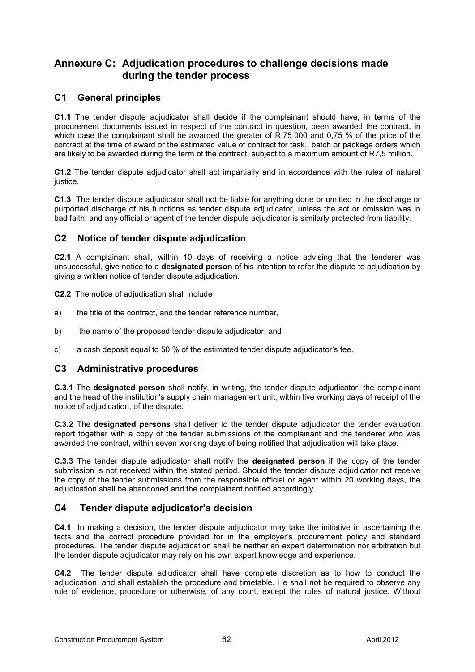## **Annexure C: Adjudication procedures to challenge decisions made during the tender process**

## **C1 General principles**

**C1.1** The tender dispute adjudicator shall decide if the complainant should have, in terms of the procurement documents issued in respect of the contract in question, been awarded the contract, in which case the complainant shall be awarded the greater of R 75 000 and 0,75 % of the price of the contract at the time of award or the estimated value of contract for task, batch or package orders which are likely to be awarded during the term of the contract, subject to a maximum amount of R7,5 million.

**C1.2** The tender dispute adjudicator shall act impartially and in accordance with the rules of natural justice.

**C1.3** The tender dispute adjudicator shall not be liable for anything done or omitted in the discharge or purported discharge of his functions as tender dispute adjudicator, unless the act or omission was in bad faith, and any official or agent of the tender dispute adjudicator is similarly protected from liability.

## **C2 Notice of tender dispute adjudication**

**C2.1** A complainant shall, within 10 days of receiving a notice advising that the tenderer was unsuccessful, give notice to a **designated person** of his intention to refer the dispute to adjudication by giving a written notice of tender dispute adjudication.

**C2.2** The notice of adjudication shall include

- a) the title of the contract, and the tender reference number,
- b) the name of the proposed tender dispute adjudicator, and
- c) a cash deposit equal to 50 % of the estimated tender dispute adjudicator's fee.

## **C3 Administrative procedures**

**C.3.1** The **designated person** shall notify, in writing, the tender dispute adjudicator, the complainant and the head of the institution's supply chain management unit, within five working days of receipt of the notice of adjudication, of the dispute.

**C.3.2** The **designated persons** shall deliver to the tender dispute adjudicator the tender evaluation report together with a copy of the tender submissions of the complainant and the tenderer who was awarded the contract, within seven working days of being notified that adjudication will take place.

**C.3.3** The tender dispute adjudicator shall notify the **designated person** if the copy of the tender submission is not received within the stated period. Should the tender dispute adjudicator not receive the copy of the tender submissions from the responsible official or agent within 20 working days, the adjudication shall be abandoned and the complainant notified accordingly.

## **C4 Tender dispute adjudicator's decision**

**C4.1** In making a decision, the tender dispute adjudicator may take the initiative in ascertaining the facts and the correct procedure provided for in the employer's procurement policy and standard procedures. The tender dispute adjudication shall be neither an expert determination nor arbitration but the tender dispute adjudicator may rely on his own expert knowledge and experience.

**C4.2** The tender dispute adjudicator shall have complete discretion as to how to conduct the adjudication, and shall establish the procedure and timetable. He shall not be required to observe any rule of evidence, procedure or otherwise, of any court, except the rules of natural justice. Without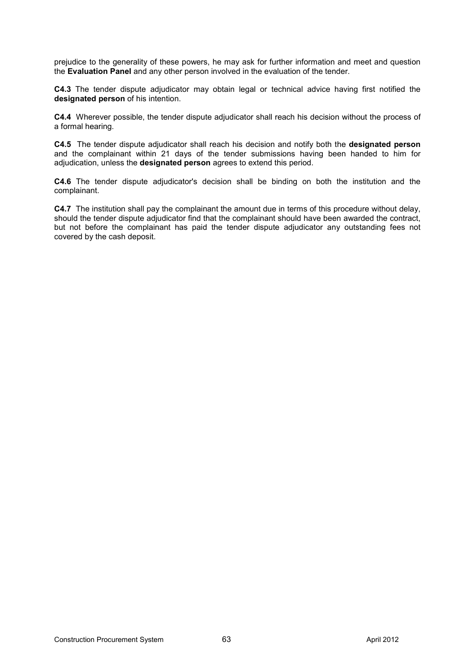prejudice to the generality of these powers, he may ask for further information and meet and question the **Evaluation Panel** and any other person involved in the evaluation of the tender.

**C4.3** The tender dispute adjudicator may obtain legal or technical advice having first notified the **designated person** of his intention.

**C4.4** Wherever possible, the tender dispute adjudicator shall reach his decision without the process of a formal hearing.

**C4.5** The tender dispute adjudicator shall reach his decision and notify both the **designated person** and the complainant within 21 days of the tender submissions having been handed to him for adjudication, unless the **designated person** agrees to extend this period.

**C4.6** The tender dispute adjudicator's decision shall be binding on both the institution and the complainant.

**C4.7** The institution shall pay the complainant the amount due in terms of this procedure without delay, should the tender dispute adjudicator find that the complainant should have been awarded the contract, but not before the complainant has paid the tender dispute adjudicator any outstanding fees not covered by the cash deposit.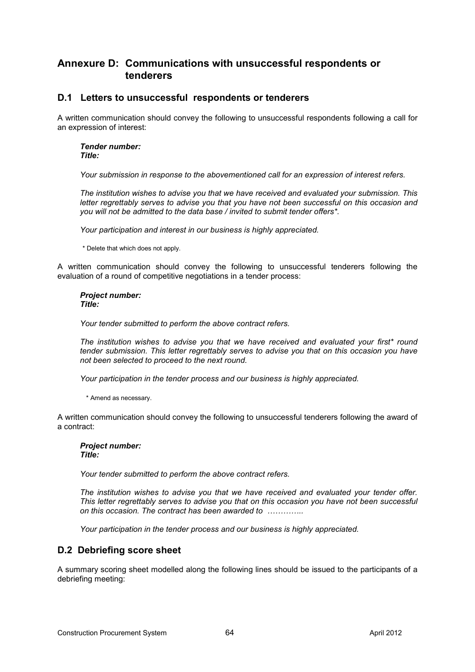## **Annexure D: Communications with unsuccessful respondents or tenderers**

## **D.1 Letters to unsuccessful respondents or tenderers**

A written communication should convey the following to unsuccessful respondents following a call for an expression of interest:

#### *Tender number: Title:*

*Your submission in response to the abovementioned call for an expression of interest refers.* 

*The institution wishes to advise you that we have received and evaluated your submission. This letter regrettably serves to advise you that you have not been successful on this occasion and you will not be admitted to the data base / invited to submit tender offers\*.* 

*Your participation and interest in our business is highly appreciated.* 

\* Delete that which does not apply.

A written communication should convey the following to unsuccessful tenderers following the evaluation of a round of competitive negotiations in a tender process:

*Project number: Title:* 

*Your tender submitted to perform the above contract refers.* 

*The institution wishes to advise you that we have received and evaluated your first\* round tender submission. This letter regrettably serves to advise you that on this occasion you have not been selected to proceed to the next round.* 

*Your participation in the tender process and our business is highly appreciated.* 

\* Amend as necessary.

A written communication should convey the following to unsuccessful tenderers following the award of a contract:

## *Project number:*

*Title:* 

*Your tender submitted to perform the above contract refers.* 

*The institution wishes to advise you that we have received and evaluated your tender offer. This letter regrettably serves to advise you that on this occasion you have not been successful*  on this occasion. The contract has been awarded to *..............* 

*Your participation in the tender process and our business is highly appreciated.* 

## **D.2 Debriefing score sheet**

A summary scoring sheet modelled along the following lines should be issued to the participants of a debriefing meeting: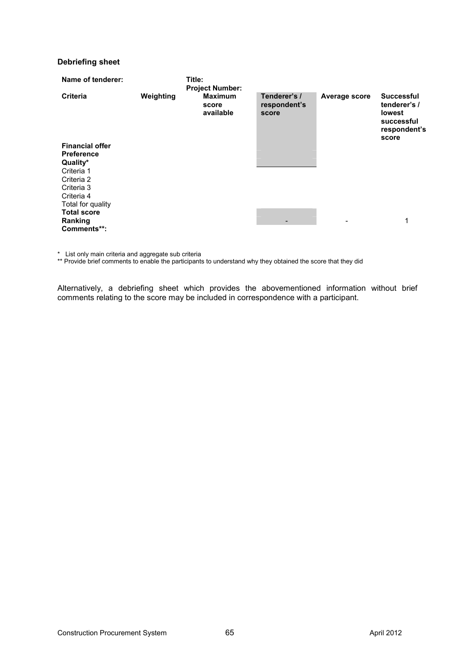#### **Debriefing sheet**

| Name of tenderer:                                                                                               |           | Title:<br><b>Project Number:</b>     |                                       |               |                                                                                           |
|-----------------------------------------------------------------------------------------------------------------|-----------|--------------------------------------|---------------------------------------|---------------|-------------------------------------------------------------------------------------------|
| <b>Criteria</b>                                                                                                 | Weighting | <b>Maximum</b><br>score<br>available | Tenderer's /<br>respondent's<br>score | Average score | <b>Successful</b><br>tenderer's /<br><b>lowest</b><br>successful<br>respondent's<br>score |
| <b>Financial offer</b><br><b>Preference</b><br>Quality*<br>Criteria 1<br>Criteria 2<br>Criteria 3<br>Criteria 4 |           |                                      |                                       |               |                                                                                           |
| Total for quality<br><b>Total score</b>                                                                         |           |                                      |                                       |               |                                                                                           |
| Ranking                                                                                                         |           |                                      |                                       |               | 1                                                                                         |
| Comments**:                                                                                                     |           |                                      |                                       |               |                                                                                           |

\* List only main criteria and aggregate sub criteria

\*\* Provide brief comments to enable the participants to understand why they obtained the score that they did

Alternatively, a debriefing sheet which provides the abovementioned information without brief comments relating to the score may be included in correspondence with a participant.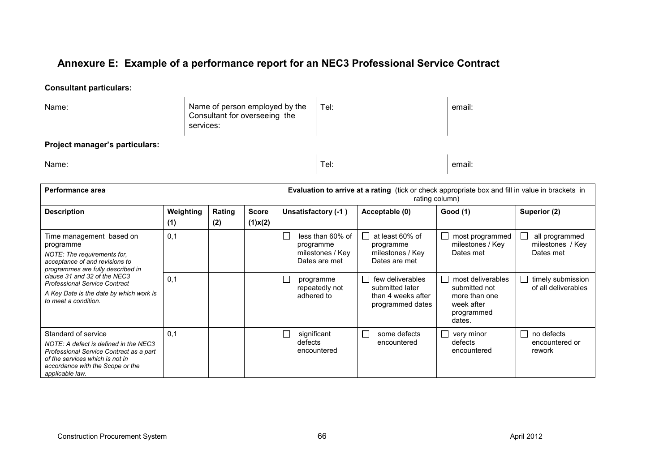# **Annexure E: Example of a performance report for an NEC3 Professional Service Contract**

## **Consultant particulars:**

| Name:                          | Name of person employed by the<br>Consultant for overseeing the<br>services: | Tel: | email: |
|--------------------------------|------------------------------------------------------------------------------|------|--------|
| Project manager's particulars: |                                                                              |      |        |
| Name:                          |                                                                              | Tel: | email: |

| Performance area                                                                                                                                                                                                                                                                       |                  |               | <b>Evaluation to arrive at a rating</b> (tick or check appropriate box and fill in value in brackets in<br>rating column) |                                                                          |                                                                               |                                                                                                             |                                                          |
|----------------------------------------------------------------------------------------------------------------------------------------------------------------------------------------------------------------------------------------------------------------------------------------|------------------|---------------|---------------------------------------------------------------------------------------------------------------------------|--------------------------------------------------------------------------|-------------------------------------------------------------------------------|-------------------------------------------------------------------------------------------------------------|----------------------------------------------------------|
| <b>Description</b>                                                                                                                                                                                                                                                                     | Weighting<br>(1) | Rating<br>(2) | <b>Score</b><br>$(1)$ x $(2)$                                                                                             | Unsatisfactory (-1)                                                      | Acceptable (0)                                                                | Good (1)                                                                                                    | Superior (2)                                             |
| Time management based on<br>programme<br>NOTE: The requirements for,<br>acceptance of and revisions to<br>programmes are fully described in<br>clause 31 and 32 of the NEC3<br><b>Professional Service Contract</b><br>A Key Date is the date by which work is<br>to meet a condition. | 0,1              |               |                                                                                                                           | less than 60% of<br>L.<br>programme<br>milestones / Key<br>Dates are met | at least 60% of<br>programme<br>milestones / Key<br>Dates are met             | most programmed<br>milestones / Key<br>Dates met                                                            | all programmed<br>milestones / Key<br>Dates met          |
|                                                                                                                                                                                                                                                                                        | 0,1              |               |                                                                                                                           | $\mathcal{L}_{\mathcal{A}}$<br>programme<br>repeatedly not<br>adhered to | few deliverables<br>submitted later<br>than 4 weeks after<br>programmed dates | most deliverables<br>$\blacksquare$<br>submitted not<br>more than one<br>week after<br>programmed<br>dates. | timely submission<br>of all deliverables                 |
| Standard of service<br>NOTE: A defect is defined in the NEC3<br>Professional Service Contract as a part<br>of the services which is not in<br>accordance with the Scope or the<br>applicable law.                                                                                      | 0.1              |               |                                                                                                                           | $\Box$<br>significant<br>defects<br>encountered                          | some defects<br>$\mathsf{L}$<br>encountered                                   | very minor<br>$\overline{\phantom{0}}$<br>defects<br>encountered                                            | no defects<br>$\blacksquare$<br>encountered or<br>rework |